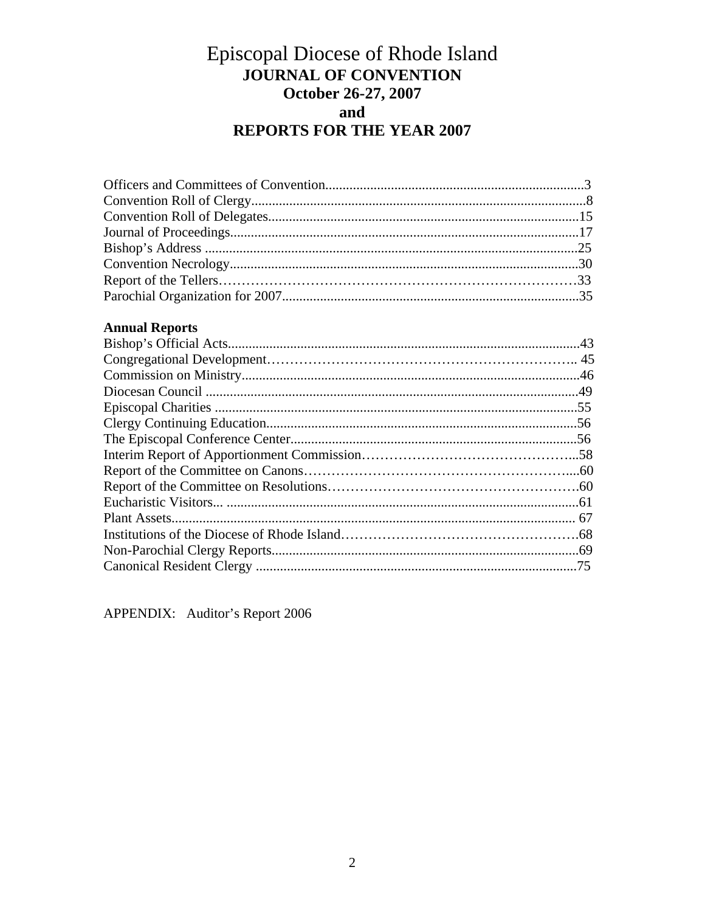# Episcopal Diocese of Rhode Island **JOURNAL OF CONVENTION** October 26-27, 2007 and **REPORTS FOR THE YEAR 2007**

# **Annual Reports**

APPENDIX: Auditor's Report 2006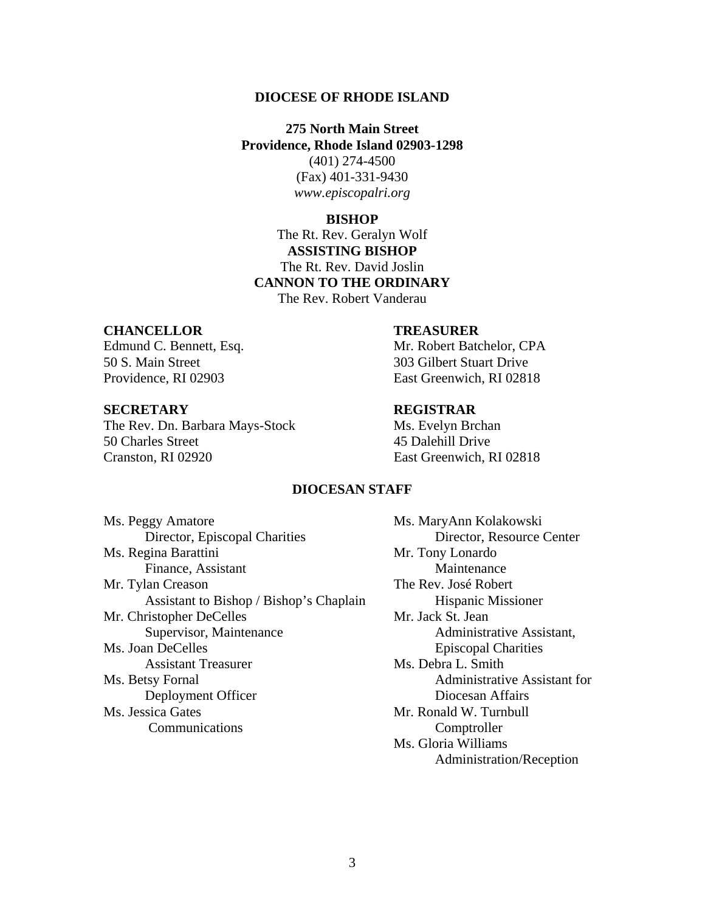#### **DIOCESE OF RHODE ISLAND**

**275 North Main Street Providence, Rhode Island 02903-1298** 

(401) 274-4500 (Fax) 401-331-9430 *www.episcopalri.org* 

#### **BISHOP**

The Rt. Rev. Geralyn Wolf **ASSISTING BISHOP**  The Rt. Rev. David Joslin **CANNON TO THE ORDINARY**  The Rev. Robert Vanderau

#### **CHANCELLOR TREASURER**

50 S. Main Street 303 Gilbert Stuart Drive

#### **SECRETARY REGISTRAR**

The Rev. Dn. Barbara Mays-Stock Ms. Evelyn Brchan 50 Charles Street 45 Dalehill Drive Cranston, RI 02920 East Greenwich, RI 02818

Edmund C. Bennett, Esq. Mr. Robert Batchelor, CPA Providence, RI 02903 East Greenwich, RI 02818

## **DIOCESAN STAFF**

Ms. Peggy Amatore Ms. MaryAnn Kolakowski Director, Episcopal Charities Director, Resource Center Ms. Regina Barattini Mr. Tony Lonardo Finance, Assistant Maintenance Mr. Tylan Creason The Rev. José Robert Assistant to Bishop / Bishop's Chaplain Hispanic Missioner Mr. Christopher DeCelles Mr. Jack St. Jean Supervisor, Maintenance Administrative Assistant, Ms. Joan DeCelles **Episcopal Charities** Assistant Treasurer Ms. Debra L. Smith Ms. Betsy Fornal Administrative Assistant for Deployment Officer<br>
Ms. Jessica Gates<br>
Mr. Ronald W. Turnbull Communications Comptroller

Mr. Ronald W. Turnbull Ms. Gloria Williams Administration/Reception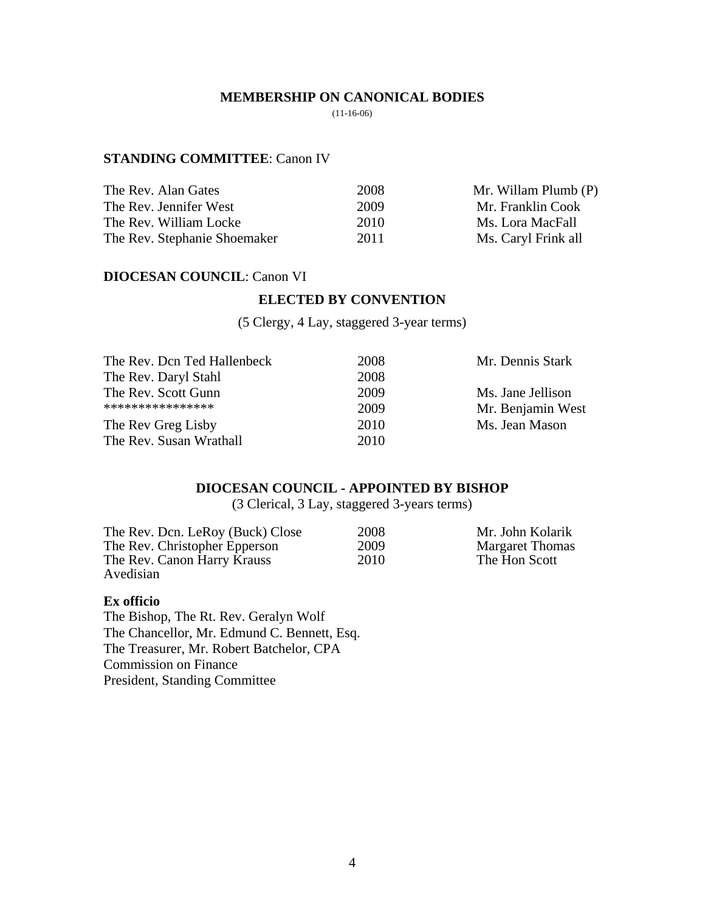#### **MEMBERSHIP ON CANONICAL BODIES**

 $(11-16-06)$ 

#### **STANDING COMMITTEE**: Canon IV

| The Rev. Alan Gates          | 2008 | Mr. Willam Plumb (P) |
|------------------------------|------|----------------------|
| The Rev. Jennifer West       | 2009 | Mr. Franklin Cook    |
| The Rev. William Locke       | 2010 | Ms. Lora MacFall     |
| The Rev. Stephanie Shoemaker | 2011 | Ms. Caryl Frink all  |

#### **DIOCESAN COUNCIL**: Canon VI

## **ELECTED BY CONVENTION**

(5 Clergy, 4 Lay, staggered 3-year terms)

| The Rev. Dcn Ted Hallenbeck | 2008 | Mr. Dennis Stark  |
|-----------------------------|------|-------------------|
| The Rev. Daryl Stahl        | 2008 |                   |
| The Rev. Scott Gunn         | 2009 | Ms. Jane Jellison |
| ****************            | 2009 | Mr. Benjamin West |
| The Rev Greg Lisby          | 2010 | Ms. Jean Mason    |
| The Rev. Susan Wrathall     | 2010 |                   |
|                             |      |                   |

## **DIOCESAN COUNCIL - APPOINTED BY BISHOP**

(3 Clerical, 3 Lay, staggered 3-years terms)

| The Rev. Dcn. LeRoy (Buck) Close | 2008 | Mr. John Kolarik       |
|----------------------------------|------|------------------------|
| The Rev. Christopher Epperson    | 2009 | <b>Margaret Thomas</b> |
| The Rev. Canon Harry Krauss      | 2010 | The Hon Scott          |
| Avedisian                        |      |                        |

#### **Ex officio**

The Bishop, The Rt. Rev. Geralyn Wolf The Chancellor, Mr. Edmund C. Bennett, Esq. The Treasurer, Mr. Robert Batchelor, CPA Commission on Finance President, Standing Committee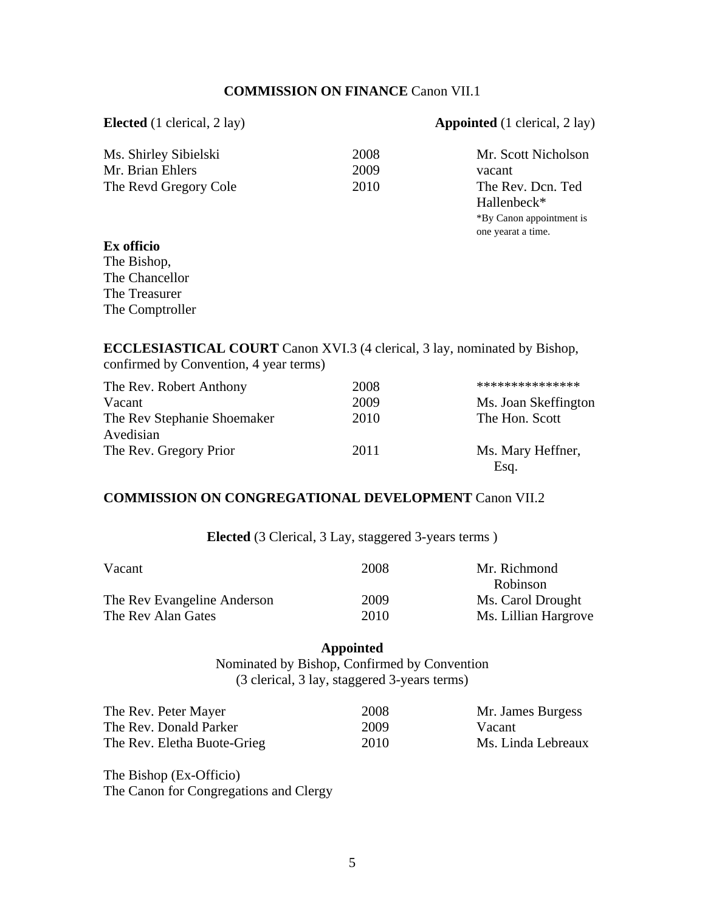## **COMMISSION ON FINANCE** Canon VII.1

#### **Elected** (1 clerical, 2 lay) **Appointed** (1 clerical, 2 lay)

 \*By Canon appointment is one yearat a time.

| Ms. Shirley Sibielski | 2008 | Mr. Scott Nicholson     |
|-----------------------|------|-------------------------|
| Mr. Brian Ehlers      | 2009 | vacant                  |
| The Revd Gregory Cole | 2010 | The Rev. Dcn. Ted       |
|                       |      | Hallenbeck <sup>*</sup> |

## **Ex officio**

The Bishop, The Chancellor The Treasurer The Comptroller

**ECCLESIASTICAL COURT** Canon XVI.3 (4 clerical, 3 lay, nominated by Bishop, confirmed by Convention, 4 year terms)

| The Rev. Robert Anthony     | 2008 | ***************      |
|-----------------------------|------|----------------------|
|                             |      |                      |
| Vacant                      | 2009 | Ms. Joan Skeffington |
| The Rev Stephanie Shoemaker | 2010 | The Hon. Scott       |
| Avedisian                   |      |                      |
| The Rev. Gregory Prior      | 2011 | Ms. Mary Heffner,    |
|                             |      | Esq.                 |

#### **COMMISSION ON CONGREGATIONAL DEVELOPMENT** Canon VII.2

**Elected** (3 Clerical, 3 Lay, staggered 3-years terms )

| Vacant                      | 2008 | Mr. Richmond         |
|-----------------------------|------|----------------------|
|                             |      | Robinson             |
| The Rev Evangeline Anderson | 2009 | Ms. Carol Drought    |
| The Rev Alan Gates          | 2010 | Ms. Lillian Hargrove |

#### **Appointed**

Nominated by Bishop, Confirmed by Convention (3 clerical, 3 lay, staggered 3-years terms)

| The Rev. Peter Mayer        | 2008 | Mr. James Burgess  |
|-----------------------------|------|--------------------|
| The Rev. Donald Parker      | 2009 | Vacant             |
| The Rev. Eletha Buote-Grieg | 2010 | Ms. Linda Lebreaux |

The Bishop (Ex-Officio) The Canon for Congregations and Clergy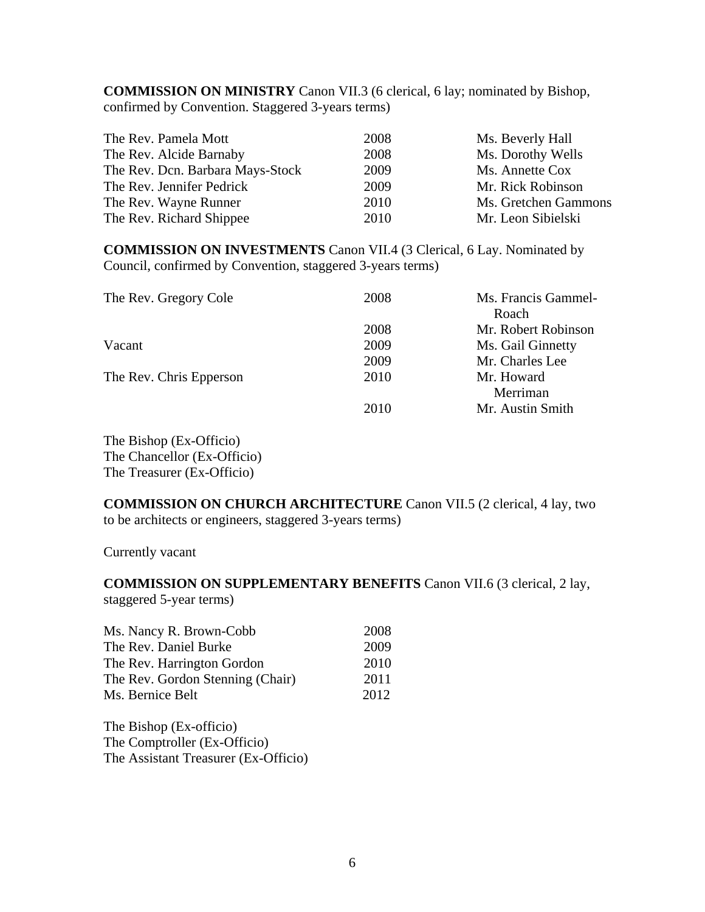**COMMISSION ON MINISTRY** Canon VII.3 (6 clerical, 6 lay; nominated by Bishop, confirmed by Convention. Staggered 3-years terms)

| The Rev. Pamela Mott             | 2008 | Ms. Beverly Hall     |
|----------------------------------|------|----------------------|
| The Rev. Alcide Barnaby          | 2008 | Ms. Dorothy Wells    |
| The Rev. Dcn. Barbara Mays-Stock | 2009 | Ms. Annette Cox      |
| The Rev. Jennifer Pedrick        | 2009 | Mr. Rick Robinson    |
| The Rev. Wayne Runner            | 2010 | Ms. Gretchen Gammons |
| The Rev. Richard Shippee         | 2010 | Mr. Leon Sibielski   |

**COMMISSION ON INVESTMENTS** Canon VII.4 (3 Clerical, 6 Lay. Nominated by Council, confirmed by Convention, staggered 3-years terms)

| 2008 | Ms. Francis Gammel- |
|------|---------------------|
|      | Roach               |
| 2008 | Mr. Robert Robinson |
| 2009 | Ms. Gail Ginnetty   |
| 2009 | Mr. Charles Lee     |
| 2010 | Mr. Howard          |
|      | Merriman            |
| 2010 | Mr. Austin Smith    |
|      |                     |

The Bishop (Ex-Officio) The Chancellor (Ex-Officio) The Treasurer (Ex-Officio)

**COMMISSION ON CHURCH ARCHITECTURE** Canon VII.5 (2 clerical, 4 lay, two to be architects or engineers, staggered 3-years terms)

Currently vacant

**COMMISSION ON SUPPLEMENTARY BENEFITS** Canon VII.6 (3 clerical, 2 lay, staggered 5-year terms)

| Ms. Nancy R. Brown-Cobb          | 2008 |
|----------------------------------|------|
| The Rev. Daniel Burke            | 2009 |
| The Rev. Harrington Gordon       | 2010 |
| The Rev. Gordon Stenning (Chair) | 2011 |
| Ms. Bernice Belt                 | 2012 |

The Bishop (Ex-officio) The Comptroller (Ex-Officio) The Assistant Treasurer (Ex-Officio)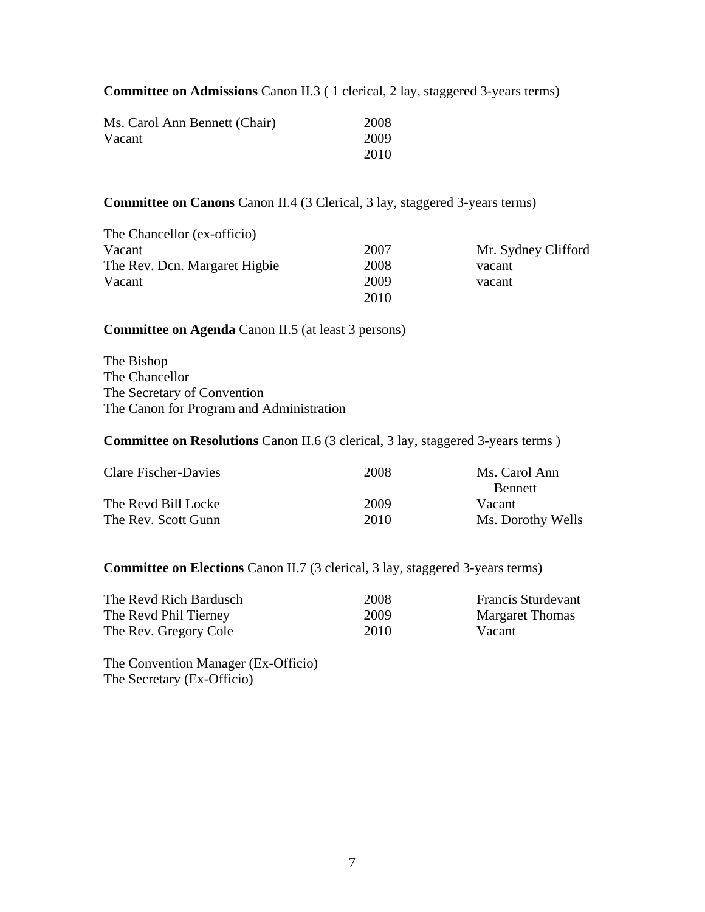**Committee on Admissions** Canon II.3 ( 1 clerical, 2 lay, staggered 3-years terms)

| Ms. Carol Ann Bennett (Chair) | 2008 |
|-------------------------------|------|
| Vacant                        | 2009 |
|                               | 2010 |

**Committee on Canons** Canon II.4 (3 Clerical, 3 lay, staggered 3-years terms)

| The Chancellor (ex-officio)   |      |                     |
|-------------------------------|------|---------------------|
| Vacant                        | 2007 | Mr. Sydney Clifford |
| The Rev. Don. Margaret Higbie | 2008 | vacant              |
| Vacant                        | 2009 | vacant              |
|                               | 2010 |                     |

#### **Committee on Agenda** Canon II.5 (at least 3 persons)

The Bishop The Chancellor The Secretary of Convention The Canon for Program and Administration

## **Committee on Resolutions** Canon II.6 (3 clerical, 3 lay, staggered 3-years terms )

| Clare Fischer-Davies | 2008 | Ms. Carol Ann     |
|----------------------|------|-------------------|
|                      |      | <b>Bennett</b>    |
| The Revd Bill Locke  | 2009 | Vacant            |
| The Rev. Scott Gunn  | 2010 | Ms. Dorothy Wells |

## **Committee on Elections** Canon II.7 (3 clerical, 3 lay, staggered 3-years terms)

| The Revd Rich Bardusch | 2008 | <b>Francis Sturdevant</b> |
|------------------------|------|---------------------------|
| The Revd Phil Tierney  | 2009 | <b>Margaret Thomas</b>    |
| The Rev. Gregory Cole  | 2010 | Vacant                    |

The Convention Manager (Ex-Officio) The Secretary (Ex-Officio)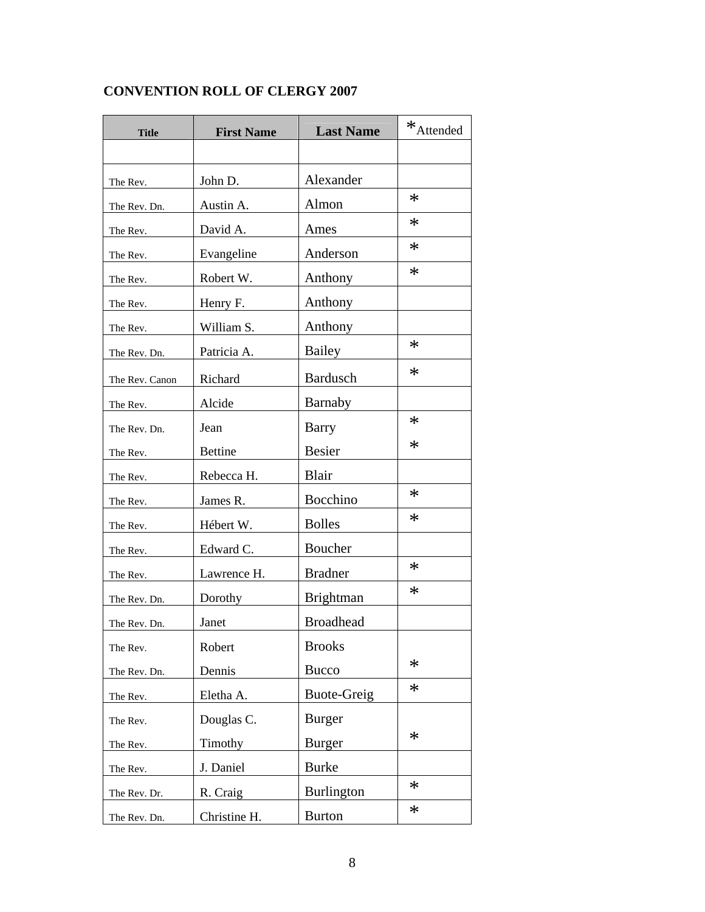| <b>Title</b>   | <b>First Name</b> | <b>Last Name</b>   | $*$ Attended |
|----------------|-------------------|--------------------|--------------|
|                |                   |                    |              |
| The Rev.       | John D.           | Alexander          |              |
| The Rev. Dn.   | Austin A.         | Almon              | $\ast$       |
| The Rev.       | David A.          | Ames               | $\ast$       |
| The Rev.       | Evangeline        | Anderson           | $\ast$       |
| The Rev.       | Robert W.         | Anthony            | $\ast$       |
| The Rev.       | Henry F.          | Anthony            |              |
| The Rev.       | William S.        | Anthony            |              |
| The Rev. Dn.   | Patricia A.       | Bailey             | $\ast$       |
| The Rev. Canon | Richard           | <b>Bardusch</b>    | $\ast$       |
| The Rev.       | Alcide            | Barnaby            |              |
| The Rev. Dn.   | Jean              | Barry              | $\ast$       |
| The Rev.       | <b>Bettine</b>    | Besier             | $\ast$       |
| The Rev.       | Rebecca H.        | Blair              |              |
| The Rev.       | James R.          | Bocchino           | $\ast$       |
| The Rev.       | Hébert W.         | <b>Bolles</b>      | $\ast$       |
| The Rev.       | Edward C.         | Boucher            |              |
| The Rev.       | Lawrence H.       | <b>Bradner</b>     | $\ast$       |
| The Rev. Dn.   | Dorothy           | Brightman          | $\ast$       |
| The Rev. Dn.   | Janet             | <b>Broadhead</b>   |              |
| The Rev.       | Robert            | <b>Brooks</b>      |              |
| The Rev. Dn.   | Dennis            | <b>Bucco</b>       | $\ast$       |
| The Rev.       | Eletha A.         | <b>Buote-Greig</b> | $\ast$       |
| The Rev.       | Douglas C.        | <b>Burger</b>      |              |
| The Rev.       | Timothy           | <b>Burger</b>      | $\ast$       |
| The Rev.       | J. Daniel         | <b>Burke</b>       |              |
| The Rev. Dr.   | R. Craig          | <b>Burlington</b>  | $\ast$       |
| The Rev. Dn.   | Christine H.      | <b>Burton</b>      | $\ast$       |

# **CONVENTION ROLL OF CLERGY 2007**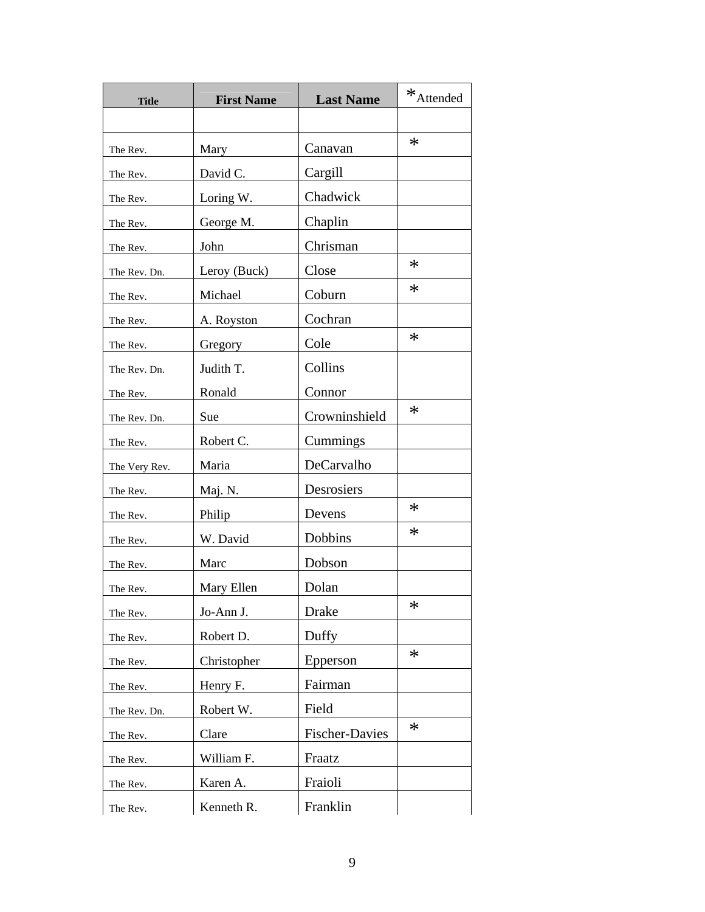| <b>Title</b>  | <b>First Name</b> | <b>Last Name</b>      | $*$ Attended |
|---------------|-------------------|-----------------------|--------------|
|               |                   |                       |              |
| The Rev.      | Mary              | Canavan               | $\ast$       |
| The Rev.      | David C.          | Cargill               |              |
| The Rev.      | Loring W.         | Chadwick              |              |
| The Rev.      | George M.         | Chaplin               |              |
| The Rev.      | John              | Chrisman              |              |
| The Rev. Dn.  | Leroy (Buck)      | Close                 | $\ast$       |
| The Rev.      | Michael           | Coburn                | $\ast$       |
| The Rev.      | A. Royston        | Cochran               |              |
| The Rev.      | Gregory           | Cole                  | $\ast$       |
| The Rev. Dn.  | Judith T.         | Collins               |              |
| The Rev.      | Ronald            | Connor                |              |
| The Rev. Dn.  | Sue               | Crowninshield         | $\ast$       |
| The Rev.      | Robert C.         | Cummings              |              |
| The Very Rev. | Maria             | DeCarvalho            |              |
| The Rev.      | Maj. N.           | Desrosiers            |              |
| The Rev.      | Philip            | Devens                | $\ast$       |
| The Rev.      | W. David          | Dobbins               | $\ast$       |
| The Rev.      | Marc              | Dobson                |              |
| The Rev.      | Mary Ellen        | Dolan                 |              |
| The Rev.      | Jo-Ann J.         | Drake                 | ∗            |
| The Rev.      | Robert D.         | Duffy                 |              |
| The Rev.      | Christopher       | Epperson              | $\ast$       |
| The Rev.      | Henry F.          | Fairman               |              |
| The Rev. Dn.  | Robert W.         | Field                 |              |
| The Rev.      | Clare             | <b>Fischer-Davies</b> | $\ast$       |
| The Rev.      | William F.        | Fraatz                |              |
| The Rev.      | Karen A.          | Fraioli               |              |
| The Rev.      | Kenneth R.        | Franklin              |              |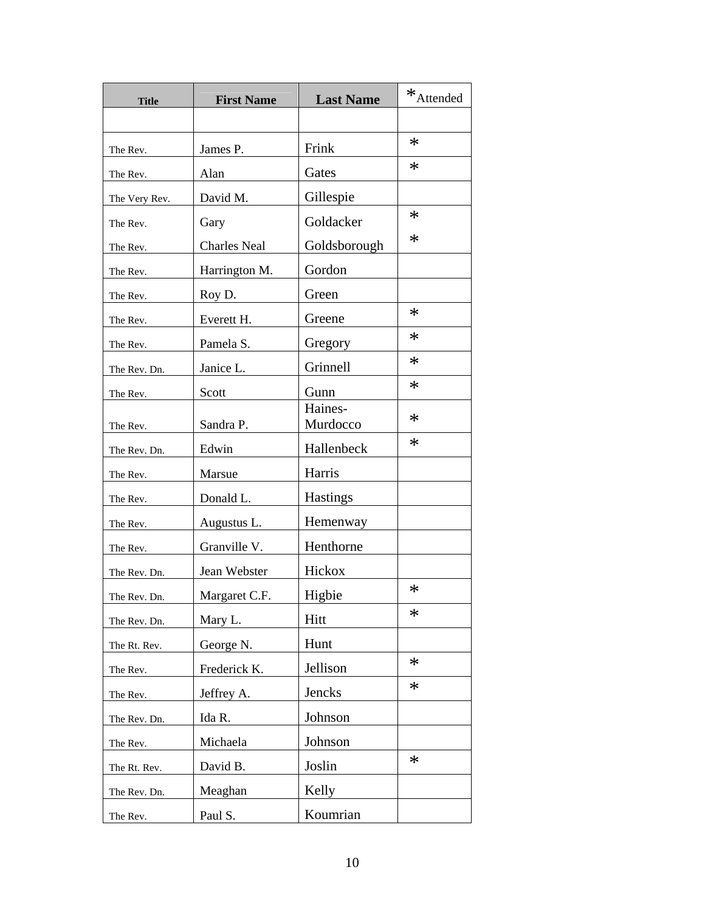| <b>Title</b>  | <b>First Name</b>   | <b>Last Name</b>    | $\mathbf{\ast}_{\text{Attended}}$ |
|---------------|---------------------|---------------------|-----------------------------------|
|               |                     |                     |                                   |
| The Rev.      | James P.            | Frink               | $\ast$                            |
| The Rev.      | Alan                | Gates               | $\ast$                            |
| The Very Rev. | David M.            | Gillespie           |                                   |
| The Rev.      | Gary                | Goldacker           | $\ast$                            |
| The Rev.      | <b>Charles Neal</b> | Goldsborough        | $\ast$                            |
| The Rev.      | Harrington M.       | Gordon              |                                   |
| The Rev.      | Roy D.              | Green               |                                   |
| The Rev.      | Everett H.          | Greene              | $\ast$                            |
| The Rev.      | Pamela S.           | Gregory             | $\ast$                            |
| The Rev. Dn.  | Janice L.           | Grinnell            | $\ast$                            |
| The Rev.      | Scott               | Gunn                | $\ast$                            |
| The Rev.      | Sandra P.           | Haines-<br>Murdocco | $\ast$                            |
| The Rev. Dn.  | Edwin               | Hallenbeck          | $\ast$                            |
| The Rev.      | Marsue              | Harris              |                                   |
| The Rev.      | Donald L.           | <b>Hastings</b>     |                                   |
| The Rev.      | Augustus L.         | Hemenway            |                                   |
| The Rev.      | Granville V.        | Henthorne           |                                   |
| The Rev. Dn.  | Jean Webster        | Hickox              |                                   |
| The Rev. Dn.  | Margaret C.F.       | Higbie              | $\ast$                            |
| The Rev. Dn.  | Mary L.             | Hitt                | $\ast$                            |
| The Rt. Rev.  | George N.           | Hunt                |                                   |
| The Rev.      | Frederick K.        | Jellison            | $\ast$                            |
| The Rev.      | Jeffrey A.          | Jencks              | $\ast$                            |
| The Rev. Dn.  | Ida R.              | Johnson             |                                   |
| The Rev.      | Michaela            | Johnson             |                                   |
| The Rt. Rev.  | David B.            | Joslin              | $\ast$                            |
| The Rev. Dn.  | Meaghan             | Kelly               |                                   |
| The Rev.      | Paul S.             | Koumrian            |                                   |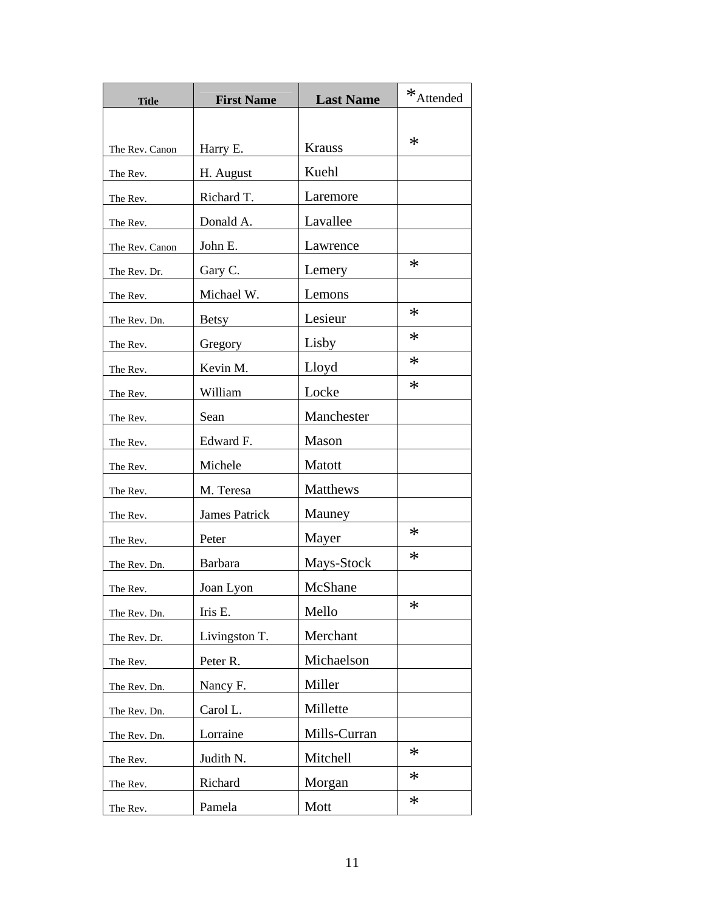| <b>Title</b>   | <b>First Name</b>    | <b>Last Name</b> | $*$ Attended |
|----------------|----------------------|------------------|--------------|
|                |                      |                  |              |
| The Rev. Canon | Harry E.             | <b>Krauss</b>    | $\ast$       |
| The Rev.       | H. August            | Kuehl            |              |
| The Rev.       | Richard T.           | Laremore         |              |
| The Rev.       | Donald A.            | Lavallee         |              |
| The Rev. Canon | John E.              | Lawrence         |              |
| The Rev. Dr.   | Gary C.              | Lemery           | $\ast$       |
| The Rev.       | Michael W.           | Lemons           |              |
| The Rev. Dn.   | <b>Betsy</b>         | Lesieur          | $\ast$       |
| The Rev.       | Gregory              | Lisby            | $\ast$       |
| The Rev.       | Kevin M.             | Lloyd            | $\ast$       |
| The Rev.       | William              | Locke            | $\ast$       |
| The Rev.       | Sean                 | Manchester       |              |
| The Rev.       | Edward F.            | Mason            |              |
| The Rev.       | Michele              | Matott           |              |
| The Rev.       | M. Teresa            | Matthews         |              |
| The Rev.       | <b>James Patrick</b> | Mauney           |              |
| The Rev.       | Peter                | Mayer            | $\ast$       |
| The Rev. Dn.   | Barbara              | Mays-Stock       | ∗            |
| The Rev.       | Joan Lyon            | McShane          |              |
| The Rev. Dn.   | Iris E.              | Mello            | ∗            |
| The Rev. Dr.   | Livingston T.        | Merchant         |              |
| The Rev.       | Peter R.             | Michaelson       |              |
| The Rev. Dn.   | Nancy F.             | Miller           |              |
| The Rev. Dn.   | Carol L.             | Millette         |              |
| The Rev. Dn.   | Lorraine             | Mills-Curran     |              |
| The Rev.       | Judith N.            | Mitchell         | $\ast$       |
| The Rev.       | Richard              | Morgan           | $\ast$       |
| The Rev.       | Pamela               | Mott             | $\ast$       |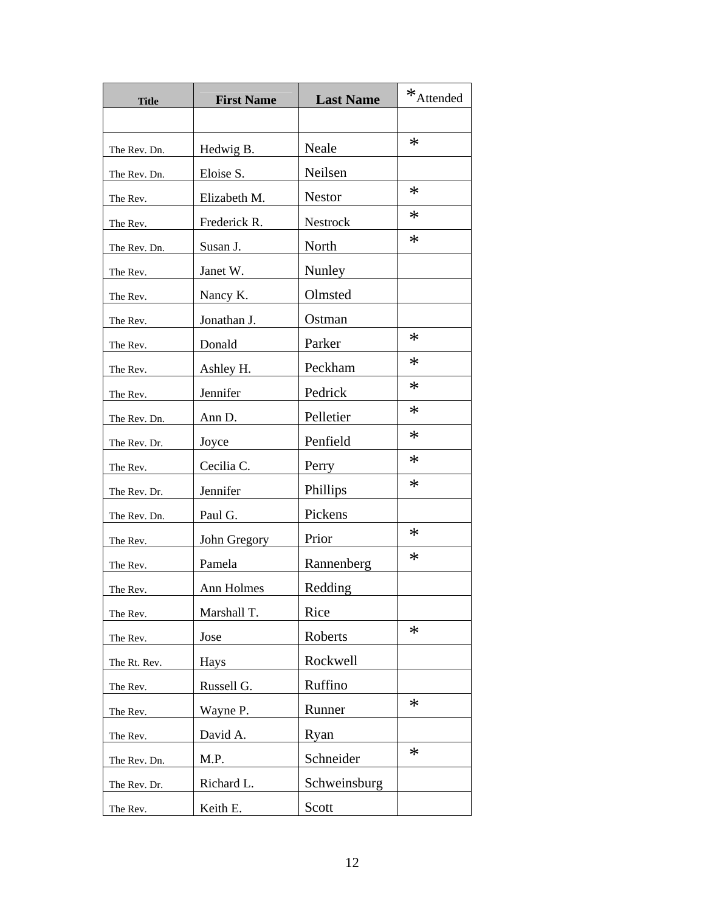| <b>Title</b> | <b>First Name</b> | <b>Last Name</b> | $*$ Attended |
|--------------|-------------------|------------------|--------------|
|              |                   |                  |              |
| The Rev. Dn. | Hedwig B.         | Neale            | $\ast$       |
| The Rev. Dn. | Eloise S.         | Neilsen          |              |
| The Rev.     | Elizabeth M.      | <b>Nestor</b>    | $\ast$       |
| The Rev.     | Frederick R.      | Nestrock         | $\ast$       |
| The Rev. Dn. | Susan J.          | North            | $\ast$       |
| The Rev.     | Janet W.          | Nunley           |              |
| The Rev.     | Nancy K.          | Olmsted          |              |
| The Rev.     | Jonathan J.       | Ostman           |              |
| The Rev.     | Donald            | Parker           | $\ast$       |
| The Rev.     | Ashley H.         | Peckham          | $\ast$       |
| The Rev.     | Jennifer          | Pedrick          | $\ast$       |
| The Rev. Dn. | Ann D.            | Pelletier        | $\ast$       |
| The Rev. Dr. | Joyce             | Penfield         | $\ast$       |
| The Rev.     | Cecilia C.        | Perry            | $\ast$       |
| The Rev. Dr. | Jennifer          | Phillips         | $\ast$       |
| The Rev. Dn. | Paul G.           | Pickens          |              |
| The Rev.     | John Gregory      | Prior            | $\ast$       |
| The Rev.     | Pamela            | Rannenberg       | $\ast$       |
| The Rev.     | Ann Holmes        | Redding          |              |
| The Rev.     | Marshall T.       | Rice             |              |
| The Rev.     | Jose              | Roberts          | $\ast$       |
| The Rt. Rev. | Hays              | Rockwell         |              |
| The Rev.     | Russell G.        | Ruffino          |              |
| The Rev.     | Wayne P.          | Runner           | $\ast$       |
| The Rev.     | David A.          | Ryan             |              |
| The Rev. Dn. | M.P.              | Schneider        | $\ast$       |
| The Rev. Dr. | Richard L.        | Schweinsburg     |              |
| The Rev.     | Keith E.          | Scott            |              |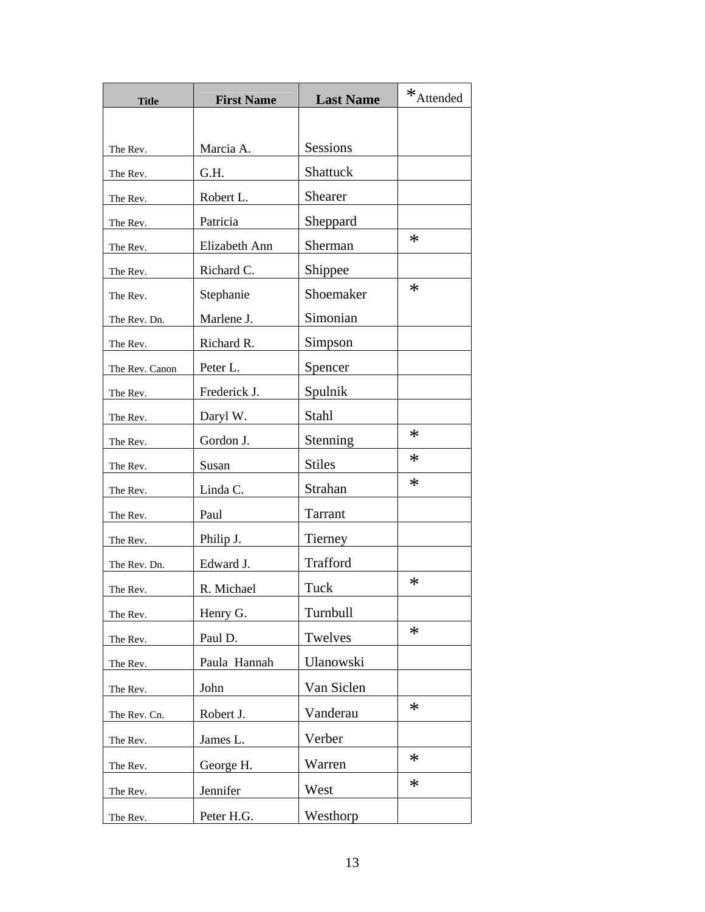| <b>Title</b>   | <b>First Name</b> | <b>Last Name</b> | $*$ Attended |
|----------------|-------------------|------------------|--------------|
|                |                   |                  |              |
| The Rev.       | Marcia A.         | <b>Sessions</b>  |              |
| The Rev.       | G.H.              | Shattuck         |              |
| The Rev.       | Robert L.         | Shearer          |              |
| The Rev.       | Patricia          | Sheppard         |              |
| The Rev.       | Elizabeth Ann     | Sherman          | $\ast$       |
| The Rev.       | Richard C.        | Shippee          |              |
| The Rev.       | Stephanie         | Shoemaker        | $\ast$       |
| The Rev. Dn.   | Marlene J.        | Simonian         |              |
| The Rev.       | Richard R.        | Simpson          |              |
| The Rev. Canon | Peter L.          | Spencer          |              |
| The Rev.       | Frederick J.      | Spulnik          |              |
| The Rev.       | Daryl W.          | Stahl            |              |
| The Rev.       | Gordon J.         | Stenning         | $\ast$       |
| The Rev.       | Susan             | <b>Stiles</b>    | $\ast$       |
| The Rev.       | Linda C.          | Strahan          | $\ast$       |
| The Rev.       | Paul              | Tarrant          |              |
| The Rev.       | Philip J.         | Tierney          |              |
| The Rev. Dn.   | Edward J.         | Trafford         |              |
| The Rev.       | R. Michael        | Tuck             | $\ast$       |
| The Rev.       | Henry G.          | Turnbull         |              |
| The Rev.       | Paul D.           | Twelves          | $\ast$       |
| The Rev.       | Paula Hannah      | Ulanowski        |              |
| The Rev.       | John              | Van Siclen       |              |
| The Rev. Cn.   | Robert J.         | Vanderau         | $\ast$       |
| The Rev.       | James L.          | Verber           |              |
| The Rev.       | George H.         | Warren           | $\ast$       |
| The Rev.       | Jennifer          | West             | $\ast$       |
| The Rev.       | Peter H.G.        | Westhorp         |              |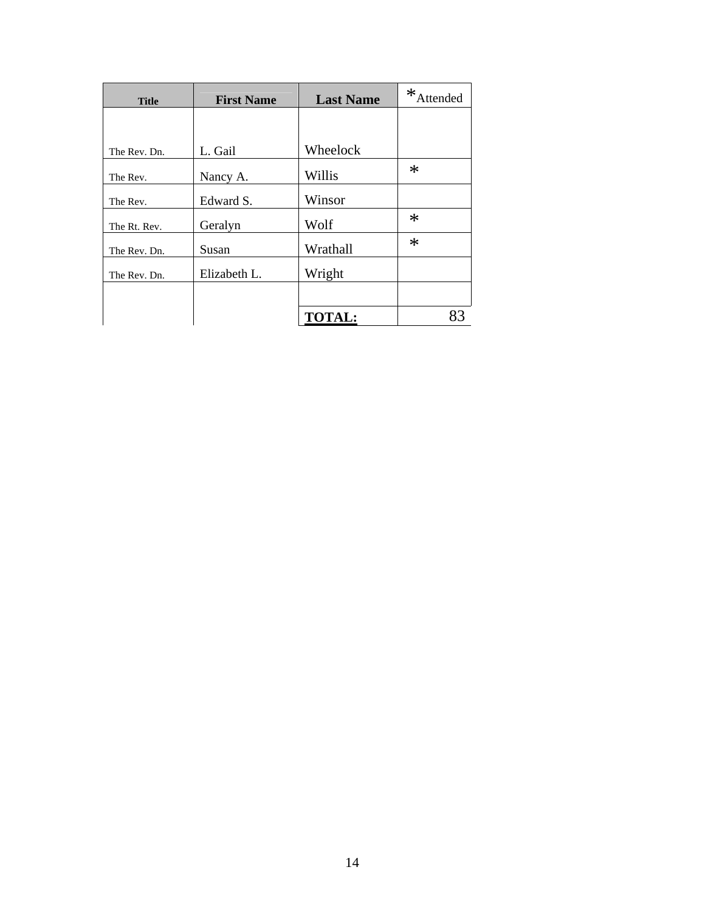| <b>Title</b> | <b>First Name</b> | <b>Last Name</b> | ∗<br><b>Attended</b> |
|--------------|-------------------|------------------|----------------------|
|              |                   |                  |                      |
| The Rev. Dn. | L. Gail           | Wheelock         |                      |
| The Rev.     | Nancy A.          | Willis           | $\ast$               |
| The Rev.     | Edward S.         | Winsor           |                      |
| The Rt. Rev. | Geralyn           | Wolf             | $\ast$               |
| The Rev. Dn. | Susan             | Wrathall         | $\ast$               |
| The Rev. Dn. | Elizabeth L.      | Wright           |                      |
|              |                   |                  |                      |
|              |                   | <b>TOTAL:</b>    | 83                   |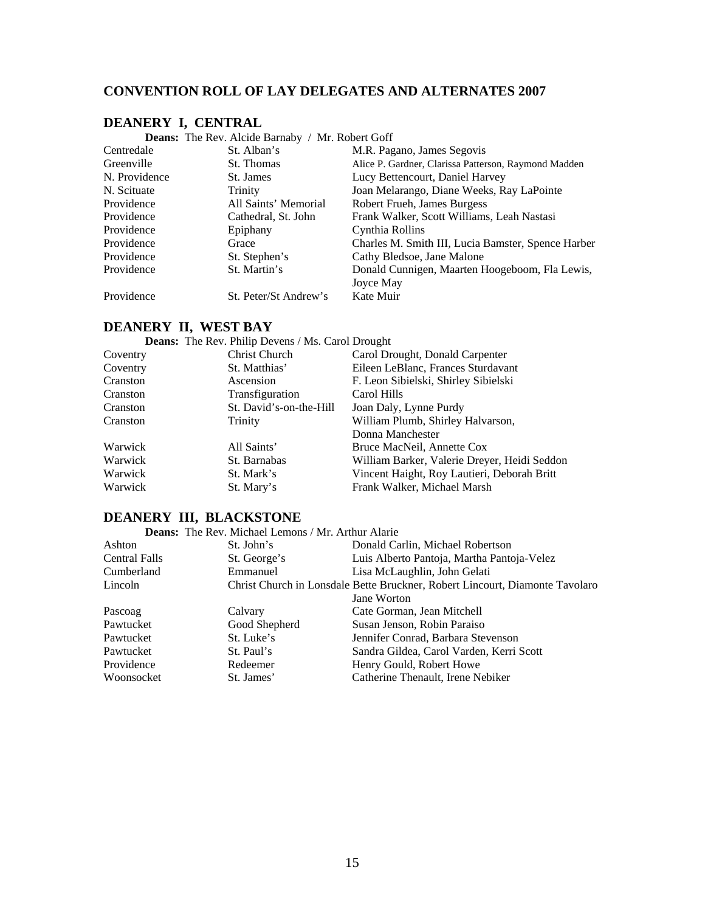# **CONVENTION ROLL OF LAY DELEGATES AND ALTERNATES 2007**

#### **DEANERY I, CENTRAL**

**Deans:** The Rev. Alcide Barnaby / Mr. Robert Goff

| Centredale    | St. Alban's           | M.R. Pagano, James Segovis                           |
|---------------|-----------------------|------------------------------------------------------|
| Greenville    | St. Thomas            | Alice P. Gardner, Clarissa Patterson, Raymond Madden |
| N. Providence | St. James             | Lucy Bettencourt, Daniel Harvey                      |
| N. Scituate   | Trinity               | Joan Melarango, Diane Weeks, Ray LaPointe            |
| Providence    | All Saints' Memorial  | Robert Frueh, James Burgess                          |
| Providence    | Cathedral, St. John   | Frank Walker, Scott Williams, Leah Nastasi           |
| Providence    | Epiphany              | Cynthia Rollins                                      |
| Providence    | Grace                 | Charles M. Smith III, Lucia Bamster, Spence Harber   |
| Providence    | St. Stephen's         | Cathy Bledsoe, Jane Malone                           |
| Providence    | St. Martin's          | Donald Cunnigen, Maarten Hoogeboom, Fla Lewis,       |
|               |                       | Joyce May                                            |
| Providence    | St. Peter/St Andrew's | Kate Muir                                            |

# **DEANERY II, WEST BAY**

| <b>Deans:</b> The Rev. Philip Devens / Ms. Carol Drought |                                              |
|----------------------------------------------------------|----------------------------------------------|
| Christ Church                                            | Carol Drought, Donald Carpenter              |
| St. Matthias'                                            | Eileen LeBlanc, Frances Sturdavant           |
| Ascension                                                | F. Leon Sibielski, Shirley Sibielski         |
| Transfiguration                                          | Carol Hills                                  |
| St. David's-on-the-Hill                                  | Joan Daly, Lynne Purdy                       |
| Trinity                                                  | William Plumb, Shirley Halvarson,            |
|                                                          | Donna Manchester                             |
| All Saints'                                              | Bruce MacNeil, Annette Cox                   |
| St. Barnabas                                             | William Barker, Valerie Dreyer, Heidi Seddon |
| St. Mark's                                               | Vincent Haight, Roy Lautieri, Deborah Britt  |
| St. Mary's                                               | Frank Walker, Michael Marsh                  |
|                                                          |                                              |

# **DEANERY III, BLACKSTONE**

**Deans:** The Rev. Michael Lemons / Mr. Arthur Alarie

| Ashton               | St. John's    | Donald Carlin, Michael Robertson                                             |
|----------------------|---------------|------------------------------------------------------------------------------|
| <b>Central Falls</b> | St. George's  | Luis Alberto Pantoja, Martha Pantoja-Velez                                   |
| Cumberland           | Emmanuel      | Lisa McLaughlin, John Gelati                                                 |
| Lincoln              |               | Christ Church in Lonsdale Bette Bruckner, Robert Lincourt, Diamonte Tavolaro |
|                      |               | Jane Worton                                                                  |
| Pascoag              | Calvary       | Cate Gorman, Jean Mitchell                                                   |
| Pawtucket            | Good Shepherd | Susan Jenson, Robin Paraiso                                                  |
| Pawtucket            | St. Luke's    | Jennifer Conrad, Barbara Stevenson                                           |
| Pawtucket            | St. Paul's    | Sandra Gildea, Carol Varden, Kerri Scott                                     |
| Providence           | Redeemer      | Henry Gould, Robert Howe                                                     |
| Woonsocket           | St. James'    | Catherine Thenault, Irene Nebiker                                            |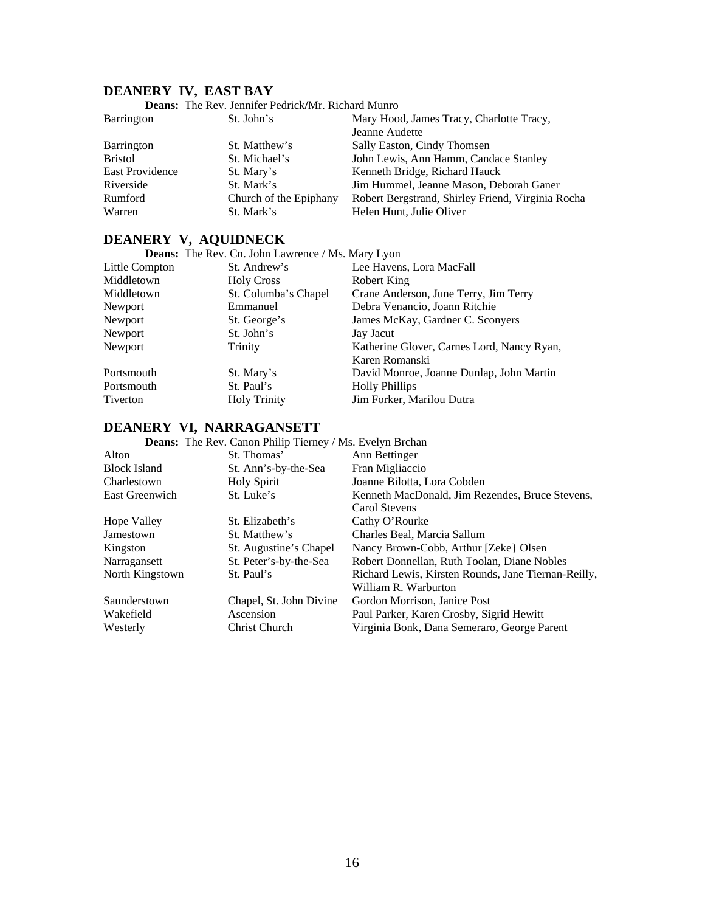# **DEANERY IV, EAST BAY**

|                   | <b>Deans:</b> The Rev. Jennifer Pedrick/Mr. Richard Munro |                                                   |
|-------------------|-----------------------------------------------------------|---------------------------------------------------|
| <b>Barrington</b> | St. John's                                                | Mary Hood, James Tracy, Charlotte Tracy,          |
|                   |                                                           | Jeanne Audette                                    |
| Barrington        | St. Matthew's                                             | Sally Easton, Cindy Thomsen                       |
| <b>Bristol</b>    | St. Michael's                                             | John Lewis, Ann Hamm, Candace Stanley             |
| East Providence   | St. Mary's                                                | Kenneth Bridge, Richard Hauck                     |
| Riverside         | St. Mark's                                                | Jim Hummel, Jeanne Mason, Deborah Ganer           |
| Rumford           | Church of the Epiphany                                    | Robert Bergstrand, Shirley Friend, Virginia Rocha |
| Warren            | St. Mark's                                                | Helen Hunt, Julie Oliver                          |

# **DEANERY V, AQUIDNECK**

| <b>Deans:</b> The Rev. Cn. John Lawrence / Ms. Mary Lyon |                      |                                            |
|----------------------------------------------------------|----------------------|--------------------------------------------|
| Little Compton                                           | St. Andrew's         | Lee Havens, Lora MacFall                   |
| Middletown                                               | <b>Holy Cross</b>    | Robert King                                |
| Middletown                                               | St. Columba's Chapel | Crane Anderson, June Terry, Jim Terry      |
| Newport                                                  | Emmanuel             | Debra Venancio, Joann Ritchie              |
| Newport                                                  | St. George's         | James McKay, Gardner C. Sconyers           |
| Newport                                                  | St. John's           | Jay Jacut                                  |
| Newport                                                  | Trinity              | Katherine Glover, Carnes Lord, Nancy Ryan, |
|                                                          |                      | Karen Romanski                             |
| Portsmouth                                               | St. Mary's           | David Monroe, Joanne Dunlap, John Martin   |
| Portsmouth                                               | St. Paul's           | <b>Holly Phillips</b>                      |
| Tiverton                                                 | <b>Holy Trinity</b>  | Jim Forker, Marilou Dutra                  |

#### **DEANERY VI, NARRAGANSETT**

| <b>Deans:</b> The Rev. Canon Philip Tierney / Ms. Evelyn Brchan |                         |                                                     |
|-----------------------------------------------------------------|-------------------------|-----------------------------------------------------|
| Alton                                                           | St. Thomas'             | Ann Bettinger                                       |
| <b>Block Island</b>                                             | St. Ann's-by-the-Sea    | Fran Migliaccio                                     |
| Charlestown                                                     | <b>Holy Spirit</b>      | Joanne Bilotta, Lora Cobden                         |
| East Greenwich                                                  | St. Luke's              | Kenneth MacDonald, Jim Rezendes, Bruce Stevens,     |
|                                                                 |                         | Carol Stevens                                       |
| <b>Hope Valley</b>                                              | St. Elizabeth's         | Cathy O'Rourke                                      |
| Jamestown                                                       | St. Matthew's           | Charles Beal, Marcia Sallum                         |
| Kingston                                                        | St. Augustine's Chapel  | Nancy Brown-Cobb, Arthur [Zeke] Olsen               |
| Narragansett                                                    | St. Peter's-by-the-Sea  | Robert Donnellan, Ruth Toolan, Diane Nobles         |
| North Kingstown                                                 | St. Paul's              | Richard Lewis, Kirsten Rounds, Jane Tiernan-Reilly, |
|                                                                 |                         | William R. Warburton                                |
| Saunderstown                                                    | Chapel, St. John Divine | Gordon Morrison, Janice Post                        |
| Wakefield                                                       | Ascension               | Paul Parker, Karen Crosby, Sigrid Hewitt            |
| Westerly                                                        | Christ Church           | Virginia Bonk, Dana Semeraro, George Parent         |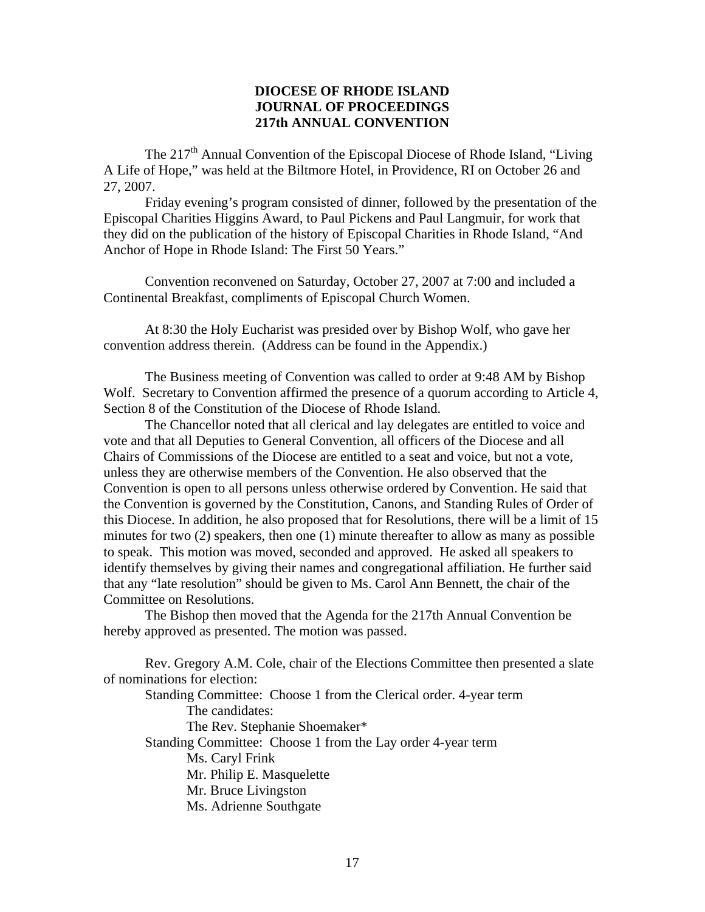## **DIOCESE OF RHODE ISLAND JOURNAL OF PROCEEDINGS 217th ANNUAL CONVENTION**

The  $217<sup>th</sup>$  Annual Convention of the Episcopal Diocese of Rhode Island, "Living" A Life of Hope," was held at the Biltmore Hotel, in Providence, RI on October 26 and 27, 2007.

 Friday evening's program consisted of dinner, followed by the presentation of the Episcopal Charities Higgins Award, to Paul Pickens and Paul Langmuir, for work that they did on the publication of the history of Episcopal Charities in Rhode Island, "And Anchor of Hope in Rhode Island: The First 50 Years."

Convention reconvened on Saturday, October 27, 2007 at 7:00 and included a Continental Breakfast, compliments of Episcopal Church Women.

At 8:30 the Holy Eucharist was presided over by Bishop Wolf, who gave her convention address therein. (Address can be found in the Appendix.)

The Business meeting of Convention was called to order at 9:48 AM by Bishop Wolf. Secretary to Convention affirmed the presence of a quorum according to Article 4, Section 8 of the Constitution of the Diocese of Rhode Island.

 The Chancellor noted that all clerical and lay delegates are entitled to voice and vote and that all Deputies to General Convention, all officers of the Diocese and all Chairs of Commissions of the Diocese are entitled to a seat and voice, but not a vote, unless they are otherwise members of the Convention. He also observed that the Convention is open to all persons unless otherwise ordered by Convention. He said that the Convention is governed by the Constitution, Canons, and Standing Rules of Order of this Diocese. In addition, he also proposed that for Resolutions, there will be a limit of 15 minutes for two  $(2)$  speakers, then one  $(1)$  minute thereafter to allow as many as possible to speak. This motion was moved, seconded and approved. He asked all speakers to identify themselves by giving their names and congregational affiliation. He further said that any "late resolution" should be given to Ms. Carol Ann Bennett, the chair of the Committee on Resolutions.

 The Bishop then moved that the Agenda for the 217th Annual Convention be hereby approved as presented. The motion was passed.

 Rev. Gregory A.M. Cole, chair of the Elections Committee then presented a slate of nominations for election:

 Standing Committee: Choose 1 from the Clerical order. 4-year term The candidates: The Rev. Stephanie Shoemaker\* Standing Committee: Choose 1 from the Lay order 4-year term Ms. Caryl Frink Mr. Philip E. Masquelette Mr. Bruce Livingston Ms. Adrienne Southgate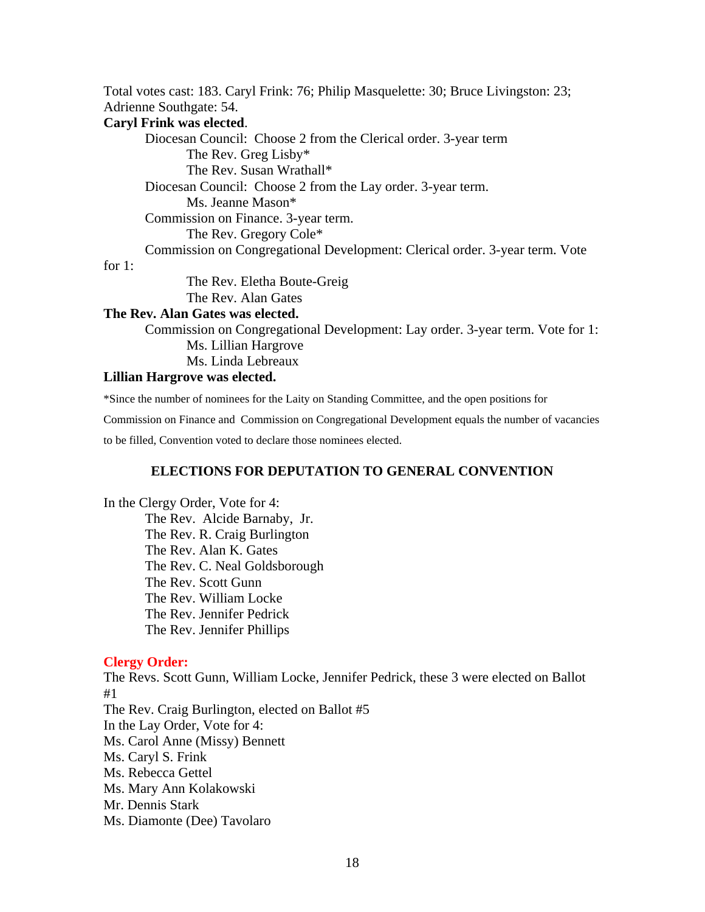Total votes cast: 183. Caryl Frink: 76; Philip Masquelette: 30; Bruce Livingston: 23; Adrienne Southgate: 54.

#### **Caryl Frink was elected**.

 Diocesan Council: Choose 2 from the Clerical order. 3-year term The Rev. Greg Lisby\* The Rev. Susan Wrathall\* Diocesan Council: Choose 2 from the Lay order. 3-year term. Ms. Jeanne Mason\* Commission on Finance. 3-year term. The Rev. Gregory Cole\* Commission on Congregational Development: Clerical order. 3-year term. Vote The Rev. Eletha Boute-Greig

# for 1:

The Rev. Alan Gates

#### **The Rev. Alan Gates was elected.**

Commission on Congregational Development: Lay order. 3-year term. Vote for 1: Ms. Lillian Hargrove Ms. Linda Lebreaux

#### **Lillian Hargrove was elected.**

\*Since the number of nominees for the Laity on Standing Committee, and the open positions for

Commission on Finance and Commission on Congregational Development equals the number of vacancies

to be filled, Convention voted to declare those nominees elected.

## **ELECTIONS FOR DEPUTATION TO GENERAL CONVENTION**

In the Clergy Order, Vote for 4: The Rev. Alcide Barnaby, Jr. The Rev. R. Craig Burlington The Rev. Alan K. Gates The Rev. C. Neal Goldsborough The Rev. Scott Gunn The Rev. William Locke The Rev. Jennifer Pedrick The Rev. Jennifer Phillips

#### **Clergy Order:**

The Revs. Scott Gunn, William Locke, Jennifer Pedrick, these 3 were elected on Ballot #1 The Rev. Craig Burlington, elected on Ballot #5 In the Lay Order, Vote for 4: Ms. Carol Anne (Missy) Bennett Ms. Caryl S. Frink Ms. Rebecca Gettel Ms. Mary Ann Kolakowski Mr. Dennis Stark Ms. Diamonte (Dee) Tavolaro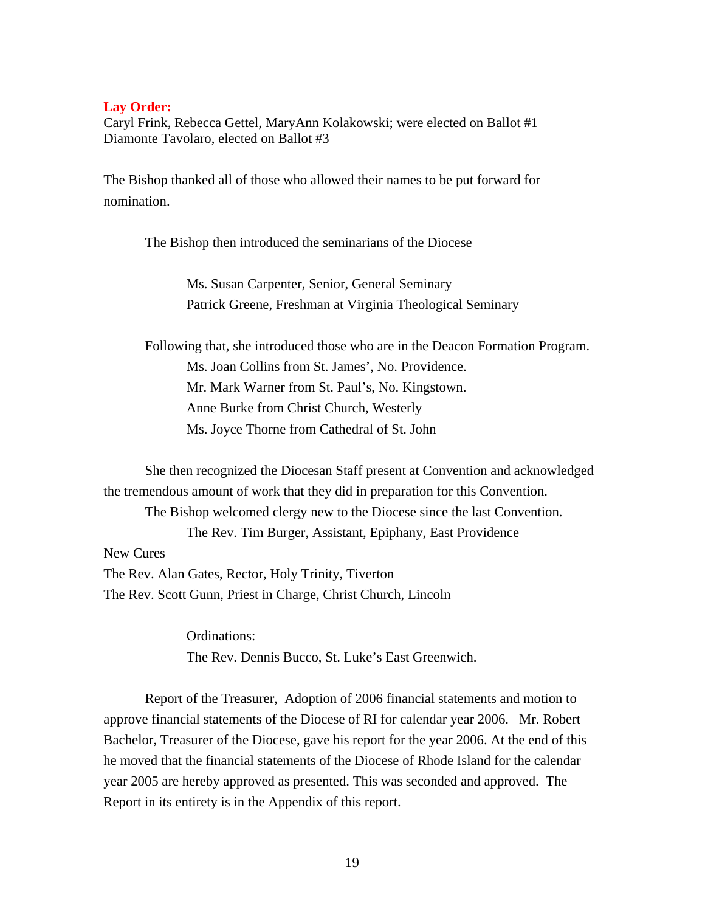#### **Lay Order:**

Caryl Frink, Rebecca Gettel, MaryAnn Kolakowski; were elected on Ballot #1 Diamonte Tavolaro, elected on Ballot #3

The Bishop thanked all of those who allowed their names to be put forward for nomination.

The Bishop then introduced the seminarians of the Diocese

Ms. Susan Carpenter, Senior, General Seminary Patrick Greene, Freshman at Virginia Theological Seminary

 Following that, she introduced those who are in the Deacon Formation Program. Ms. Joan Collins from St. James', No. Providence. Mr. Mark Warner from St. Paul's, No. Kingstown. Anne Burke from Christ Church, Westerly Ms. Joyce Thorne from Cathedral of St. John

 She then recognized the Diocesan Staff present at Convention and acknowledged the tremendous amount of work that they did in preparation for this Convention. The Bishop welcomed clergy new to the Diocese since the last Convention. The Rev. Tim Burger, Assistant, Epiphany, East Providence New Cures The Rev. Alan Gates, Rector, Holy Trinity, Tiverton The Rev. Scott Gunn, Priest in Charge, Christ Church, Lincoln

> Ordinations: The Rev. Dennis Bucco, St. Luke's East Greenwich.

Report of the Treasurer, Adoption of 2006 financial statements and motion to approve financial statements of the Diocese of RI for calendar year 2006. Mr. Robert Bachelor, Treasurer of the Diocese, gave his report for the year 2006. At the end of this he moved that the financial statements of the Diocese of Rhode Island for the calendar year 2005 are hereby approved as presented. This was seconded and approved. The Report in its entirety is in the Appendix of this report.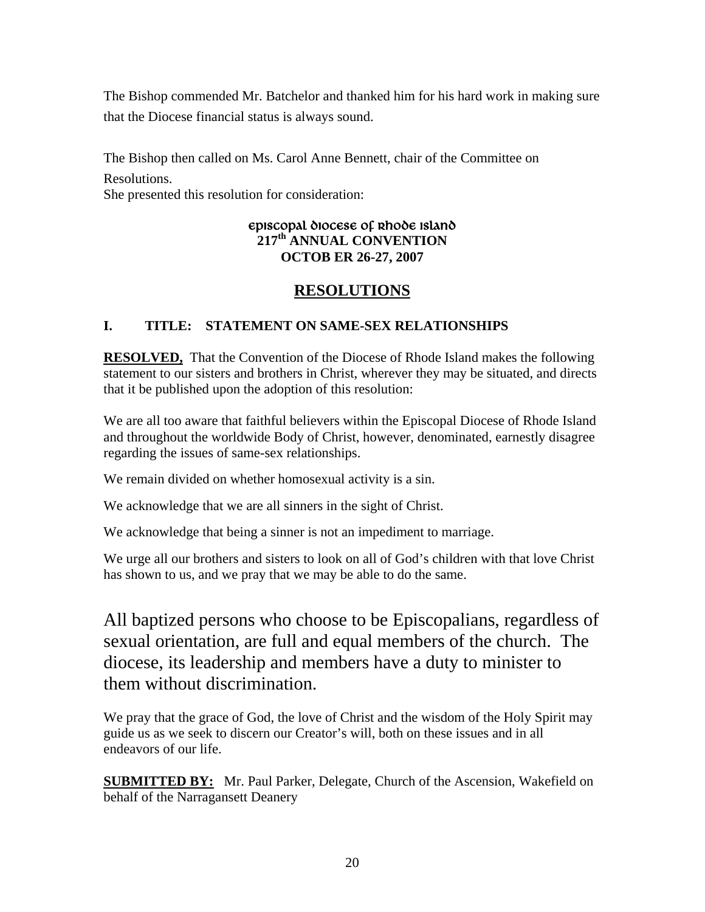The Bishop commended Mr. Batchelor and thanked him for his hard work in making sure that the Diocese financial status is always sound.

The Bishop then called on Ms. Carol Anne Bennett, chair of the Committee on Resolutions.

She presented this resolution for consideration:

# EPISCOPAL DIOCESE OF RHODE ISLAND **217th ANNUAL CONVENTION OCTOB ER 26-27, 2007**

# **RESOLUTIONS**

# **I. TITLE: STATEMENT ON SAME-SEX RELATIONSHIPS**

**RESOLVED,** That the Convention of the Diocese of Rhode Island makes the following statement to our sisters and brothers in Christ, wherever they may be situated, and directs that it be published upon the adoption of this resolution:

We are all too aware that faithful believers within the Episcopal Diocese of Rhode Island and throughout the worldwide Body of Christ, however, denominated, earnestly disagree regarding the issues of same-sex relationships.

We remain divided on whether homosexual activity is a sin.

We acknowledge that we are all sinners in the sight of Christ.

We acknowledge that being a sinner is not an impediment to marriage.

We urge all our brothers and sisters to look on all of God's children with that love Christ has shown to us, and we pray that we may be able to do the same.

All baptized persons who choose to be Episcopalians, regardless of sexual orientation, are full and equal members of the church. The diocese, its leadership and members have a duty to minister to them without discrimination.

We pray that the grace of God, the love of Christ and the wisdom of the Holy Spirit may guide us as we seek to discern our Creator's will, both on these issues and in all endeavors of our life.

**SUBMITTED BY:** Mr. Paul Parker, Delegate, Church of the Ascension, Wakefield on behalf of the Narragansett Deanery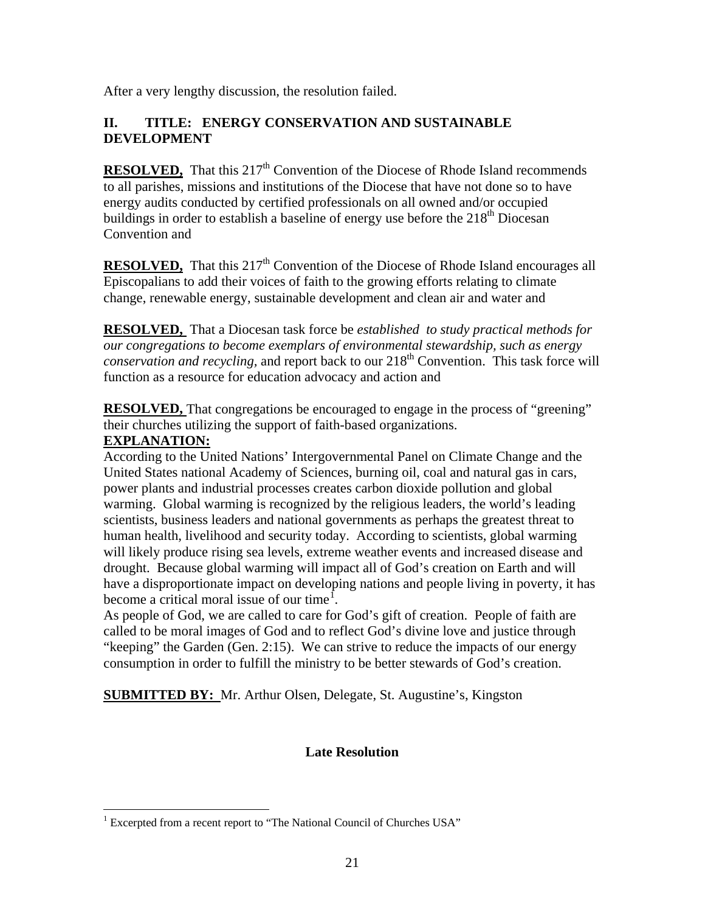After a very lengthy discussion, the resolution failed.

# **II. TITLE: ENERGY CONSERVATION AND SUSTAINABLE DEVELOPMENT**

**RESOLVED.** That this 217<sup>th</sup> Convention of the Diocese of Rhode Island recommends to all parishes, missions and institutions of the Diocese that have not done so to have energy audits conducted by certified professionals on all owned and/or occupied buildings in order to establish a baseline of energy use before the  $218<sup>th</sup>$  Diocesan Convention and

**RESOLVED.** That this 217<sup>th</sup> Convention of the Diocese of Rhode Island encourages all Episcopalians to add their voices of faith to the growing efforts relating to climate change, renewable energy, sustainable development and clean air and water and

**RESOLVED,** That a Diocesan task force be *established to study practical methods for our congregations to become exemplars of environmental stewardship, such as energy conservation and recycling,* and report back to our 218<sup>th</sup> Convention. This task force will function as a resource for education advocacy and action and

**RESOLVED,** That congregations be encouraged to engage in the process of "greening" their churches utilizing the support of faith-based organizations.

# **EXPLANATION:**

 $\overline{a}$ 

According to the United Nations' Intergovernmental Panel on Climate Change and the United States national Academy of Sciences, burning oil, coal and natural gas in cars, power plants and industrial processes creates carbon dioxide pollution and global warming. Global warming is recognized by the religious leaders, the world's leading scientists, business leaders and national governments as perhaps the greatest threat to human health, livelihood and security today. According to scientists, global warming will likely produce rising sea levels, extreme weather events and increased disease and drought. Because global warming will impact all of God's creation on Earth and will have a disproportionate impact on developing nations and people living in poverty, it has become a critical moral issue of our time<sup>[1](#page-19-0)</sup>.

As people of God, we are called to care for God's gift of creation. People of faith are called to be moral images of God and to reflect God's divine love and justice through "keeping" the Garden (Gen. 2:15). We can strive to reduce the impacts of our energy consumption in order to fulfill the ministry to be better stewards of God's creation.

**SUBMITTED BY:** Mr. Arthur Olsen, Delegate, St. Augustine's, Kingston

# **Late Resolution**

<span id="page-19-0"></span><sup>&</sup>lt;sup>1</sup> Excerpted from a recent report to "The National Council of Churches USA"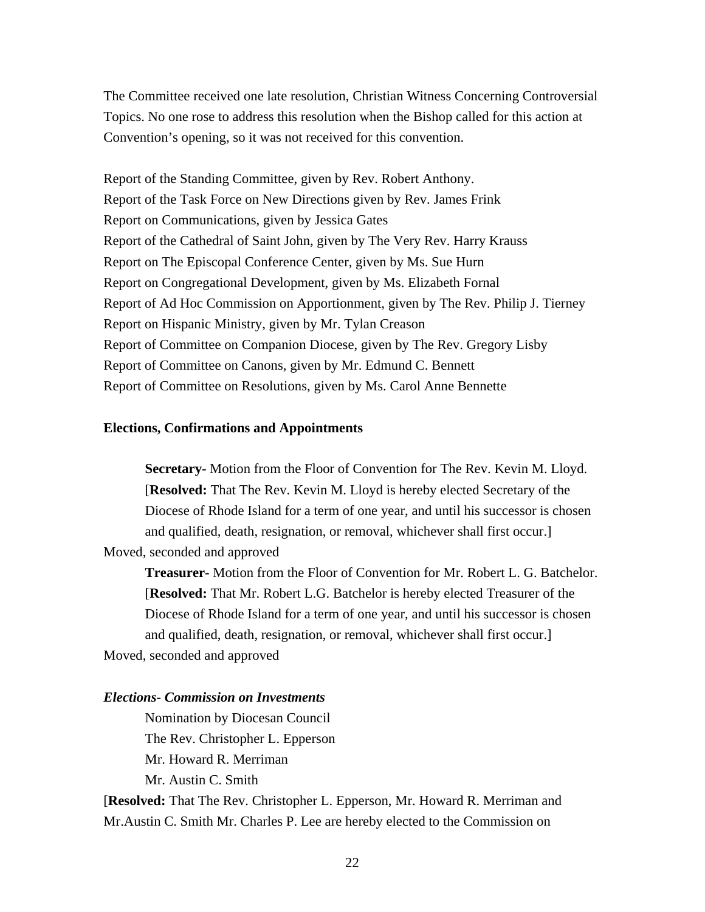The Committee received one late resolution, Christian Witness Concerning Controversial Topics. No one rose to address this resolution when the Bishop called for this action at Convention's opening, so it was not received for this convention.

Report of the Standing Committee, given by Rev. Robert Anthony. Report of the Task Force on New Directions given by Rev. James Frink Report on Communications, given by Jessica Gates Report of the Cathedral of Saint John, given by The Very Rev. Harry Krauss Report on The Episcopal Conference Center, given by Ms. Sue Hurn Report on Congregational Development, given by Ms. Elizabeth Fornal Report of Ad Hoc Commission on Apportionment, given by The Rev. Philip J. Tierney Report on Hispanic Ministry, given by Mr. Tylan Creason Report of Committee on Companion Diocese, given by The Rev. Gregory Lisby Report of Committee on Canons, given by Mr. Edmund C. Bennett Report of Committee on Resolutions, given by Ms. Carol Anne Bennette

#### **Elections, Confirmations and Appointments**

**Secretary-** Motion from the Floor of Convention for The Rev. Kevin M. Lloyd. [**Resolved:** That The Rev. Kevin M. Lloyd is hereby elected Secretary of the Diocese of Rhode Island for a term of one year, and until his successor is chosen and qualified, death, resignation, or removal, whichever shall first occur.] Moved, seconded and approved

**Treasurer-** Motion from the Floor of Convention for Mr. Robert L. G. Batchelor. [**Resolved:** That Mr. Robert L.G. Batchelor is hereby elected Treasurer of the Diocese of Rhode Island for a term of one year, and until his successor is chosen and qualified, death, resignation, or removal, whichever shall first occur.] Moved, seconded and approved

## *Elections- Commission on Investments*

 Nomination by Diocesan Council The Rev. Christopher L. Epperson Mr. Howard R. Merriman Mr. Austin C. Smith

[**Resolved:** That The Rev. Christopher L. Epperson, Mr. Howard R. Merriman and Mr.Austin C. Smith Mr. Charles P. Lee are hereby elected to the Commission on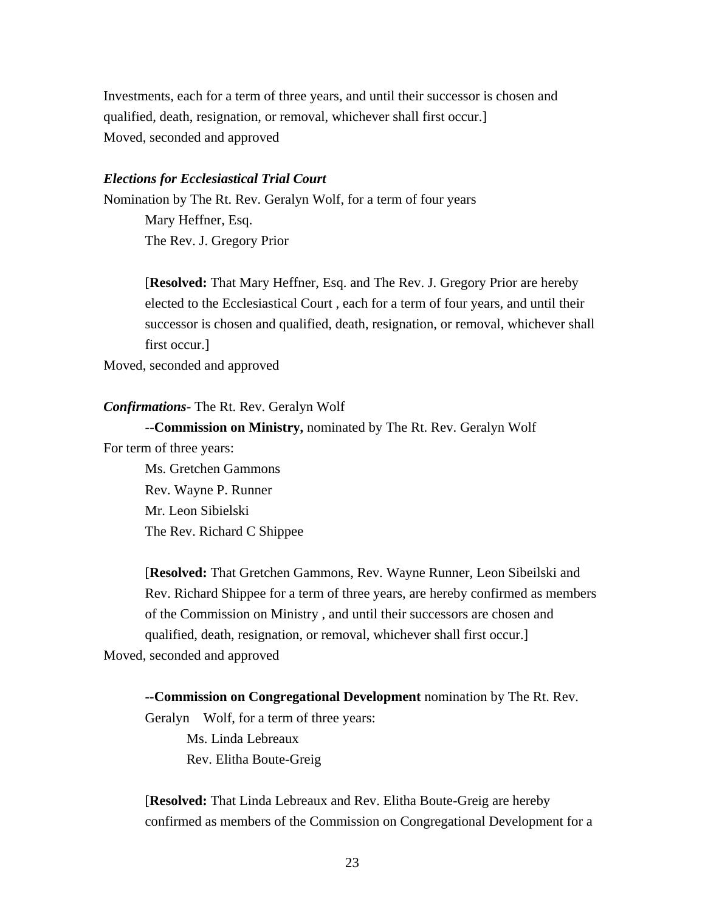Investments, each for a term of three years, and until their successor is chosen and qualified, death, resignation, or removal, whichever shall first occur.] Moved, seconded and approved

#### *Elections for Ecclesiastical Trial Court*

Nomination by The Rt. Rev. Geralyn Wolf, for a term of four years Mary Heffner, Esq. The Rev. J. Gregory Prior

> [**Resolved:** That Mary Heffner, Esq. and The Rev. J. Gregory Prior are hereby elected to the Ecclesiastical Court , each for a term of four years, and until their successor is chosen and qualified, death, resignation, or removal, whichever shall first occur.]

Moved, seconded and approved

#### *Confirmations*- The Rt. Rev. Geralyn Wolf

 --**Commission on Ministry,** nominated by The Rt. Rev. Geralyn Wolf For term of three years:

 Ms. Gretchen Gammons Rev. Wayne P. Runner Mr. Leon Sibielski The Rev. Richard C Shippee

[**Resolved:** That Gretchen Gammons, Rev. Wayne Runner, Leon Sibeilski and Rev. Richard Shippee for a term of three years, are hereby confirmed as members of the Commission on Ministry , and until their successors are chosen and qualified, death, resignation, or removal, whichever shall first occur.] Moved, seconded and approved

**--Commission on Congregational Development** nomination by The Rt. Rev. Geralyn Wolf, for a term of three years:

Ms. Linda Lebreaux Rev. Elitha Boute-Greig

[**Resolved:** That Linda Lebreaux and Rev. Elitha Boute-Greig are hereby confirmed as members of the Commission on Congregational Development for a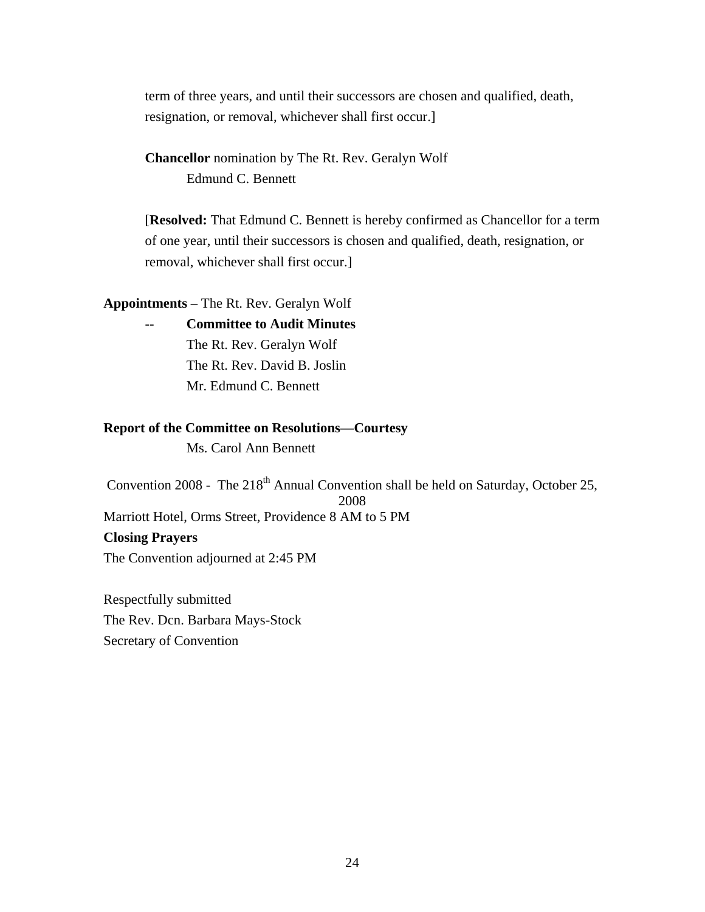term of three years, and until their successors are chosen and qualified, death, resignation, or removal, whichever shall first occur.]

**Chancellor** nomination by The Rt. Rev. Geralyn Wolf Edmund C. Bennett

[**Resolved:** That Edmund C. Bennett is hereby confirmed as Chancellor for a term of one year, until their successors is chosen and qualified, death, resignation, or removal, whichever shall first occur.]

**Appointments** – The Rt. Rev. Geralyn Wolf

**-- Committee to Audit Minutes** The Rt. Rev. Geralyn Wolf The Rt. Rev. David B. Joslin Mr. Edmund C. Bennett

#### **Report of the Committee on Resolutions—Courtesy**

Ms. Carol Ann Bennett

Convention 2008 - The 218<sup>th</sup> Annual Convention shall be held on Saturday, October 25, 2008 Marriott Hotel, Orms Street, Providence 8 AM to 5 PM **Closing Prayers**  The Convention adjourned at 2:45 PM

Respectfully submitted The Rev. Dcn. Barbara Mays-Stock Secretary of Convention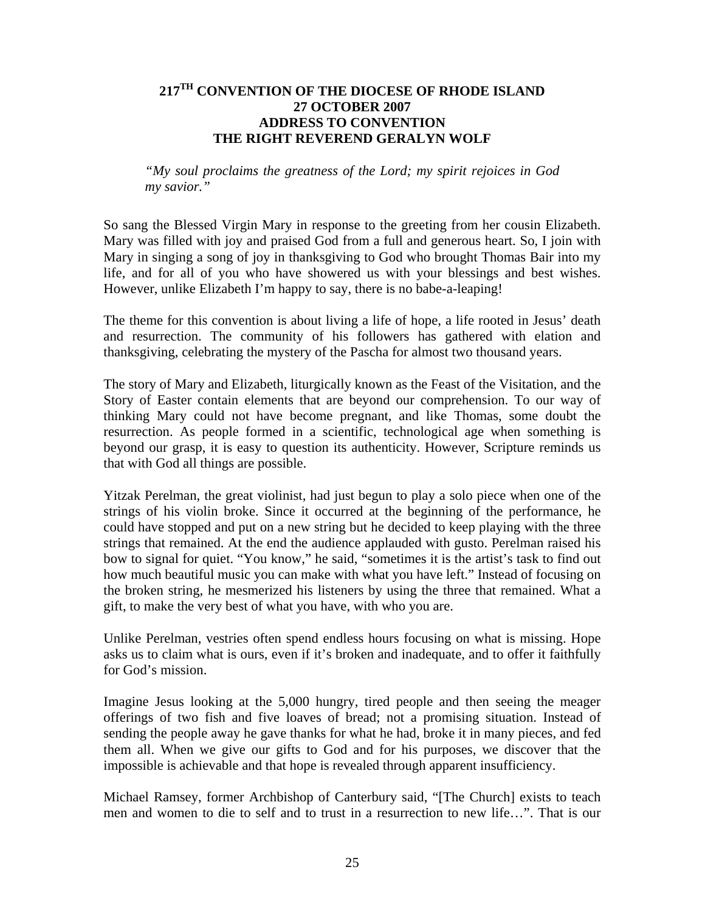# **217TH CONVENTION OF THE DIOCESE OF RHODE ISLAND 27 OCTOBER 2007 ADDRESS TO CONVENTION THE RIGHT REVEREND GERALYN WOLF**

*"My soul proclaims the greatness of the Lord; my spirit rejoices in God my savior."* 

So sang the Blessed Virgin Mary in response to the greeting from her cousin Elizabeth. Mary was filled with joy and praised God from a full and generous heart. So, I join with Mary in singing a song of joy in thanksgiving to God who brought Thomas Bair into my life, and for all of you who have showered us with your blessings and best wishes. However, unlike Elizabeth I'm happy to say, there is no babe-a-leaping!

The theme for this convention is about living a life of hope, a life rooted in Jesus' death and resurrection. The community of his followers has gathered with elation and thanksgiving, celebrating the mystery of the Pascha for almost two thousand years.

The story of Mary and Elizabeth, liturgically known as the Feast of the Visitation, and the Story of Easter contain elements that are beyond our comprehension. To our way of thinking Mary could not have become pregnant, and like Thomas, some doubt the resurrection. As people formed in a scientific, technological age when something is beyond our grasp, it is easy to question its authenticity. However, Scripture reminds us that with God all things are possible.

Yitzak Perelman, the great violinist, had just begun to play a solo piece when one of the strings of his violin broke. Since it occurred at the beginning of the performance, he could have stopped and put on a new string but he decided to keep playing with the three strings that remained. At the end the audience applauded with gusto. Perelman raised his bow to signal for quiet. "You know," he said, "sometimes it is the artist's task to find out how much beautiful music you can make with what you have left." Instead of focusing on the broken string, he mesmerized his listeners by using the three that remained. What a gift, to make the very best of what you have, with who you are.

Unlike Perelman, vestries often spend endless hours focusing on what is missing. Hope asks us to claim what is ours, even if it's broken and inadequate, and to offer it faithfully for God's mission.

Imagine Jesus looking at the 5,000 hungry, tired people and then seeing the meager offerings of two fish and five loaves of bread; not a promising situation. Instead of sending the people away he gave thanks for what he had, broke it in many pieces, and fed them all. When we give our gifts to God and for his purposes, we discover that the impossible is achievable and that hope is revealed through apparent insufficiency.

Michael Ramsey, former Archbishop of Canterbury said, "[The Church] exists to teach men and women to die to self and to trust in a resurrection to new life…". That is our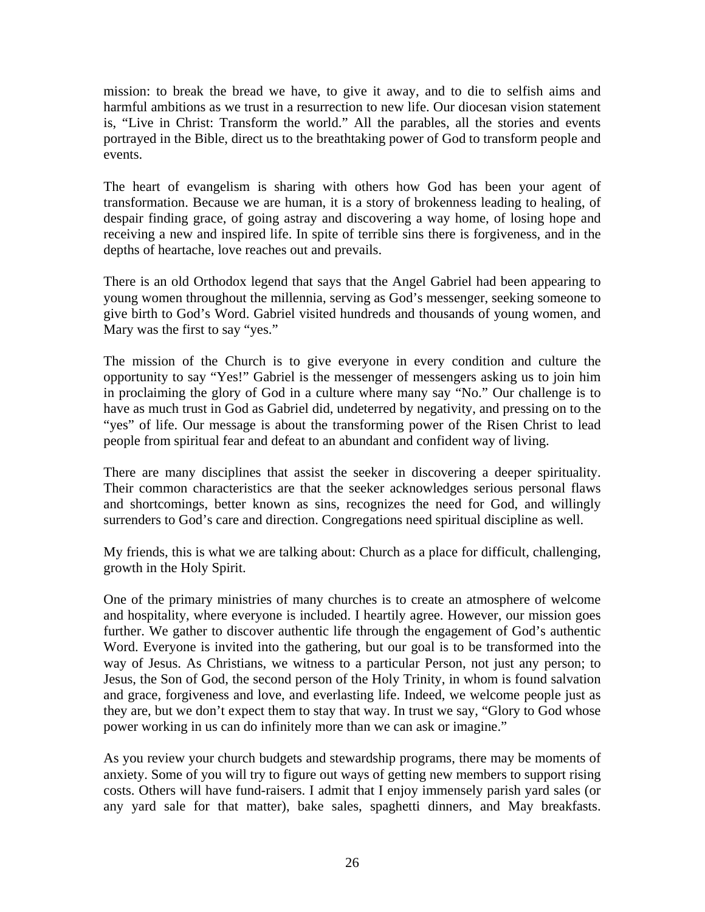mission: to break the bread we have, to give it away, and to die to selfish aims and harmful ambitions as we trust in a resurrection to new life. Our diocesan vision statement is, "Live in Christ: Transform the world." All the parables, all the stories and events portrayed in the Bible, direct us to the breathtaking power of God to transform people and events.

The heart of evangelism is sharing with others how God has been your agent of transformation. Because we are human, it is a story of brokenness leading to healing, of despair finding grace, of going astray and discovering a way home, of losing hope and receiving a new and inspired life. In spite of terrible sins there is forgiveness, and in the depths of heartache, love reaches out and prevails.

There is an old Orthodox legend that says that the Angel Gabriel had been appearing to young women throughout the millennia, serving as God's messenger, seeking someone to give birth to God's Word. Gabriel visited hundreds and thousands of young women, and Mary was the first to say "yes."

The mission of the Church is to give everyone in every condition and culture the opportunity to say "Yes!" Gabriel is the messenger of messengers asking us to join him in proclaiming the glory of God in a culture where many say "No." Our challenge is to have as much trust in God as Gabriel did, undeterred by negativity, and pressing on to the "yes" of life. Our message is about the transforming power of the Risen Christ to lead people from spiritual fear and defeat to an abundant and confident way of living.

There are many disciplines that assist the seeker in discovering a deeper spirituality. Their common characteristics are that the seeker acknowledges serious personal flaws and shortcomings, better known as sins, recognizes the need for God, and willingly surrenders to God's care and direction. Congregations need spiritual discipline as well.

My friends, this is what we are talking about: Church as a place for difficult, challenging, growth in the Holy Spirit.

One of the primary ministries of many churches is to create an atmosphere of welcome and hospitality, where everyone is included. I heartily agree. However, our mission goes further. We gather to discover authentic life through the engagement of God's authentic Word. Everyone is invited into the gathering, but our goal is to be transformed into the way of Jesus. As Christians, we witness to a particular Person, not just any person; to Jesus, the Son of God, the second person of the Holy Trinity, in whom is found salvation and grace, forgiveness and love, and everlasting life. Indeed, we welcome people just as they are, but we don't expect them to stay that way. In trust we say, "Glory to God whose power working in us can do infinitely more than we can ask or imagine."

As you review your church budgets and stewardship programs, there may be moments of anxiety. Some of you will try to figure out ways of getting new members to support rising costs. Others will have fund-raisers. I admit that I enjoy immensely parish yard sales (or any yard sale for that matter), bake sales, spaghetti dinners, and May breakfasts.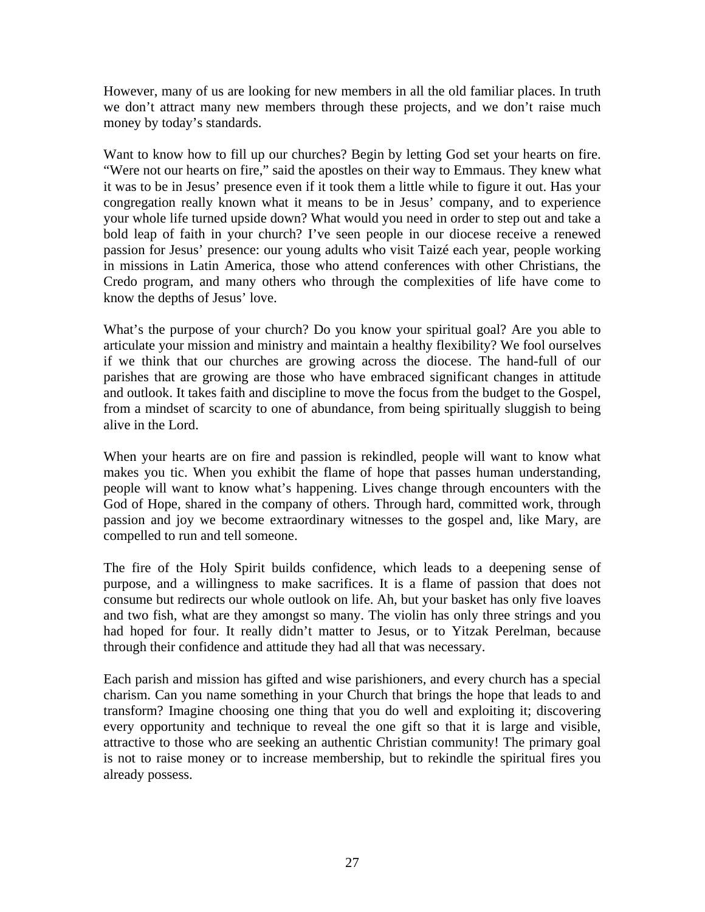However, many of us are looking for new members in all the old familiar places. In truth we don't attract many new members through these projects, and we don't raise much money by today's standards.

Want to know how to fill up our churches? Begin by letting God set your hearts on fire. "Were not our hearts on fire," said the apostles on their way to Emmaus. They knew what it was to be in Jesus' presence even if it took them a little while to figure it out. Has your congregation really known what it means to be in Jesus' company, and to experience your whole life turned upside down? What would you need in order to step out and take a bold leap of faith in your church? I've seen people in our diocese receive a renewed passion for Jesus' presence: our young adults who visit Taizé each year, people working in missions in Latin America, those who attend conferences with other Christians, the Credo program, and many others who through the complexities of life have come to know the depths of Jesus' love.

What's the purpose of your church? Do you know your spiritual goal? Are you able to articulate your mission and ministry and maintain a healthy flexibility? We fool ourselves if we think that our churches are growing across the diocese. The hand-full of our parishes that are growing are those who have embraced significant changes in attitude and outlook. It takes faith and discipline to move the focus from the budget to the Gospel, from a mindset of scarcity to one of abundance, from being spiritually sluggish to being alive in the Lord.

When your hearts are on fire and passion is rekindled, people will want to know what makes you tic. When you exhibit the flame of hope that passes human understanding, people will want to know what's happening. Lives change through encounters with the God of Hope, shared in the company of others. Through hard, committed work, through passion and joy we become extraordinary witnesses to the gospel and, like Mary, are compelled to run and tell someone.

The fire of the Holy Spirit builds confidence, which leads to a deepening sense of purpose, and a willingness to make sacrifices. It is a flame of passion that does not consume but redirects our whole outlook on life. Ah, but your basket has only five loaves and two fish, what are they amongst so many. The violin has only three strings and you had hoped for four. It really didn't matter to Jesus, or to Yitzak Perelman, because through their confidence and attitude they had all that was necessary.

Each parish and mission has gifted and wise parishioners, and every church has a special charism. Can you name something in your Church that brings the hope that leads to and transform? Imagine choosing one thing that you do well and exploiting it; discovering every opportunity and technique to reveal the one gift so that it is large and visible, attractive to those who are seeking an authentic Christian community! The primary goal is not to raise money or to increase membership, but to rekindle the spiritual fires you already possess.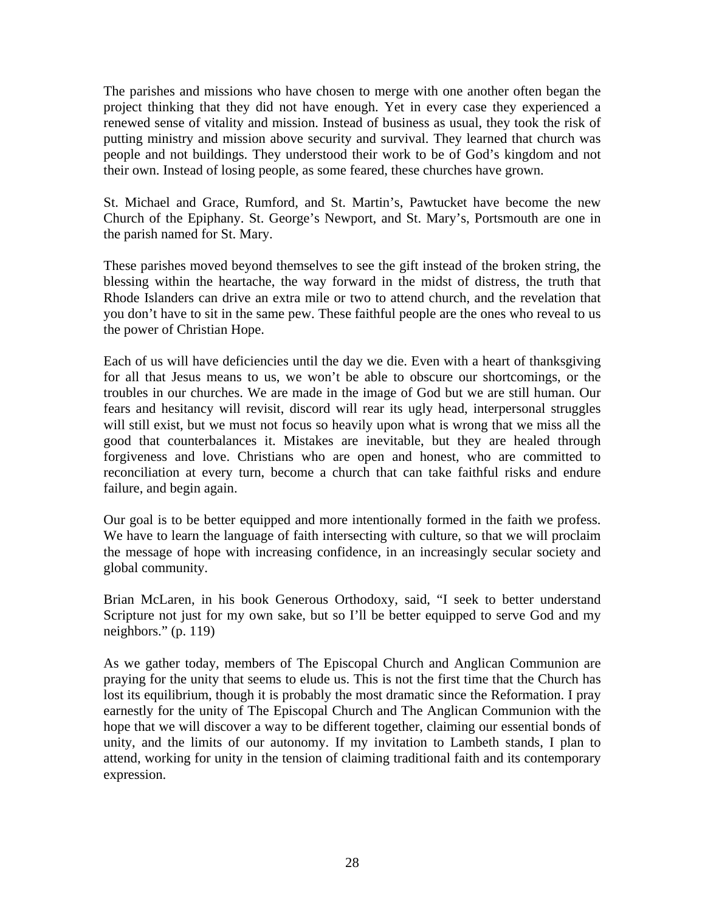The parishes and missions who have chosen to merge with one another often began the project thinking that they did not have enough. Yet in every case they experienced a renewed sense of vitality and mission. Instead of business as usual, they took the risk of putting ministry and mission above security and survival. They learned that church was people and not buildings. They understood their work to be of God's kingdom and not their own. Instead of losing people, as some feared, these churches have grown.

St. Michael and Grace, Rumford, and St. Martin's, Pawtucket have become the new Church of the Epiphany. St. George's Newport, and St. Mary's, Portsmouth are one in the parish named for St. Mary.

These parishes moved beyond themselves to see the gift instead of the broken string, the blessing within the heartache, the way forward in the midst of distress, the truth that Rhode Islanders can drive an extra mile or two to attend church, and the revelation that you don't have to sit in the same pew. These faithful people are the ones who reveal to us the power of Christian Hope.

Each of us will have deficiencies until the day we die. Even with a heart of thanksgiving for all that Jesus means to us, we won't be able to obscure our shortcomings, or the troubles in our churches. We are made in the image of God but we are still human. Our fears and hesitancy will revisit, discord will rear its ugly head, interpersonal struggles will still exist, but we must not focus so heavily upon what is wrong that we miss all the good that counterbalances it. Mistakes are inevitable, but they are healed through forgiveness and love. Christians who are open and honest, who are committed to reconciliation at every turn, become a church that can take faithful risks and endure failure, and begin again.

Our goal is to be better equipped and more intentionally formed in the faith we profess. We have to learn the language of faith intersecting with culture, so that we will proclaim the message of hope with increasing confidence, in an increasingly secular society and global community.

Brian McLaren, in his book Generous Orthodoxy, said, "I seek to better understand Scripture not just for my own sake, but so I'll be better equipped to serve God and my neighbors." (p. 119)

As we gather today, members of The Episcopal Church and Anglican Communion are praying for the unity that seems to elude us. This is not the first time that the Church has lost its equilibrium, though it is probably the most dramatic since the Reformation. I pray earnestly for the unity of The Episcopal Church and The Anglican Communion with the hope that we will discover a way to be different together, claiming our essential bonds of unity, and the limits of our autonomy. If my invitation to Lambeth stands, I plan to attend, working for unity in the tension of claiming traditional faith and its contemporary expression.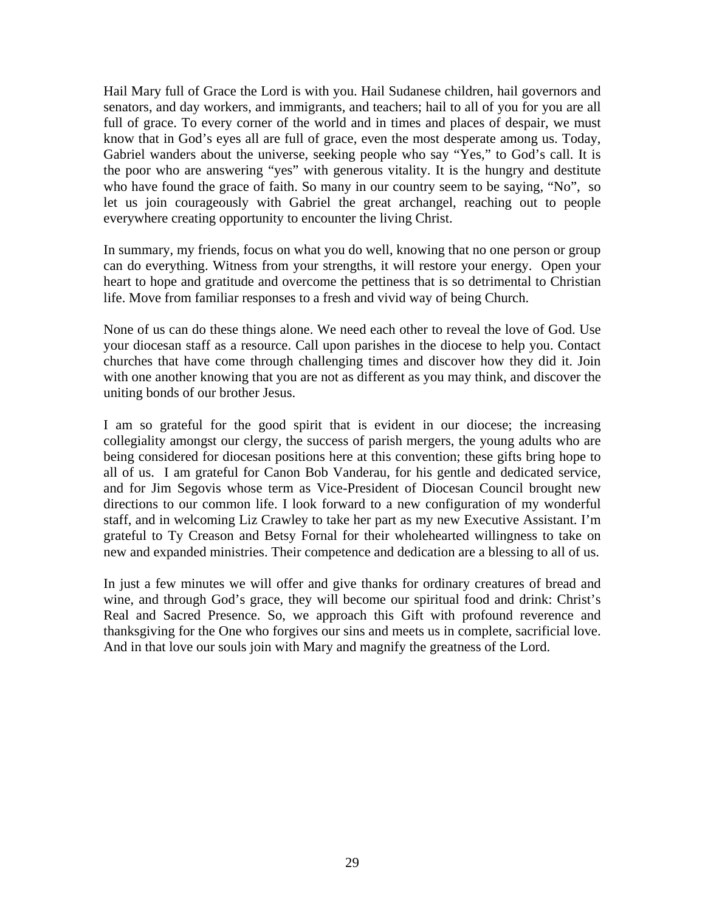Hail Mary full of Grace the Lord is with you. Hail Sudanese children, hail governors and senators, and day workers, and immigrants, and teachers; hail to all of you for you are all full of grace. To every corner of the world and in times and places of despair, we must know that in God's eyes all are full of grace, even the most desperate among us. Today, Gabriel wanders about the universe, seeking people who say "Yes," to God's call. It is the poor who are answering "yes" with generous vitality. It is the hungry and destitute who have found the grace of faith. So many in our country seem to be saying, "No", so let us join courageously with Gabriel the great archangel, reaching out to people everywhere creating opportunity to encounter the living Christ.

In summary, my friends, focus on what you do well, knowing that no one person or group can do everything. Witness from your strengths, it will restore your energy. Open your heart to hope and gratitude and overcome the pettiness that is so detrimental to Christian life. Move from familiar responses to a fresh and vivid way of being Church.

None of us can do these things alone. We need each other to reveal the love of God. Use your diocesan staff as a resource. Call upon parishes in the diocese to help you. Contact churches that have come through challenging times and discover how they did it. Join with one another knowing that you are not as different as you may think, and discover the uniting bonds of our brother Jesus.

I am so grateful for the good spirit that is evident in our diocese; the increasing collegiality amongst our clergy, the success of parish mergers, the young adults who are being considered for diocesan positions here at this convention; these gifts bring hope to all of us. I am grateful for Canon Bob Vanderau, for his gentle and dedicated service, and for Jim Segovis whose term as Vice-President of Diocesan Council brought new directions to our common life. I look forward to a new configuration of my wonderful staff, and in welcoming Liz Crawley to take her part as my new Executive Assistant. I'm grateful to Ty Creason and Betsy Fornal for their wholehearted willingness to take on new and expanded ministries. Their competence and dedication are a blessing to all of us.

In just a few minutes we will offer and give thanks for ordinary creatures of bread and wine, and through God's grace, they will become our spiritual food and drink: Christ's Real and Sacred Presence. So, we approach this Gift with profound reverence and thanksgiving for the One who forgives our sins and meets us in complete, sacrificial love. And in that love our souls join with Mary and magnify the greatness of the Lord.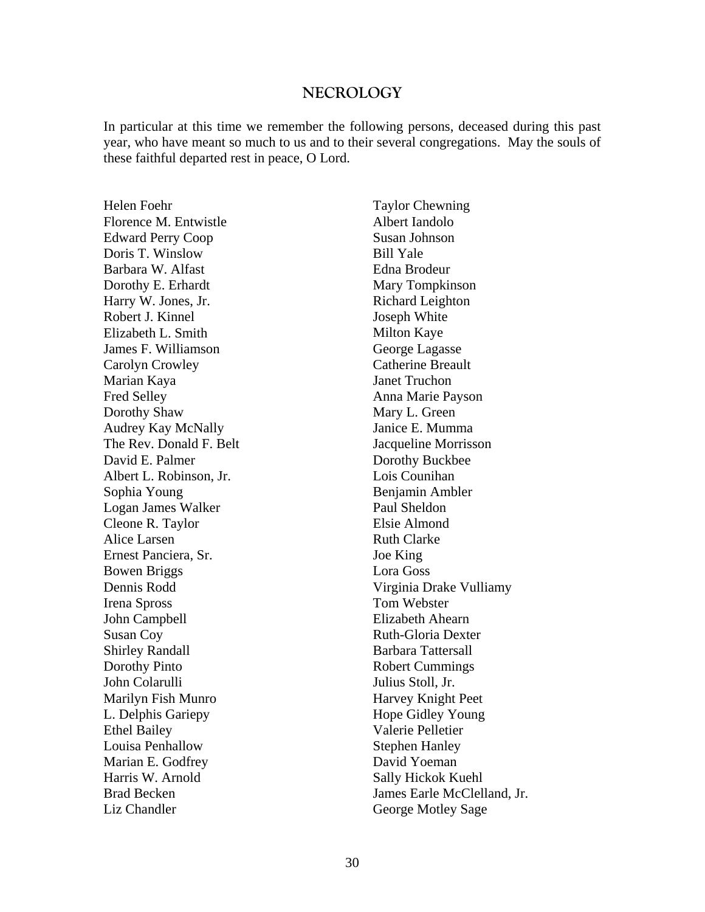#### **NECROLOGY**

In particular at this time we remember the following persons, deceased during this past year, who have meant so much to us and to their several congregations. May the souls of these faithful departed rest in peace, O Lord.

Helen Foehr Florence M. Entwistle Edward Perry Coop Doris T. Winslow Barbara W. Alfast Dorothy E. Erhardt Harry W. Jones, Jr. Robert J. Kinnel Elizabeth L. Smith James F. Williamson Carolyn Crowley Marian Kaya Fred Selley Dorothy Shaw Audrey Kay McNally The Rev. Donald F. Belt David E. Palmer Albert L. Robinson, Jr. Sophia Young Logan James Walker Cleone R. Taylor Alice Larsen Ernest Panciera, Sr. Bowen Briggs Dennis Rodd Irena Spross John Campbell Susan Coy Shirley Randall Dorothy Pinto John Colarulli Marilyn Fish Munro L. Delphis Gariepy Ethel Bailey Louisa Penhallow Marian E. Godfrey Harris W. Arnold Brad Becken Liz Chandler

Taylor Chewning Albert Iandolo Susan Johnson Bill Yale Edna Brodeur Mary Tompkinson Richard Leighton Joseph White Milton Kaye George Lagasse Catherine Breault Janet Truchon Anna Marie Payson Mary L. Green Janice E. Mumma Jacqueline Morrisson Dorothy Buckbee Lois Counihan Benjamin Ambler Paul Sheldon Elsie Almond Ruth Clarke Joe King Lora Goss Virginia Drake Vulliamy Tom Webster Elizabeth Ahearn Ruth-Gloria Dexter Barbara Tattersall Robert Cummings Julius Stoll, Jr. Harvey Knight Peet Hope Gidley Young Valerie Pelletier Stephen Hanley David Yoeman Sally Hickok Kuehl James Earle McClelland, Jr. George Motley Sage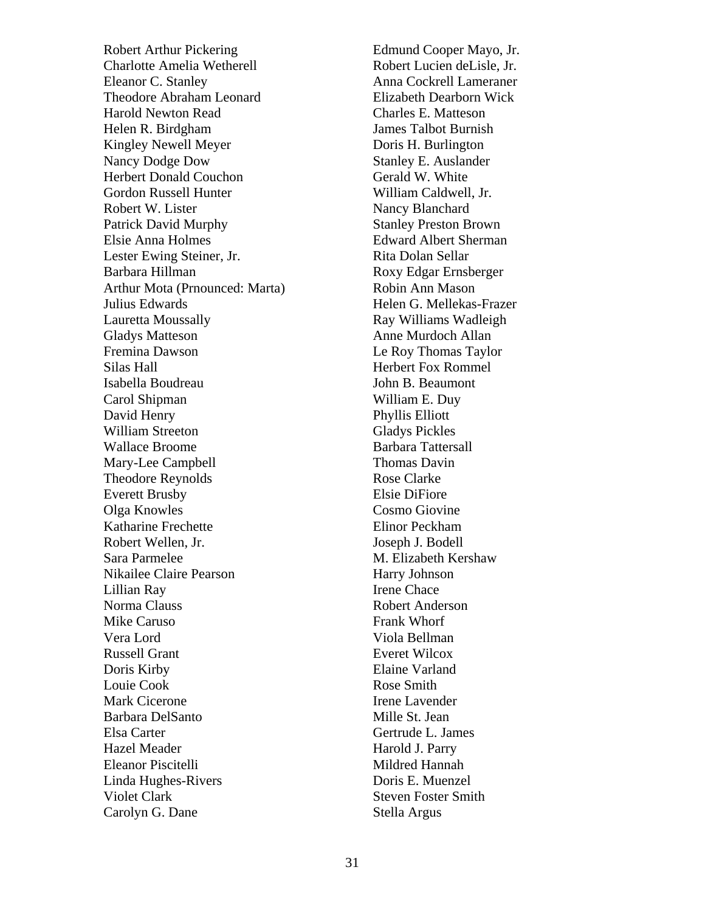Robert Arthur Pickering Charlotte Amelia Wetherell Eleanor C. Stanley Theodore Abraham Leonard Harold Newton Read Helen R. Birdgham Kingley Newell Meyer Nancy Dodge Dow Herbert Donald Couchon Gordon Russell Hunter Robert W. Lister Patrick David Murphy Elsie Anna Holmes Lester Ewing Steiner, Jr. Barbara Hillman Arthur Mota (Prnounced: Marta) Julius Edwards Lauretta Moussally Gladys Matteson Fremina Dawson Silas Hall Isabella Boudreau Carol Shipman David Henry William Streeton Wallace Broome Mary-Lee Campbell Theodore Reynolds Everett Brusby Olga Knowles Katharine Frechette Robert Wellen, Jr. Sara Parmelee Nikailee Claire Pearson Lillian Ray Norma Clauss Mike Caruso Vera Lord Russell Grant Doris Kirby Louie Cook Mark Cicerone Barbara DelSanto Elsa Carter Hazel Meader Eleanor Piscitelli Linda Hughes-Rivers Violet Clark Carolyn G. Dane

Edmund Cooper Mayo, Jr. Robert Lucien deLisle, Jr. Anna Cockrell Lameraner Elizabeth Dearborn Wick Charles E. Matteson James Talbot Burnish Doris H. Burlington Stanley E. Auslander Gerald W. White William Caldwell, Jr. Nancy Blanchard Stanley Preston Brown Edward Albert Sherman Rita Dolan Sellar Roxy Edgar Ernsberger Robin Ann Mason Helen G. Mellekas-Frazer Ray Williams Wadleigh Anne Murdoch Allan Le Roy Thomas Taylor Herbert Fox Rommel John B. Beaumont William E. Duy Phyllis Elliott Gladys Pickles Barbara Tattersall Thomas Davin Rose Clarke Elsie DiFiore Cosmo Giovine Elinor Peckham Joseph J. Bodell M. Elizabeth Kershaw Harry Johnson Irene Chace Robert Anderson Frank Whorf Viola Bellman Everet Wilcox Elaine Varland Rose Smith Irene Lavender Mille St. Jean Gertrude L. James Harold J. Parry Mildred Hannah Doris E. Muenzel Steven Foster Smith Stella Argus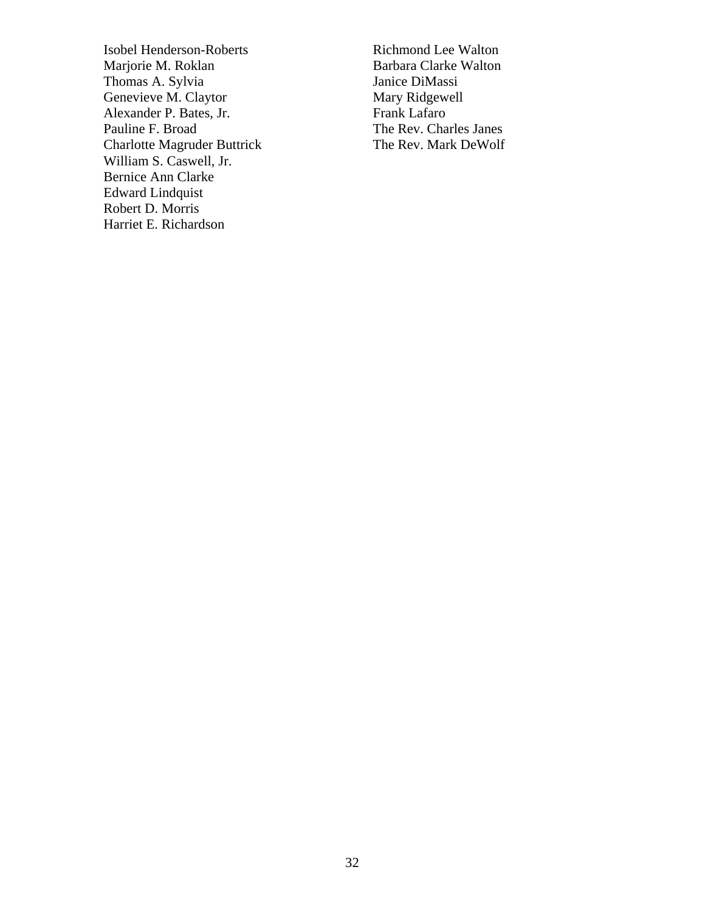Isobel Henderson-Roberts Marjorie M. Roklan Thomas A. Sylvia Genevieve M. Claytor Alexander P. Bates, Jr. Pauline F. Broad Charlotte Magruder Buttrick William S. Caswell, Jr. Bernice Ann Clarke Edward Lindquist Robert D. Morris Harriet E. Richardson

Richmond Lee Walton Barbara Clarke Walton Janice DiMassi Mary Ridgewell Frank Lafaro The Rev. Charles Janes The Rev. Mark DeWolf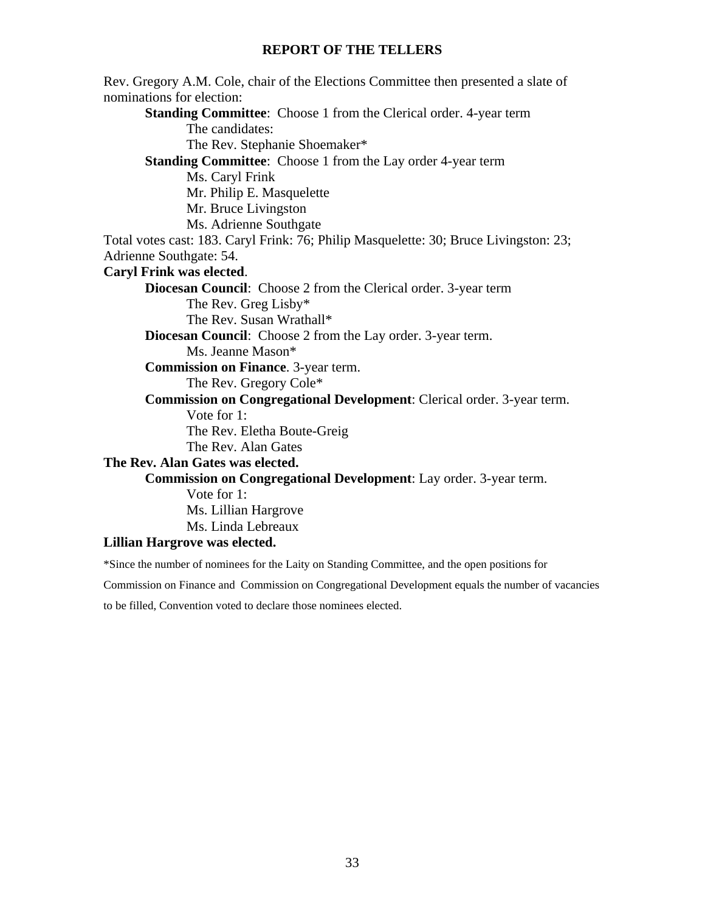## **REPORT OF THE TELLERS**

Rev. Gregory A.M. Cole, chair of the Elections Committee then presented a slate of nominations for election: **Standing Committee:** Choose 1 from the Clerical order. 4-year term The candidates: The Rev. Stephanie Shoemaker\* **Standing Committee:** Choose 1 from the Lay order 4-year term Ms. Caryl Frink Mr. Philip E. Masquelette Mr. Bruce Livingston Ms. Adrienne Southgate Total votes cast: 183. Caryl Frink: 76; Philip Masquelette: 30; Bruce Livingston: 23; Adrienne Southgate: 54. **Caryl Frink was elected**. **Diocesan Council**: Choose 2 from the Clerical order. 3-year term The Rev. Greg Lisby\* The Rev. Susan Wrathall\* **Diocesan Council**: Choose 2 from the Lay order. 3-year term. Ms. Jeanne Mason\* **Commission on Finance**. 3-year term. The Rev. Gregory Cole\* **Commission on Congregational Development**: Clerical order. 3-year term. Vote for 1: The Rev. Eletha Boute-Greig The Rev. Alan Gates **The Rev. Alan Gates was elected. Commission on Congregational Development**: Lay order. 3-year term. Vote for 1: Ms. Lillian Hargrove Ms. Linda Lebreaux **Lillian Hargrove was elected.** 

\*Since the number of nominees for the Laity on Standing Committee, and the open positions for

Commission on Finance and Commission on Congregational Development equals the number of vacancies

to be filled, Convention voted to declare those nominees elected.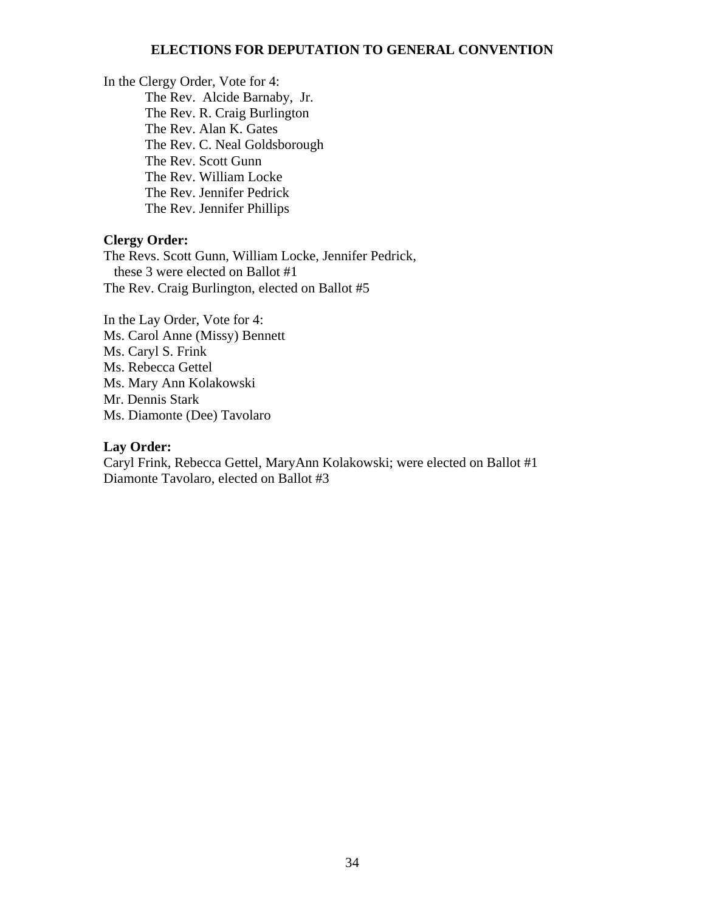## **ELECTIONS FOR DEPUTATION TO GENERAL CONVENTION**

In the Clergy Order, Vote for 4: The Rev. Alcide Barnaby, Jr. The Rev. R. Craig Burlington The Rev. Alan K. Gates The Rev. C. Neal Goldsborough The Rev. Scott Gunn The Rev. William Locke The Rev. Jennifer Pedrick The Rev. Jennifer Phillips

#### **Clergy Order:**

The Revs. Scott Gunn, William Locke, Jennifer Pedrick, these 3 were elected on Ballot #1 The Rev. Craig Burlington, elected on Ballot #5

In the Lay Order, Vote for 4: Ms. Carol Anne (Missy) Bennett Ms. Caryl S. Frink Ms. Rebecca Gettel Ms. Mary Ann Kolakowski Mr. Dennis Stark Ms. Diamonte (Dee) Tavolaro

#### **Lay Order:**

Caryl Frink, Rebecca Gettel, MaryAnn Kolakowski; were elected on Ballot #1 Diamonte Tavolaro, elected on Ballot #3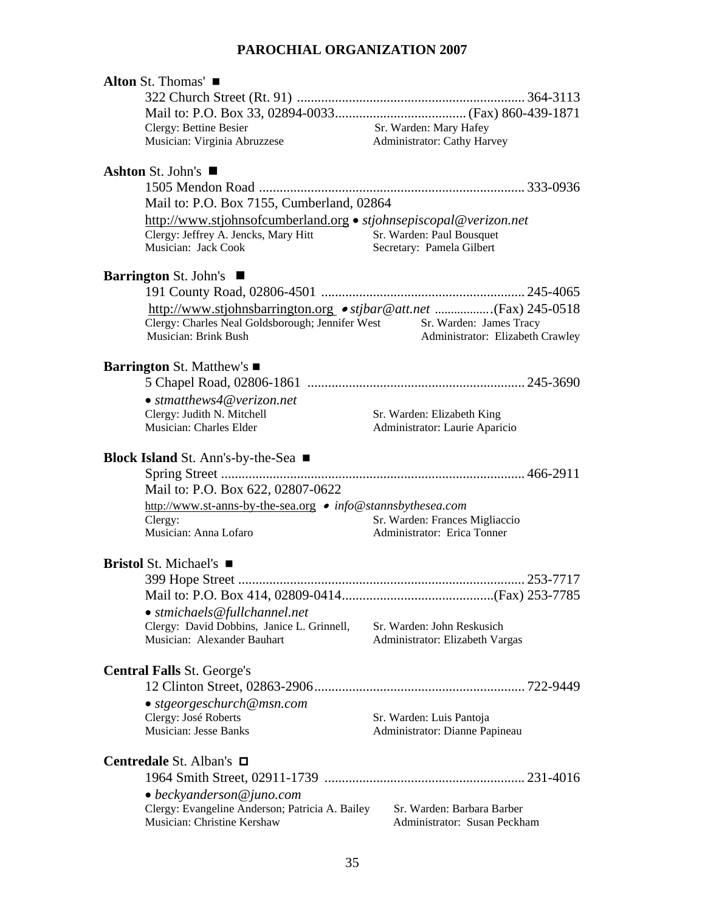# **PAROCHIAL ORGANIZATION 2007**

| Alton St. Thomas'                                                                                |                                                              |
|--------------------------------------------------------------------------------------------------|--------------------------------------------------------------|
|                                                                                                  |                                                              |
|                                                                                                  |                                                              |
| Clergy: Bettine Besier                                                                           | Sr. Warden: Mary Hafey                                       |
| Musician: Virginia Abruzzese                                                                     | Administrator: Cathy Harvey                                  |
|                                                                                                  |                                                              |
| Ashton St. John's                                                                                |                                                              |
|                                                                                                  |                                                              |
| Mail to: P.O. Box 7155, Cumberland, 02864                                                        |                                                              |
| http://www.stjohnsofcumberland.org • stjohnsepiscopal@verizon.net                                |                                                              |
| Clergy: Jeffrey A. Jencks, Mary Hitt                                                             | Sr. Warden: Paul Bousquet                                    |
| Musician: Jack Cook                                                                              | Secretary: Pamela Gilbert                                    |
|                                                                                                  |                                                              |
| Barrington St. John's ■                                                                          |                                                              |
|                                                                                                  |                                                              |
| http://www.stjohnsbarrington.org • stjbar@att.net (Fax) 245-0518                                 |                                                              |
| Clergy: Charles Neal Goldsborough; Jennifer West Sr. Warden: James Tracy<br>Musician: Brink Bush |                                                              |
|                                                                                                  | Administrator: Elizabeth Crawley                             |
| Barrington St. Matthew's ■                                                                       |                                                              |
|                                                                                                  |                                                              |
| $\bullet$ stmatthews4@verizon.net                                                                |                                                              |
| Clergy: Judith N. Mitchell                                                                       |                                                              |
| Musician: Charles Elder                                                                          | Sr. Warden: Elizabeth King<br>Administrator: Laurie Aparicio |
|                                                                                                  |                                                              |
| <b>Block Island</b> St. Ann's-by-the-Sea ■                                                       |                                                              |
|                                                                                                  |                                                              |
| Mail to: P.O. Box 622, 02807-0622                                                                |                                                              |
| http://www.st-anns-by-the-sea.org • info@stannsbythesea.com                                      |                                                              |
| Clergy:                                                                                          | Sr. Warden: Frances Migliaccio                               |
| Musician: Anna Lofaro                                                                            | Administrator: Erica Tonner                                  |
|                                                                                                  |                                                              |
| <b>Bristol</b> St. Michael's ■                                                                   |                                                              |
|                                                                                                  |                                                              |
|                                                                                                  |                                                              |
| • stmichaels@fullchannel.net                                                                     |                                                              |
| Clergy: David Dobbins, Janice L. Grinnell,                                                       | Sr. Warden: John Reskusich                                   |
| Musician: Alexander Bauhart                                                                      | Administrator: Elizabeth Vargas                              |
|                                                                                                  |                                                              |
| <b>Central Falls St. George's</b>                                                                |                                                              |
|                                                                                                  |                                                              |
| • stgeorgeschurch@msn.com                                                                        |                                                              |
| Clergy: José Roberts                                                                             | Sr. Warden: Luis Pantoja                                     |
| <b>Musician: Jesse Banks</b>                                                                     | Administrator: Dianne Papineau                               |
|                                                                                                  |                                                              |
| <b>Centredale St. Alban's <math>\Box</math></b>                                                  |                                                              |
|                                                                                                  |                                                              |
| $\bullet$ beckyanderson@juno.com                                                                 |                                                              |
| Clergy: Evangeline Anderson; Patricia A. Bailey                                                  | Sr. Warden: Barbara Barber                                   |
| Musician: Christine Kershaw                                                                      | Administrator: Susan Peckham                                 |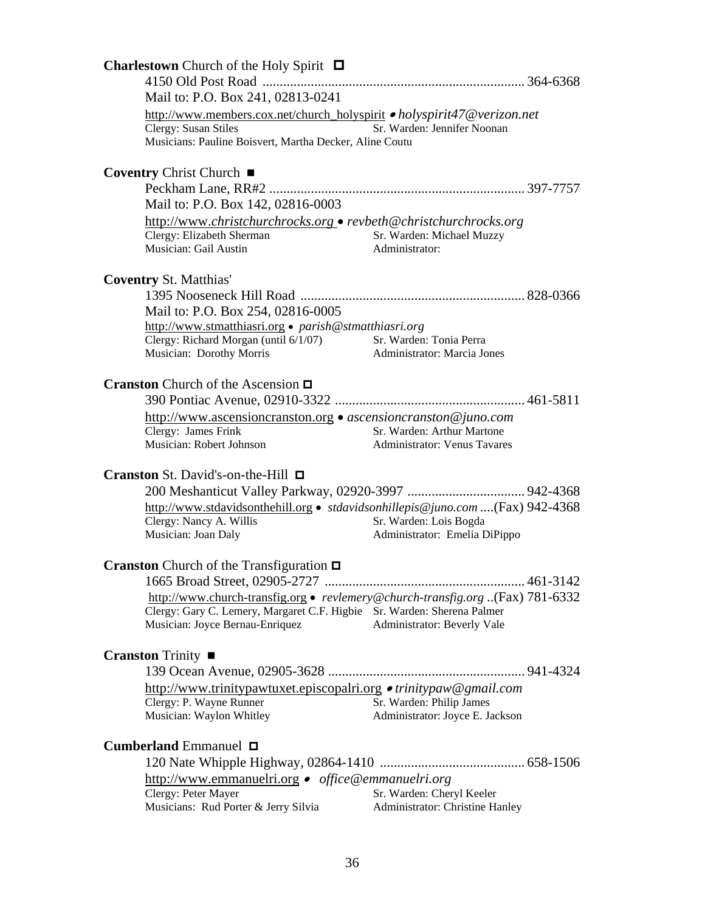| <b>Charlestown</b> Church of the Holy Spirit $\Box$                                                   |                                                         |  |
|-------------------------------------------------------------------------------------------------------|---------------------------------------------------------|--|
|                                                                                                       |                                                         |  |
| Mail to: P.O. Box 241, 02813-0241                                                                     |                                                         |  |
| http://www.members.cox.net/church_holyspirit • holyspirit47@verizon.net                               |                                                         |  |
| Clergy: Susan Stiles<br>Musicians: Pauline Boisvert, Martha Decker, Aline Coutu                       | Sr. Warden: Jennifer Noonan                             |  |
| Coventry Christ Church ■                                                                              |                                                         |  |
|                                                                                                       |                                                         |  |
| Mail to: P.O. Box 142, 02816-0003                                                                     |                                                         |  |
| http://www.christchurchrocks.org • revbeth@christchurchrocks.org                                      |                                                         |  |
| Clergy: Elizabeth Sherman<br>Musician: Gail Austin                                                    | Sr. Warden: Michael Muzzy<br>Administrator:             |  |
| <b>Coventry St. Matthias'</b>                                                                         |                                                         |  |
|                                                                                                       |                                                         |  |
| Mail to: P.O. Box 254, 02816-0005                                                                     |                                                         |  |
| http://www.stmatthiasri.org · parish@stmatthiasri.org                                                 | Sr. Warden: Tonia Perra                                 |  |
| nttp://www.sumatumnosa.com<br>Clergy: Richard Morgan (until 6/1/07)                                   | Administrator: Marcia Jones                             |  |
|                                                                                                       |                                                         |  |
| <b>Cranston</b> Church of the Ascension $\Box$                                                        |                                                         |  |
| http://www.ascensioncranston.org • ascensioncranston@juno.com                                         |                                                         |  |
| Clergy: James Frink                                                                                   | Sr. Warden: Arthur Martone                              |  |
| Musician: Robert Johnson                                                                              | <b>Administrator: Venus Tavares</b>                     |  |
|                                                                                                       |                                                         |  |
| Cranston St. David's-on-the-Hill □                                                                    |                                                         |  |
|                                                                                                       |                                                         |  |
| http://www.stdavidsonthehill.org • stdavidsonhillepis@juno.com (Fax) 942-4368                         |                                                         |  |
| Clergy: Nancy A. Willis<br>Musician: Joan Daly                                                        | Sr. Warden: Lois Bogda<br>Administrator: Emelia DiPippo |  |
|                                                                                                       |                                                         |  |
| <b>Cranston</b> Church of the Transfiguration $\Box$                                                  |                                                         |  |
|                                                                                                       |                                                         |  |
| http://www.church-transfig.org • revlemery@church-transfig.org (Fax) 781-6332                         |                                                         |  |
| Clergy: Gary C. Lemery, Margaret C.F. Higbie Sr. Warden: Sherena Palmer                               |                                                         |  |
| Musician: Joyce Bernau-Enriquez                                                                       | Administrator: Beverly Vale                             |  |
| <b>Cranston</b> Trinity $\blacksquare$                                                                |                                                         |  |
|                                                                                                       |                                                         |  |
| http://www.trinitypawtuxet.episcopalri.org • trinitypaw@gmail.com                                     |                                                         |  |
| Clergy: P. Wayne Runner                                                                               | Sr. Warden: Philip James                                |  |
| Musician: Waylon Whitley                                                                              | Administrator: Joyce E. Jackson                         |  |
|                                                                                                       |                                                         |  |
| <b>Cumberland</b> Emmanuel $\Box$                                                                     |                                                         |  |
|                                                                                                       |                                                         |  |
| http://www.emmanuelri.org • office@emmanuelri.org<br>Clergy: Peter Mayer<br>Sr. Warden: Cheryl Keeler |                                                         |  |
| Musicians: Rud Porter & Jerry Silvia                                                                  | Administrator: Christine Hanley                         |  |
|                                                                                                       |                                                         |  |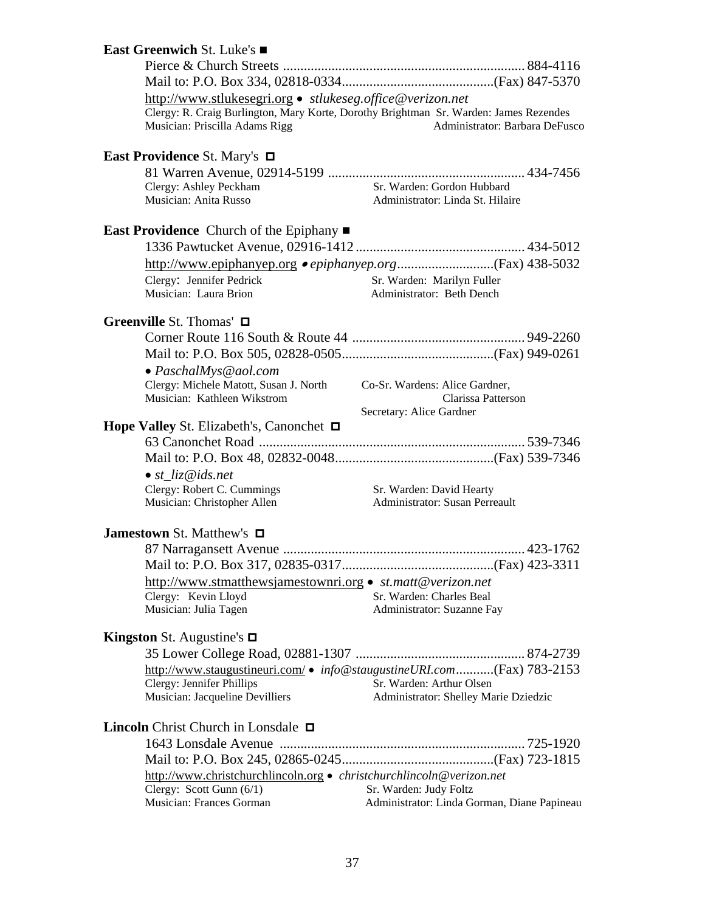# **East Greenwich** St. Luke's Pierce & Church Streets ...................................................................... 884-4116 Mail to: P.O. Box 334, 02818-0334............................................(Fax) 847-5370 http://www.stlukesegri.org  *stlukeseg.office@verizon.net*  Clergy: R. Craig Burlington, Mary Korte, Dorothy Brightman Sr. Warden: James Rezendes Musician: Priscilla Adams Rigg Administrator: Barbara DeFusco **East Providence** St. Mary's 81 Warren Avenue, 02914-5199 ......................................................... 434-7456 Clergy: Ashley Peckham Sr. Warden: Gordon Hubbard Musician: Anita Russo Administrator: Linda St. Hilaire **East Providence** Church of the Epiphany ■ 1336 Pawtucket Avenue, 02916-1412 ................................................. 434-5012 http://www.epiphanyep.org  *epiphanyep.org*............................(Fax) 438-5032 Clergy: Jennifer Pedrick Sr. Warden: Marilyn Fuller Musician: Laura Brion Administrator: Beth Dench **Greenville** St. Thomas' Corner Route 116 South & Route 44 .................................................. 949-2260 Mail to: P.O. Box 505, 02828-0505............................................(Fax) 949-0261 *PaschalMys@aol.com*  Clergy: Michele Matott, Susan J. North Co-Sr. Wardens: Alice Gardner, Musician: Kathleen Wikstrom Clarissa Patterson Secretary: Alice Gardner **Hope Valley** St. Elizabeth's, Canonchet 63 Canonchet Road ............................................................................. 539-7346 Mail to: P.O. Box 48, 02832-0048..............................................(Fax) 539-7346 *st\_liz@ids.net*  Clergy: Robert C. Cummings Sr. Warden: David Hearty Musician: Christopher Allen Administrator: Susan Perreault **Jamestown St. Matthew's □**  87 Narragansett Avenue ...................................................................... 423-1762 Mail to: P.O. Box 317, 02835-0317............................................(Fax) 423-3311 http://www.stmatthewsjamestownri.org • *st.matt@verizon.net*<br>Clergy: Kevin Lloyd **Sr. Warden: Charles Beal** Clergy: Kevin Lloyd<br>
Musician: Julia Tagen<br>
Musician: Julia Tagen<br>
Administrator: Suzanne Fa Administrator: Suzanne Fay **Kingston** St. Augustine's 35 Lower College Road, 02881-1307 ................................................. 874-2739 http://www.staugustineuri.com/ • *info@staugustineURI.com...........*..(Fax) 783-2153<br>Clergy: Jennifer Phillips **1998** Sr. Warden: Arthur Olsen Clergy: Jennifer Phillips Musician: Jacqueline Devilliers Administrator: Shelley Marie Dziedzic **Lincoln** Christ Church in Lonsdale **□**  1643 Lonsdale Avenue ....................................................................... 725-1920 Mail to: P.O. Box 245, 02865-0245............................................(Fax) 723-1815 http://www.christchurchlincoln.org  *christchurchlincoln@verizon.net*  Clergy: Scott Gunn (6/1) Sr. Warden: Judy Foltz Musician: Frances Gorman Administrator: Linda Gorman, Diane Papineau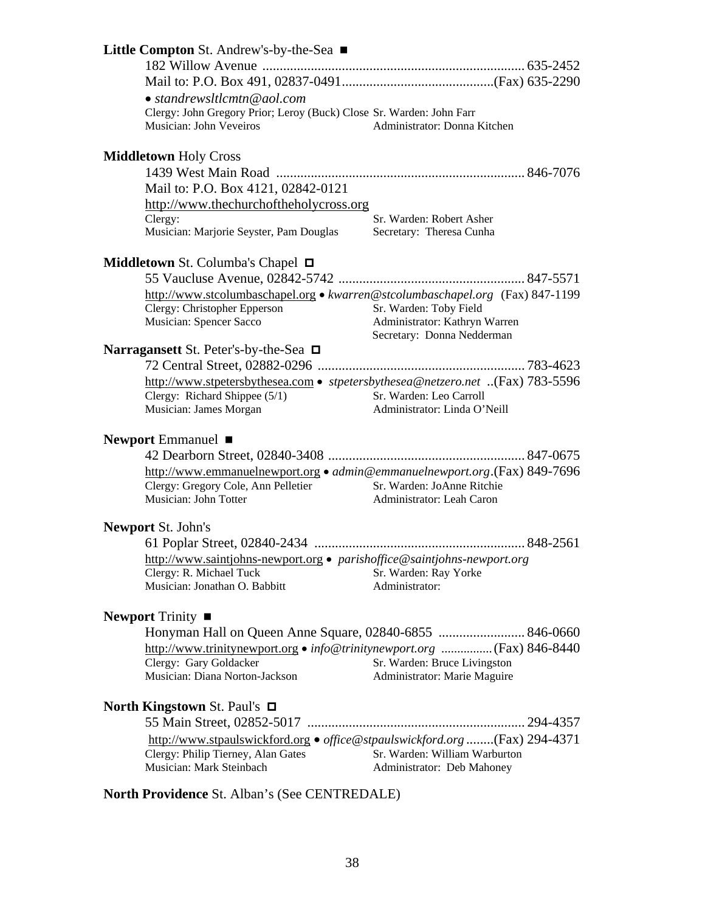| <b>Little Compton</b> St. Andrew's-by-the-Sea $\blacksquare$                                                   |                                                             |
|----------------------------------------------------------------------------------------------------------------|-------------------------------------------------------------|
|                                                                                                                |                                                             |
|                                                                                                                |                                                             |
| $\bullet$ standrewsltlcmtn@aol.com                                                                             |                                                             |
| Clergy: John Gregory Prior; Leroy (Buck) Close Sr. Warden: John Farr                                           |                                                             |
| Musician: John Veveiros                                                                                        | Administrator: Donna Kitchen                                |
| <b>Middletown Holy Cross</b>                                                                                   |                                                             |
|                                                                                                                |                                                             |
| Mail to: P.O. Box 4121, 02842-0121                                                                             |                                                             |
| http://www.thechurchoftheholycross.org                                                                         |                                                             |
| Clergy:                                                                                                        | Sr. Warden: Robert Asher                                    |
| Musician: Marjorie Seyster, Pam Douglas                                                                        | Secretary: Theresa Cunha                                    |
| <b>Middletown St. Columba's Chapel <math>\Box</math></b>                                                       |                                                             |
|                                                                                                                |                                                             |
| http://www.stcolumbaschapel.org • kwarren@stcolumbaschapel.org (Fax) 847-1199                                  |                                                             |
| Clergy: Christopher Epperson                                                                                   | Sr. Warden: Toby Field                                      |
| Musician: Spencer Sacco                                                                                        | Administrator: Kathryn Warren                               |
|                                                                                                                | Secretary: Donna Nedderman                                  |
| Narragansett St. Peter's-by-the-Sea $\Box$                                                                     |                                                             |
|                                                                                                                |                                                             |
| http://www.stpetersbythesea.com • stpetersbythesea@netzero.net (Fax) 783-5596<br>Clergy: Richard Shippee (5/1) | Sr. Warden: Leo Carroll                                     |
| Musician: James Morgan                                                                                         | Administrator: Linda O'Neill                                |
|                                                                                                                |                                                             |
| Newport Emmanuel $\blacksquare$                                                                                |                                                             |
|                                                                                                                |                                                             |
| http://www.emmanuelnewport.org • admin@emmanuelnewport.org.(Fax) 849-7696                                      |                                                             |
| Clergy: Gregory Cole, Ann Pelletier                                                                            | Sr. Warden: JoAnne Ritchie                                  |
| Musician: John Totter                                                                                          | Administrator: Leah Caron                                   |
| <b>Newport St. John's</b>                                                                                      |                                                             |
|                                                                                                                |                                                             |
| http://www.saintjohns-newport.org • parishoffice@saintjohns-newport.org                                        |                                                             |
| Clergy: R. Michael Tuck                                                                                        | Sr. Warden: Ray Yorke                                       |
| Musician: Jonathan O. Babbitt                                                                                  | Administrator:                                              |
| <b>Newport</b> Trinity $\blacksquare$                                                                          |                                                             |
|                                                                                                                |                                                             |
| http://www.trinitynewport.org • info@trinitynewport.org  (Fax) 846-8440                                        |                                                             |
| Clergy: Gary Goldacker                                                                                         | Sr. Warden: Bruce Livingston                                |
| Musician: Diana Norton-Jackson                                                                                 | Administrator: Marie Maguire                                |
| North Kingstown St. Paul's □                                                                                   |                                                             |
|                                                                                                                |                                                             |
| http://www.stpaulswickford.org · office@stpaulswickford.org (Fax) 294-4371                                     |                                                             |
|                                                                                                                |                                                             |
|                                                                                                                |                                                             |
| Clergy: Philip Tierney, Alan Gates<br>Musician: Mark Steinbach                                                 | Sr. Warden: William Warburton<br>Administrator: Deb Mahoney |

**North Providence** St. Alban's (See CENTREDALE)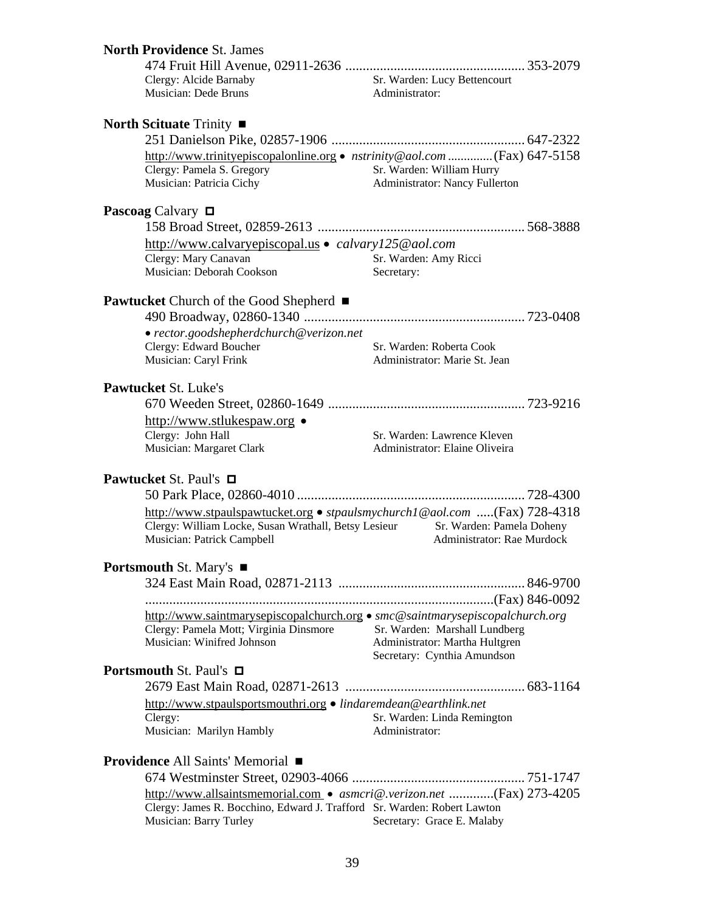| <b>North Providence St. James</b>                                                                                                                                          |                                                                                                |  |
|----------------------------------------------------------------------------------------------------------------------------------------------------------------------------|------------------------------------------------------------------------------------------------|--|
|                                                                                                                                                                            |                                                                                                |  |
| Clergy: Alcide Barnaby<br>Musician: Dede Bruns                                                                                                                             | Sr. Warden: Lucy Bettencourt<br>Administrator:                                                 |  |
| North Scituate Trinity $\blacksquare$                                                                                                                                      |                                                                                                |  |
|                                                                                                                                                                            |                                                                                                |  |
| Clergy: Pamela S. Gregory<br>Musician: Patricia Cichy                                                                                                                      | Sr. Warden: William Hurry<br>Administrator: Nancy Fullerton                                    |  |
| <b>Pascoag</b> Calvary $\Box$                                                                                                                                              |                                                                                                |  |
|                                                                                                                                                                            |                                                                                                |  |
| http://www.calvaryepiscopal.us · calvary125@aol.com                                                                                                                        |                                                                                                |  |
| Clergy: Mary Canavan<br>Musician: Deborah Cookson                                                                                                                          | Sr. Warden: Amy Ricci<br>Secretary:                                                            |  |
| <b>Pawtucket</b> Church of the Good Shepherd ■                                                                                                                             |                                                                                                |  |
| • rector.goodshepherdchurch@verizon.net                                                                                                                                    |                                                                                                |  |
| Clergy: Edward Boucher<br>Musician: Caryl Frink                                                                                                                            | Sr. Warden: Roberta Cook<br>Administrator: Marie St. Jean                                      |  |
| <b>Pawtucket St. Luke's</b>                                                                                                                                                |                                                                                                |  |
|                                                                                                                                                                            |                                                                                                |  |
| http://www.stlukespaw.org •                                                                                                                                                |                                                                                                |  |
| Clergy: John Hall<br>Musician: Margaret Clark                                                                                                                              | Sr. Warden: Lawrence Kleven<br>Administrator: Elaine Oliveira                                  |  |
| Pawtucket St. Paul's □                                                                                                                                                     |                                                                                                |  |
| http://www.stpaulspawtucket.org • stpaulsmychurch1@aol.com (Fax) 728-4318<br>Clergy: William Locke, Susan Wrathall, Betsy Lesieur<br>Musician: Patrick Campbell            | Sr. Warden: Pamela Doheny<br>Administrator: Rae Murdock                                        |  |
| <b>Portsmouth St. Mary's <math>\blacksquare</math></b>                                                                                                                     |                                                                                                |  |
|                                                                                                                                                                            |                                                                                                |  |
| http://www.saintmarysepiscopalchurch.org • smc@saintmarysepiscopalchurch.org                                                                                               |                                                                                                |  |
| Clergy: Pamela Mott; Virginia Dinsmore<br>Musician: Winifred Johnson                                                                                                       | Sr. Warden: Marshall Lundberg<br>Administrator: Martha Hultgren<br>Secretary: Cynthia Amundson |  |
| <b>Portsmouth St. Paul's <math>\Box</math></b>                                                                                                                             |                                                                                                |  |
|                                                                                                                                                                            |                                                                                                |  |
| http://www.stpaulsportsmouthri.org • lindaremdean@earthlink.net<br>Clergy:                                                                                                 | Sr. Warden: Linda Remington                                                                    |  |
| Musician: Marilyn Hambly                                                                                                                                                   | Administrator:                                                                                 |  |
| <b>Providence All Saints' Memorial</b> ■                                                                                                                                   |                                                                                                |  |
|                                                                                                                                                                            |                                                                                                |  |
| http://www.allsaintsmemorial.com • asmcri@.verizon.net (Fax) 273-4205<br>Clergy: James R. Bocchino, Edward J. Trafford Sr. Warden: Robert Lawton<br>Musician: Barry Turley | Secretary: Grace E. Malaby                                                                     |  |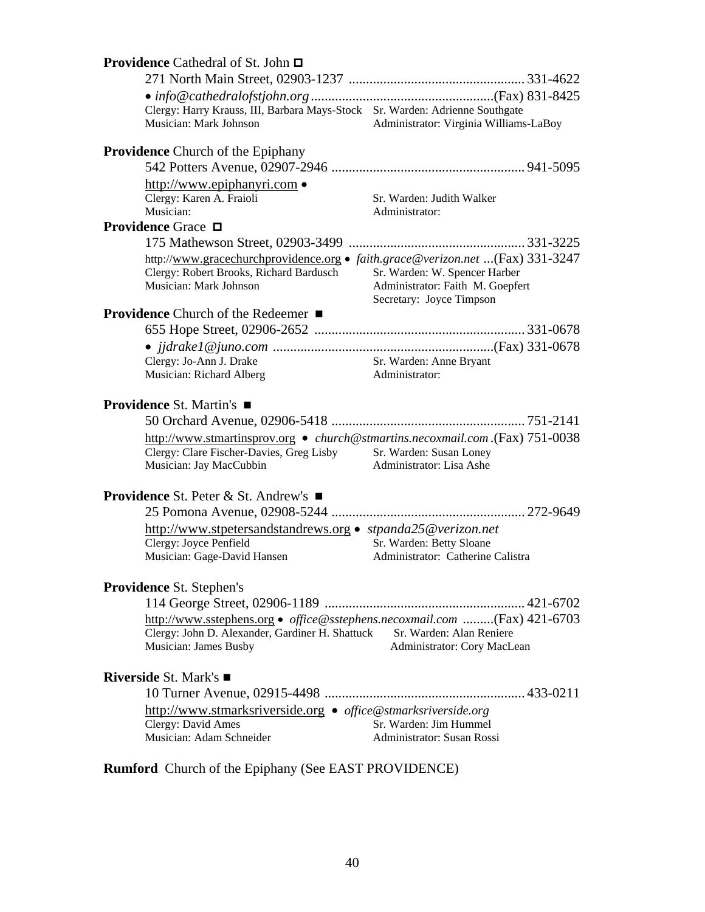| <b>Providence</b> Cathedral of St. John <b>□</b>                                                                                                                              |                                                                                               |  |
|-------------------------------------------------------------------------------------------------------------------------------------------------------------------------------|-----------------------------------------------------------------------------------------------|--|
|                                                                                                                                                                               |                                                                                               |  |
|                                                                                                                                                                               |                                                                                               |  |
| Clergy: Harry Krauss, III, Barbara Mays-Stock Sr. Warden: Adrienne Southgate                                                                                                  |                                                                                               |  |
| Musician: Mark Johnson                                                                                                                                                        | Administrator: Virginia Williams-LaBoy                                                        |  |
| <b>Providence</b> Church of the Epiphany                                                                                                                                      |                                                                                               |  |
|                                                                                                                                                                               |                                                                                               |  |
| http://www.epiphanyri.com •                                                                                                                                                   |                                                                                               |  |
| Clergy: Karen A. Fraioli                                                                                                                                                      | Sr. Warden: Judith Walker                                                                     |  |
| Musician:                                                                                                                                                                     | Administrator:                                                                                |  |
| <b>Providence Grace</b> □                                                                                                                                                     |                                                                                               |  |
|                                                                                                                                                                               |                                                                                               |  |
| http://www.gracechurchprovidence.org • faith.grace@verizon.net (Fax) 331-3247<br>Clergy: Robert Brooks, Richard Bardusch<br>Musician: Mark Johnson                            | Sr. Warden: W. Spencer Harber<br>Administrator: Faith M. Goepfert<br>Secretary: Joyce Timpson |  |
| <b>Providence</b> Church of the Redeemer ■                                                                                                                                    |                                                                                               |  |
|                                                                                                                                                                               |                                                                                               |  |
|                                                                                                                                                                               |                                                                                               |  |
| Clergy: Jo-Ann J. Drake                                                                                                                                                       | Sr. Warden: Anne Bryant                                                                       |  |
| Musician: Richard Alberg                                                                                                                                                      | Administrator:                                                                                |  |
| <b>Providence St. Martin's</b> ■                                                                                                                                              |                                                                                               |  |
| http://www.stmartinsprov.org • church@stmartins.necoxmail.com.(Fax) 751-0038<br>Clergy: Clare Fischer-Davies, Greg Lisby<br>Musician: Jay MacCubbin                           | Sr. Warden: Susan Loney<br>Administrator: Lisa Ashe                                           |  |
| <b>Providence</b> St. Peter & St. Andrew's $\blacksquare$                                                                                                                     |                                                                                               |  |
|                                                                                                                                                                               |                                                                                               |  |
| http://www.stpetersandstandrews.org • stpanda25@verizon.net                                                                                                                   |                                                                                               |  |
| Clergy: Joyce Penfield                                                                                                                                                        | Sr. Warden: Betty Sloane                                                                      |  |
| Musician: Gage-David Hansen                                                                                                                                                   | Administrator: Catherine Calistra                                                             |  |
| <b>Providence St. Stephen's</b>                                                                                                                                               |                                                                                               |  |
|                                                                                                                                                                               |                                                                                               |  |
| http://www.sstephens.org • office@sstephens.necoxmail.com (Fax) 421-6703<br>Clergy: John D. Alexander, Gardiner H. Shattuck Sr. Warden: Alan Reniere<br>Musician: James Busby | Administrator: Cory MacLean                                                                   |  |
| <b>Riverside St. Mark's</b> ■                                                                                                                                                 |                                                                                               |  |
|                                                                                                                                                                               |                                                                                               |  |
| http://www.stmarksriverside.org • office@stmarksriverside.org                                                                                                                 |                                                                                               |  |
| Clergy: David Ames                                                                                                                                                            | Sr. Warden: Jim Hummel                                                                        |  |
| Musician: Adam Schneider                                                                                                                                                      | Administrator: Susan Rossi                                                                    |  |
|                                                                                                                                                                               |                                                                                               |  |

**Rumford** Church of the Epiphany (See EAST PROVIDENCE)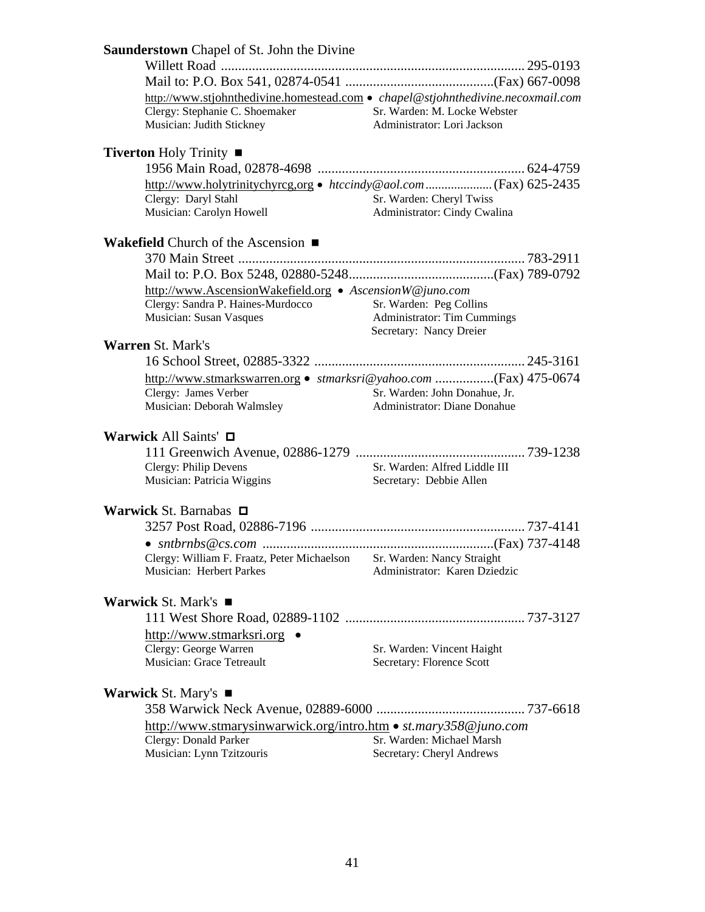| Saunderstown Chapel of St. John the Divine                                                                                                                                                                    |                                                               |
|---------------------------------------------------------------------------------------------------------------------------------------------------------------------------------------------------------------|---------------------------------------------------------------|
|                                                                                                                                                                                                               |                                                               |
|                                                                                                                                                                                                               |                                                               |
| http://www.stjohnthedivine.homestead.com · chapel@stjohnthedivine.necoxmail.com<br>Clergy: Stephanie C. Shoemaker<br>Sr. Warden: M. Locke Webster<br>Musician: Judith Stickney<br>Administrator: Lori Jackson |                                                               |
| <b>Tiverton Holy Trinity <math>\blacksquare</math></b>                                                                                                                                                        |                                                               |
|                                                                                                                                                                                                               |                                                               |
| Clergy: Daryl Stahl<br>Sr. Warden: Cheryl Twiss<br>Musician: Carolyn Howell<br>Administrator: Cindy Cwalina                                                                                                   |                                                               |
| <b>Wakefield</b> Church of the Ascension $\blacksquare$                                                                                                                                                       |                                                               |
|                                                                                                                                                                                                               |                                                               |
|                                                                                                                                                                                                               |                                                               |
| http://www.AscensionWakefield.org • AscensionW@juno.com<br>Clergy: Sandra P. Haines-Murdocco<br>Sr. Warden: Peg Collins<br>Musician: Susan Vasques<br>Secretary: Nancy Dreier                                 | <b>Administrator: Tim Cummings</b>                            |
| <b>Warren St. Mark's</b>                                                                                                                                                                                      |                                                               |
|                                                                                                                                                                                                               |                                                               |
| Clergy: James Verber<br>Musician: Deborah Walmsley                                                                                                                                                            | Sr. Warden: John Donahue, Jr.<br>Administrator: Diane Donahue |
| Warwick All Saints' □                                                                                                                                                                                         |                                                               |
| Clergy: Philip Devens<br>Sr. Warden: Alfred Liddle III<br>Musician: Patricia Wiggins<br>Secretary: Debbie Allen                                                                                               |                                                               |
| Warwick St. Barnabas $\Box$                                                                                                                                                                                   |                                                               |
|                                                                                                                                                                                                               |                                                               |
| Clergy: William F. Fraatz, Peter Michaelson Sr. Warden: Nancy Straight<br>Musician: Herbert Parkes                                                                                                            | Administrator: Karen Dziedzic                                 |
| <b>Warwick St. Mark's <math>\blacksquare</math></b>                                                                                                                                                           |                                                               |
|                                                                                                                                                                                                               |                                                               |
| http://www.stmarksri.org •                                                                                                                                                                                    |                                                               |
| Clergy: George Warren<br>Sr. Warden: Vincent Haight                                                                                                                                                           |                                                               |
| Musician: Grace Tetreault<br>Secretary: Florence Scott                                                                                                                                                        |                                                               |
| <b>Warwick St. Mary's <math>\blacksquare</math></b>                                                                                                                                                           |                                                               |
|                                                                                                                                                                                                               |                                                               |
| http://www.stmarysinwarwick.org/intro.htm • st.mary358@juno.com<br>Clergy: Donald Parker<br>Sr. Warden: Michael Marsh                                                                                         |                                                               |
| Musician: Lynn Tzitzouris<br>Secretary: Cheryl Andrews                                                                                                                                                        |                                                               |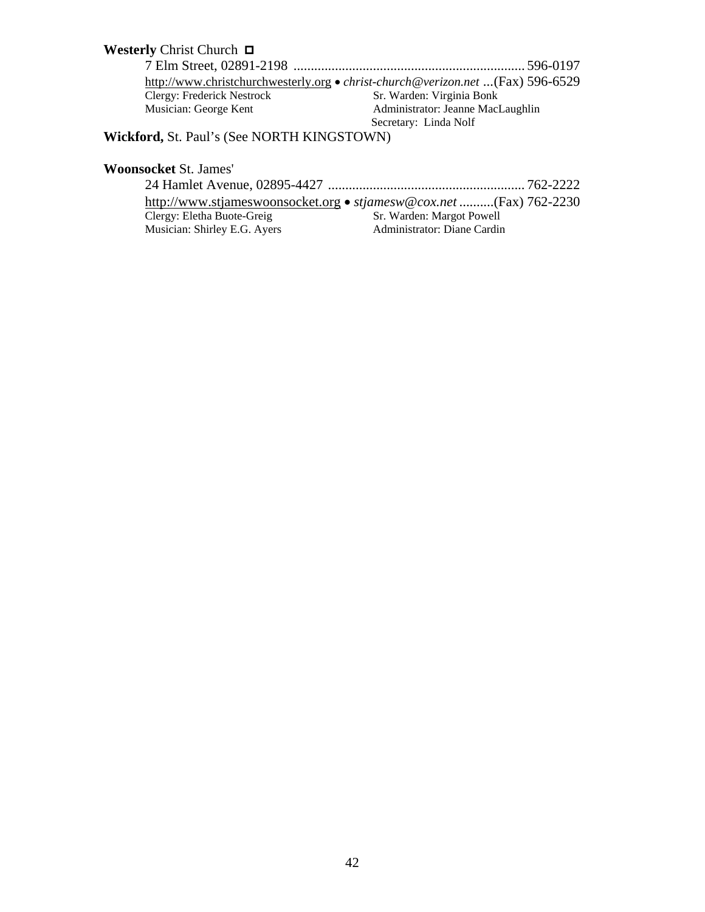# **Westerly Christ Church □**  7 Elm Street, 02891-2198 ................................................................... 596-0197 http://www.christchurchwesterly.org • *christ-church@verizon.net* ...(Fax) 596-6529<br>Clergy: Frederick Nestrock Sr. Warden: Virginia Bonk Clergy: Frederick Nestrock<br>Musician: George Kent Administrator: Jeanne MacLaughlin Secretary: Linda Nolf

**Wickford,** St. Paul's (See NORTH KINGSTOWN)

#### **Woonsocket** St. James'

|                              | http://www.stjameswoonsocket.org • stjamesw@cox.net (Fax) 762-2230 |
|------------------------------|--------------------------------------------------------------------|
| Clergy: Eletha Buote-Greig   | Sr. Warden: Margot Powell                                          |
| Musician: Shirley E.G. Ayers | Administrator: Diane Cardin                                        |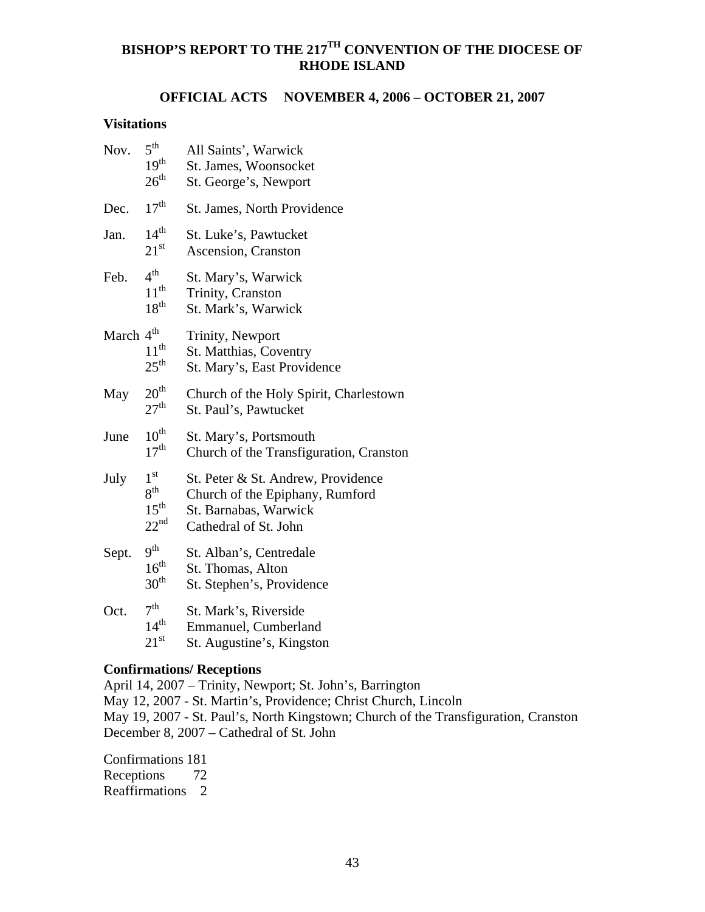# **BISHOP'S REPORT TO THE 217TH CONVENTION OF THE DIOCESE OF RHODE ISLAND**

# **OFFICIAL ACTS NOVEMBER 4, 2006 – OCTOBER 21, 2007**

#### **Visitations**

| Nov.                  | $5^{\text{th}}$<br>19 <sup>th</sup><br>$26^{\text{th}}$                    | All Saints', Warwick<br>St. James, Woonsocket<br>St. George's, Newport                                                  |
|-----------------------|----------------------------------------------------------------------------|-------------------------------------------------------------------------------------------------------------------------|
| Dec.                  | 17 <sup>th</sup>                                                           | St. James, North Providence                                                                                             |
| Jan.                  | $14^{th}$<br>$21^{\rm st}$                                                 | St. Luke's, Pawtucket<br>Ascension, Cranston                                                                            |
| Feb.                  | $4^{\text{th}}$<br>$11^{\text{th}}$<br>18 <sup>th</sup>                    | St. Mary's, Warwick<br>Trinity, Cranston<br>St. Mark's, Warwick                                                         |
| March 4 <sup>th</sup> | $11^{th}$<br>$25^{\text{th}}$                                              | Trinity, Newport<br>St. Matthias, Coventry<br>St. Mary's, East Providence                                               |
| May                   | 20 <sup>th</sup><br>27 <sup>th</sup>                                       | Church of the Holy Spirit, Charlestown<br>St. Paul's, Pawtucket                                                         |
| June                  | $10^{\text{th}}$<br>17 <sup>th</sup>                                       | St. Mary's, Portsmouth<br>Church of the Transfiguration, Cranston                                                       |
| July                  | 1 <sup>st</sup><br>8 <sup>th</sup><br>$15^{\text{th}}$<br>$22^{\text{nd}}$ | St. Peter & St. Andrew, Providence<br>Church of the Epiphany, Rumford<br>St. Barnabas, Warwick<br>Cathedral of St. John |
| Sept.                 | 9 <sup>th</sup><br>16 <sup>th</sup><br>30 <sup>th</sup>                    | St. Alban's, Centredale<br>St. Thomas, Alton<br>St. Stephen's, Providence                                               |
| Oct.                  | 7 <sup>th</sup><br>14 <sup>th</sup><br>$21^{\rm st}$                       | St. Mark's, Riverside<br>Emmanuel, Cumberland<br>St. Augustine's, Kingston                                              |

#### **Confirmations/ Receptions**

April 14, 2007 – Trinity, Newport; St. John's, Barrington May 12, 2007 - St. Martin's, Providence; Christ Church, Lincoln May 19, 2007 - St. Paul's, North Kingstown; Church of the Transfiguration, Cranston December 8, 2007 – Cathedral of St. John

Confirmations 181 Receptions 72 Reaffirmations 2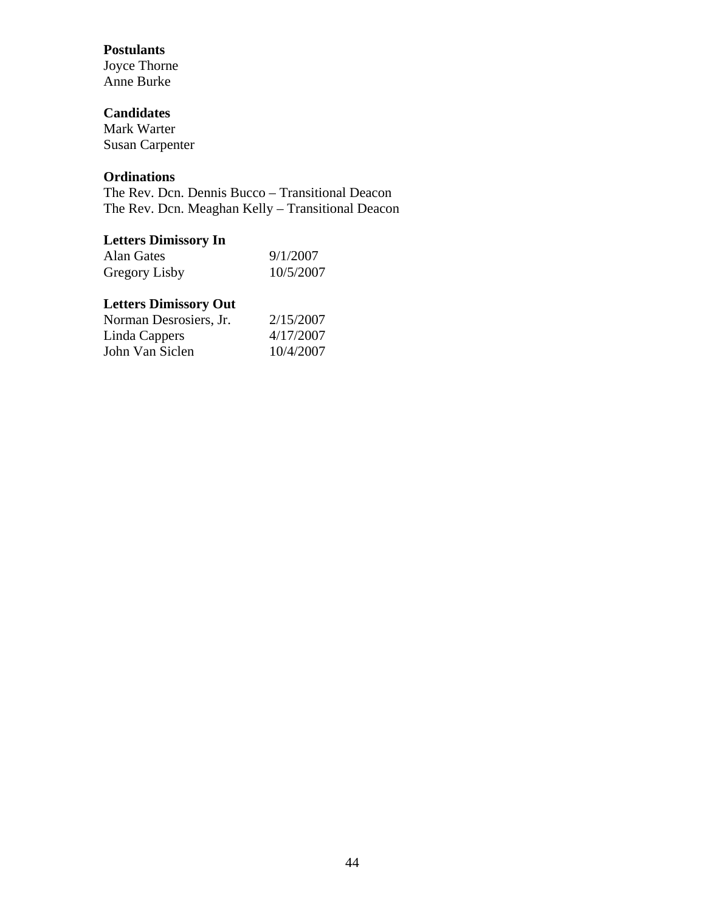# **Postulants**

Joyce Thorne Anne Burke

# **Candidates**

Mark Warter Susan Carpenter

# **Ordinations**

The Rev. Dcn. Dennis Bucco – Transitional Deacon The Rev. Dcn. Meaghan Kelly – Transitional Deacon

# **Letters Dimissory In**

| Alan Gates    | 9/1/2007  |
|---------------|-----------|
| Gregory Lisby | 10/5/2007 |

# **Letters Dimissory Out**

| Norman Desrosiers, Jr. | 2/15/2007 |
|------------------------|-----------|
| Linda Cappers          | 4/17/2007 |
| John Van Siclen        | 10/4/2007 |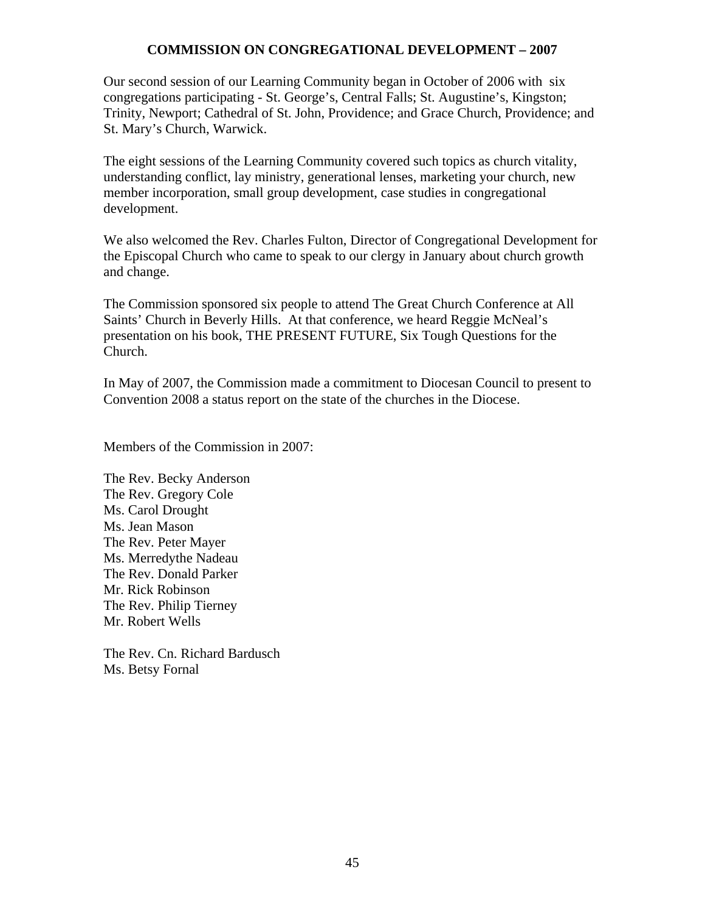# **COMMISSION ON CONGREGATIONAL DEVELOPMENT – 2007**

Our second session of our Learning Community began in October of 2006 with six congregations participating - St. George's, Central Falls; St. Augustine's, Kingston; Trinity, Newport; Cathedral of St. John, Providence; and Grace Church, Providence; and St. Mary's Church, Warwick.

The eight sessions of the Learning Community covered such topics as church vitality, understanding conflict, lay ministry, generational lenses, marketing your church, new member incorporation, small group development, case studies in congregational development.

We also welcomed the Rev. Charles Fulton, Director of Congregational Development for the Episcopal Church who came to speak to our clergy in January about church growth and change.

The Commission sponsored six people to attend The Great Church Conference at All Saints' Church in Beverly Hills. At that conference, we heard Reggie McNeal's presentation on his book, THE PRESENT FUTURE, Six Tough Questions for the Church.

In May of 2007, the Commission made a commitment to Diocesan Council to present to Convention 2008 a status report on the state of the churches in the Diocese.

Members of the Commission in 2007:

The Rev. Becky Anderson The Rev. Gregory Cole Ms. Carol Drought Ms. Jean Mason The Rev. Peter Mayer Ms. Merredythe Nadeau The Rev. Donald Parker Mr. Rick Robinson The Rev. Philip Tierney Mr. Robert Wells

The Rev. Cn. Richard Bardusch Ms. Betsy Fornal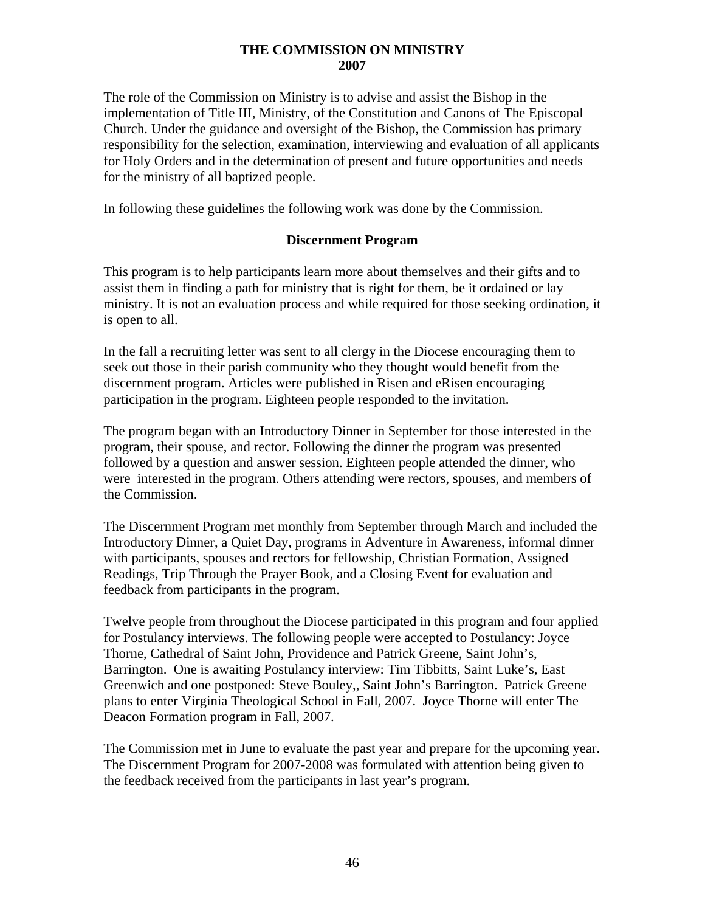#### **THE COMMISSION ON MINISTRY 2007**

The role of the Commission on Ministry is to advise and assist the Bishop in the implementation of Title III, Ministry, of the Constitution and Canons of The Episcopal Church. Under the guidance and oversight of the Bishop, the Commission has primary responsibility for the selection, examination, interviewing and evaluation of all applicants for Holy Orders and in the determination of present and future opportunities and needs for the ministry of all baptized people.

In following these guidelines the following work was done by the Commission.

# **Discernment Program**

This program is to help participants learn more about themselves and their gifts and to assist them in finding a path for ministry that is right for them, be it ordained or lay ministry. It is not an evaluation process and while required for those seeking ordination, it is open to all.

In the fall a recruiting letter was sent to all clergy in the Diocese encouraging them to seek out those in their parish community who they thought would benefit from the discernment program. Articles were published in Risen and eRisen encouraging participation in the program. Eighteen people responded to the invitation.

The program began with an Introductory Dinner in September for those interested in the program, their spouse, and rector. Following the dinner the program was presented followed by a question and answer session. Eighteen people attended the dinner, who were interested in the program. Others attending were rectors, spouses, and members of the Commission.

The Discernment Program met monthly from September through March and included the Introductory Dinner, a Quiet Day, programs in Adventure in Awareness, informal dinner with participants, spouses and rectors for fellowship, Christian Formation, Assigned Readings, Trip Through the Prayer Book, and a Closing Event for evaluation and feedback from participants in the program.

Twelve people from throughout the Diocese participated in this program and four applied for Postulancy interviews. The following people were accepted to Postulancy: Joyce Thorne, Cathedral of Saint John, Providence and Patrick Greene, Saint John's, Barrington. One is awaiting Postulancy interview: Tim Tibbitts, Saint Luke's, East Greenwich and one postponed: Steve Bouley,, Saint John's Barrington. Patrick Greene plans to enter Virginia Theological School in Fall, 2007. Joyce Thorne will enter The Deacon Formation program in Fall, 2007.

The Commission met in June to evaluate the past year and prepare for the upcoming year. The Discernment Program for 2007-2008 was formulated with attention being given to the feedback received from the participants in last year's program.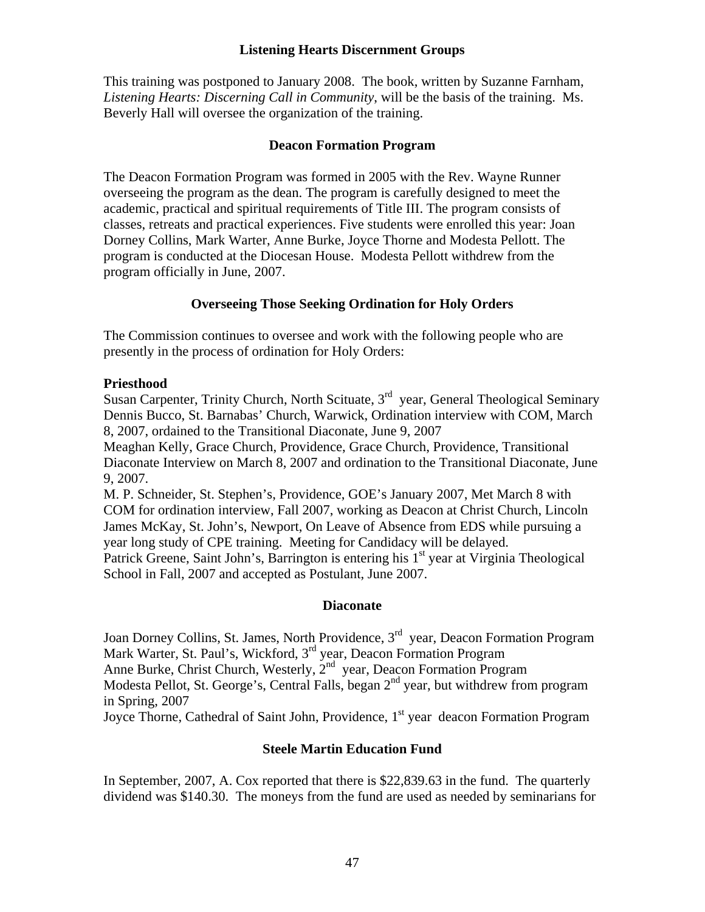#### **Listening Hearts Discernment Groups**

This training was postponed to January 2008. The book, written by Suzanne Farnham, *Listening Hearts: Discerning Call in Community*, will be the basis of the training. Ms. Beverly Hall will oversee the organization of the training.

#### **Deacon Formation Program**

The Deacon Formation Program was formed in 2005 with the Rev. Wayne Runner overseeing the program as the dean. The program is carefully designed to meet the academic, practical and spiritual requirements of Title III. The program consists of classes, retreats and practical experiences. Five students were enrolled this year: Joan Dorney Collins, Mark Warter, Anne Burke, Joyce Thorne and Modesta Pellott. The program is conducted at the Diocesan House. Modesta Pellott withdrew from the program officially in June, 2007.

# **Overseeing Those Seeking Ordination for Holy Orders**

The Commission continues to oversee and work with the following people who are presently in the process of ordination for Holy Orders:

# **Priesthood**

Susan Carpenter, Trinity Church, North Scituate,  $3<sup>rd</sup>$  year, General Theological Seminary Dennis Bucco, St. Barnabas' Church, Warwick, Ordination interview with COM, March 8, 2007, ordained to the Transitional Diaconate, June 9, 2007

Meaghan Kelly, Grace Church, Providence, Grace Church, Providence, Transitional Diaconate Interview on March 8, 2007 and ordination to the Transitional Diaconate, June 9, 2007.

M. P. Schneider, St. Stephen's, Providence, GOE's January 2007, Met March 8 with COM for ordination interview, Fall 2007, working as Deacon at Christ Church, Lincoln James McKay, St. John's, Newport, On Leave of Absence from EDS while pursuing a year long study of CPE training. Meeting for Candidacy will be delayed. Patrick Greene, Saint John's, Barrington is entering his  $1<sup>st</sup>$  year at Virginia Theological School in Fall, 2007 and accepted as Postulant, June 2007.

#### **Diaconate**

Joan Dorney Collins, St. James, North Providence, 3<sup>rd</sup> year, Deacon Formation Program Mark Warter, St. Paul's, Wickford, 3<sup>rd</sup> year, Deacon Formation Program Anne Burke, Christ Church, Westerly, 2<sup>nd</sup> year, Deacon Formation Program Modesta Pellot, St. George's, Central Falls, began 2<sup>nd</sup> year, but withdrew from program in Spring, 2007

Joyce Thorne, Cathedral of Saint John, Providence, 1<sup>st</sup> year deacon Formation Program

# **Steele Martin Education Fund**

In September, 2007, A. Cox reported that there is \$22,839.63 in the fund. The quarterly dividend was \$140.30. The moneys from the fund are used as needed by seminarians for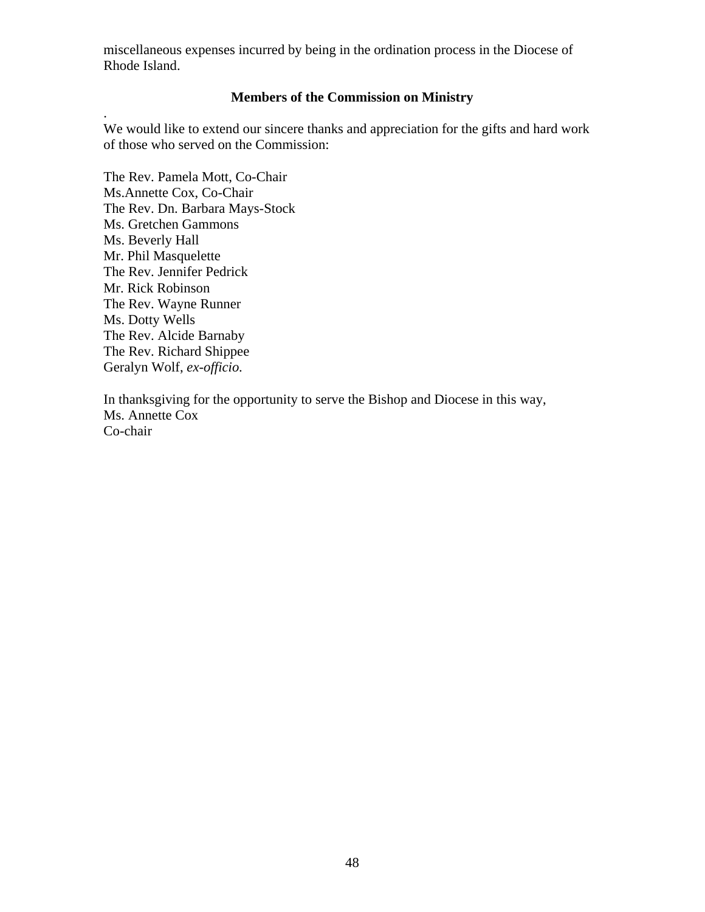miscellaneous expenses incurred by being in the ordination process in the Diocese of Rhode Island.

# **Members of the Commission on Ministry**

We would like to extend our sincere thanks and appreciation for the gifts and hard work of those who served on the Commission:

The Rev. Pamela Mott, Co-Chair Ms.Annette Cox, Co-Chair The Rev. Dn. Barbara Mays-Stock Ms. Gretchen Gammons Ms. Beverly Hall Mr. Phil Masquelette The Rev. Jennifer Pedrick Mr. Rick Robinson The Rev. Wayne Runner Ms. Dotty Wells The Rev. Alcide Barnaby The Rev. Richard Shippee Geralyn Wolf, *ex-officio*.

.

In thanksgiving for the opportunity to serve the Bishop and Diocese in this way, Ms. Annette Cox Co-chair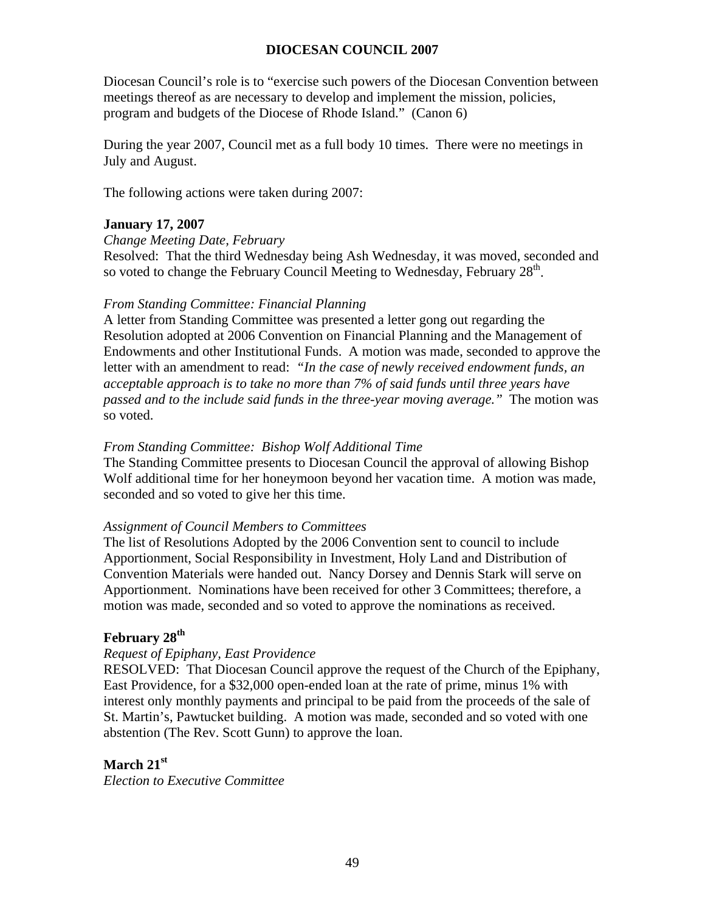# **DIOCESAN COUNCIL 2007**

Diocesan Council's role is to "exercise such powers of the Diocesan Convention between meetings thereof as are necessary to develop and implement the mission, policies, program and budgets of the Diocese of Rhode Island." (Canon 6)

During the year 2007, Council met as a full body 10 times. There were no meetings in July and August.

The following actions were taken during 2007:

#### **January 17, 2007**

#### *Change Meeting Date, February*

Resolved: That the third Wednesday being Ash Wednesday, it was moved, seconded and so voted to change the February Council Meeting to Wednesday, February  $28<sup>th</sup>$ .

#### *From Standing Committee: Financial Planning*

A letter from Standing Committee was presented a letter gong out regarding the Resolution adopted at 2006 Convention on Financial Planning and the Management of Endowments and other Institutional Funds. A motion was made, seconded to approve the letter with an amendment to read: *"In the case of newly received endowment funds, an acceptable approach is to take no more than 7% of said funds until three years have passed and to the include said funds in the three-year moving average."* The motion was so voted.

#### *From Standing Committee: Bishop Wolf Additional Time*

The Standing Committee presents to Diocesan Council the approval of allowing Bishop Wolf additional time for her honeymoon beyond her vacation time. A motion was made, seconded and so voted to give her this time.

#### *Assignment of Council Members to Committees*

The list of Resolutions Adopted by the 2006 Convention sent to council to include Apportionment, Social Responsibility in Investment, Holy Land and Distribution of Convention Materials were handed out. Nancy Dorsey and Dennis Stark will serve on Apportionment. Nominations have been received for other 3 Committees; therefore, a motion was made, seconded and so voted to approve the nominations as received.

#### February 28<sup>th</sup>

#### *Request of Epiphany, East Providence*

RESOLVED: That Diocesan Council approve the request of the Church of the Epiphany, East Providence, for a \$32,000 open-ended loan at the rate of prime, minus 1% with interest only monthly payments and principal to be paid from the proceeds of the sale of St. Martin's, Pawtucket building. A motion was made, seconded and so voted with one abstention (The Rev. Scott Gunn) to approve the loan.

#### **March 21st**

*Election to Executive Committee*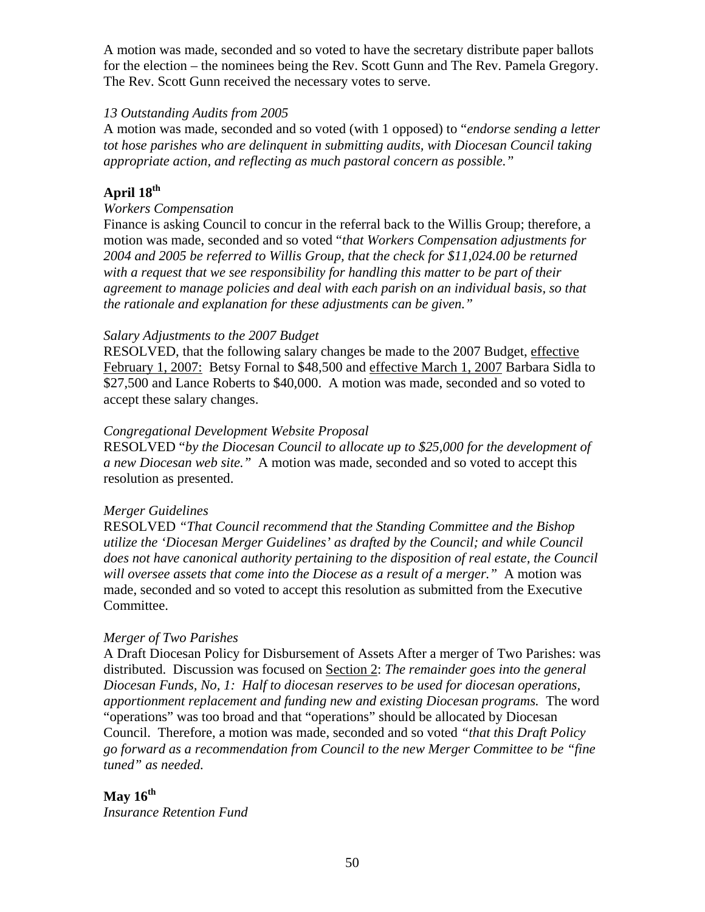A motion was made, seconded and so voted to have the secretary distribute paper ballots for the election – the nominees being the Rev. Scott Gunn and The Rev. Pamela Gregory. The Rev. Scott Gunn received the necessary votes to serve.

#### *13 Outstanding Audits from 2005*

A motion was made, seconded and so voted (with 1 opposed) to "*endorse sending a letter tot hose parishes who are delinquent in submitting audits, with Diocesan Council taking appropriate action, and reflecting as much pastoral concern as possible."*

# **April 18th**

#### *Workers Compensation*

Finance is asking Council to concur in the referral back to the Willis Group; therefore, a motion was made, seconded and so voted "*that Workers Compensation adjustments for 2004 and 2005 be referred to Willis Group, that the check for \$11,024.00 be returned with a request that we see responsibility for handling this matter to be part of their agreement to manage policies and deal with each parish on an individual basis, so that the rationale and explanation for these adjustments can be given."* 

#### *Salary Adjustments to the 2007 Budget*

RESOLVED, that the following salary changes be made to the 2007 Budget, effective February 1, 2007: Betsy Fornal to \$48,500 and effective March 1, 2007 Barbara Sidla to \$27,500 and Lance Roberts to \$40,000. A motion was made, seconded and so voted to accept these salary changes.

#### *Congregational Development Website Proposal*

RESOLVED "*by the Diocesan Council to allocate up to \$25,000 for the development of a new Diocesan web site."* A motion was made, seconded and so voted to accept this resolution as presented.

#### *Merger Guidelines*

RESOLVED *"That Council recommend that the Standing Committee and the Bishop utilize the 'Diocesan Merger Guidelines' as drafted by the Council; and while Council does not have canonical authority pertaining to the disposition of real estate, the Council will oversee assets that come into the Diocese as a result of a merger."* A motion was made, seconded and so voted to accept this resolution as submitted from the Executive Committee.

#### *Merger of Two Parishes*

A Draft Diocesan Policy for Disbursement of Assets After a merger of Two Parishes: was distributed. Discussion was focused on Section 2: *The remainder goes into the general Diocesan Funds, No, 1: Half to diocesan reserves to be used for diocesan operations, apportionment replacement and funding new and existing Diocesan programs.* The word "operations" was too broad and that "operations" should be allocated by Diocesan Council. Therefore, a motion was made, seconded and so voted *"that this Draft Policy go forward as a recommendation from Council to the new Merger Committee to be "fine tuned" as needed.*

# **May 16th**

*Insurance Retention Fund*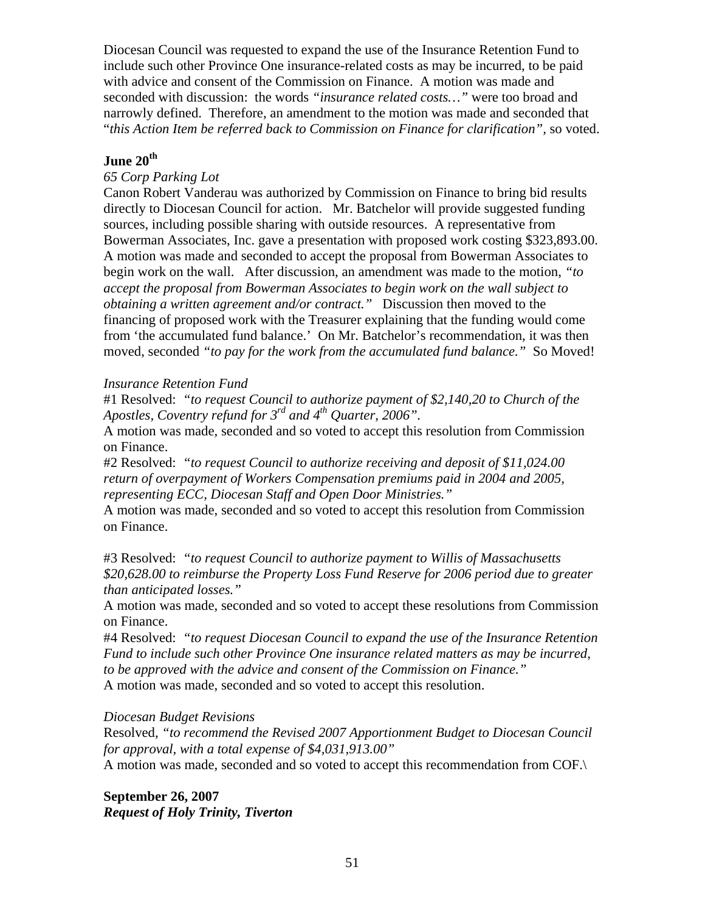Diocesan Council was requested to expand the use of the Insurance Retention Fund to include such other Province One insurance-related costs as may be incurred, to be paid with advice and consent of the Commission on Finance. A motion was made and seconded with discussion: the words *"insurance related costs…"* were too broad and narrowly defined. Therefore, an amendment to the motion was made and seconded that "*this Action Item be referred back to Commission on Finance for clarification",* so voted.

# **June 20th**

# *65 Corp Parking Lot*

Canon Robert Vanderau was authorized by Commission on Finance to bring bid results directly to Diocesan Council for action. Mr. Batchelor will provide suggested funding sources, including possible sharing with outside resources. A representative from Bowerman Associates, Inc. gave a presentation with proposed work costing \$323,893.00. A motion was made and seconded to accept the proposal from Bowerman Associates to begin work on the wall. After discussion, an amendment was made to the motion, *"to accept the proposal from Bowerman Associates to begin work on the wall subject to obtaining a written agreement and/or contract."* Discussion then moved to the financing of proposed work with the Treasurer explaining that the funding would come from 'the accumulated fund balance.' On Mr. Batchelor's recommendation, it was then moved, seconded *"to pay for the work from the accumulated fund balance."* So Moved!

# *Insurance Retention Fund*

#1 Resolved: *"to request Council to authorize payment of \$2,140,20 to Church of the Apostles, Coventry refund for 3rd and 4th Quarter, 2006".*

A motion was made, seconded and so voted to accept this resolution from Commission on Finance.

#2 Resolved: *"to request Council to authorize receiving and deposit of \$11,024.00 return of overpayment of Workers Compensation premiums paid in 2004 and 2005, representing ECC, Diocesan Staff and Open Door Ministries."* 

A motion was made, seconded and so voted to accept this resolution from Commission on Finance.

#3 Resolved: *"to request Council to authorize payment to Willis of Massachusetts \$20,628.00 to reimburse the Property Loss Fund Reserve for 2006 period due to greater than anticipated losses."* 

A motion was made, seconded and so voted to accept these resolutions from Commission on Finance.

#4 Resolved: *"to request Diocesan Council to expand the use of the Insurance Retention Fund to include such other Province One insurance related matters as may be incurred, to be approved with the advice and consent of the Commission on Finance."*

A motion was made, seconded and so voted to accept this resolution.

#### *Diocesan Budget Revisions*

Resolved, *"to recommend the Revised 2007 Apportionment Budget to Diocesan Council for approval, with a total expense of \$4,031,913.00"*

A motion was made, seconded and so voted to accept this recommendation from COF.\

**September 26, 2007**  *Request of Holy Trinity, Tiverton*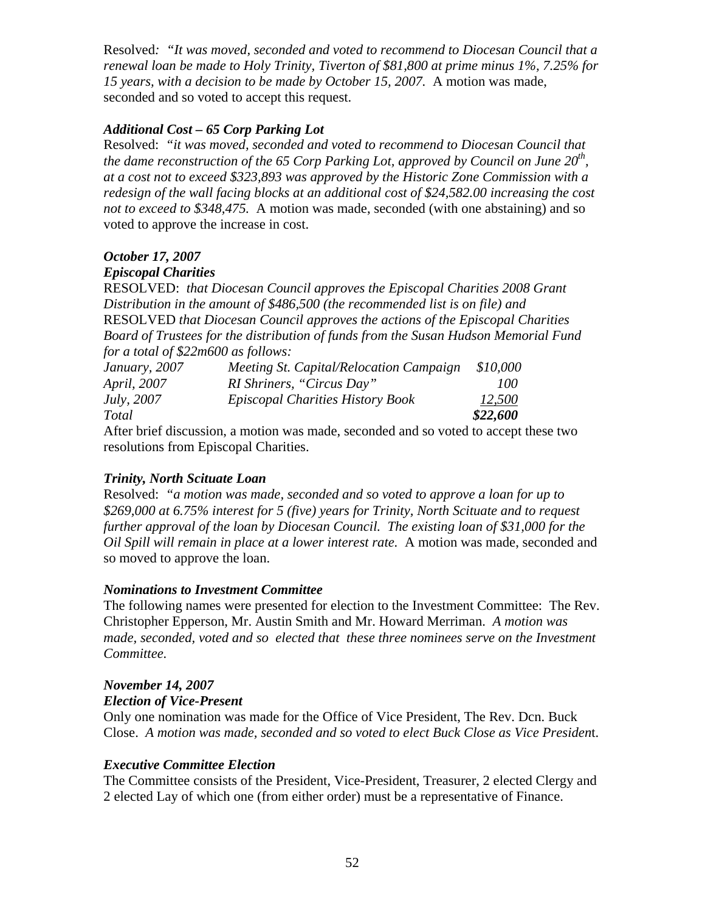Resolved*: "It was moved, seconded and voted to recommend to Diocesan Council that a renewal loan be made to Holy Trinity, Tiverton of \$81,800 at prime minus 1%, 7.25% for 15 years, with a decision to be made by October 15, 2007.* A motion was made, seconded and so voted to accept this request.

# *Additional Cost – 65 Corp Parking Lot*

Resolved: *"it was moved, seconded and voted to recommend to Diocesan Council that the dame reconstruction of the 65 Corp Parking Lot, approved by Council on June 20<sup>th</sup>, at a cost not to exceed \$323,893 was approved by the Historic Zone Commission with a redesign of the wall facing blocks at an additional cost of \$24,582.00 increasing the cost not to exceed to \$348,475.* A motion was made, seconded (with one abstaining) and so voted to approve the increase in cost.

# *October 17, 2007*

# *Episcopal Charities*

RESOLVED: *that Diocesan Council approves the Episcopal Charities 2008 Grant Distribution in the amount of \$486,500 (the recommended list is on file) and*  RESOLVED *that Diocesan Council approves the actions of the Episcopal Charities Board of Trustees for the distribution of funds from the Susan Hudson Memorial Fund for a total of \$22m600 as follows:* 

| January, 2007      | Meeting St. Capital/Relocation Campaign | \$10,000 |
|--------------------|-----------------------------------------|----------|
| <i>April, 2007</i> | RI Shriners, "Circus Day"               | 100      |
| <i>July</i> , 2007 | Episcopal Charities History Book        | 12,500   |
| Total              |                                         | \$22,600 |

After brief discussion, a motion was made, seconded and so voted to accept these two resolutions from Episcopal Charities.

# *Trinity, North Scituate Loan*

Resolved: *"a motion was made, seconded and so voted to approve a loan for up to \$269,000 at 6.75% interest for 5 (five) years for Trinity, North Scituate and to request further approval of the loan by Diocesan Council. The existing loan of \$31,000 for the Oil Spill will remain in place at a lower interest rate.* A motion was made, seconded and so moved to approve the loan.

# *Nominations to Investment Committee*

The following names were presented for election to the Investment Committee: The Rev. Christopher Epperson, Mr. Austin Smith and Mr. Howard Merriman. *A motion was*  made, seconded, voted and so elected that these three nominees serve on the Investment *Committee.* 

# *November 14, 2007*

# *Election of Vice-Present*

Only one nomination was made for the Office of Vice President, The Rev. Dcn. Buck Close. *A motion was made, seconded and so voted to elect Buck Close as Vice Presiden*t.

# *Executive Committee Election*

The Committee consists of the President, Vice-President, Treasurer, 2 elected Clergy and 2 elected Lay of which one (from either order) must be a representative of Finance.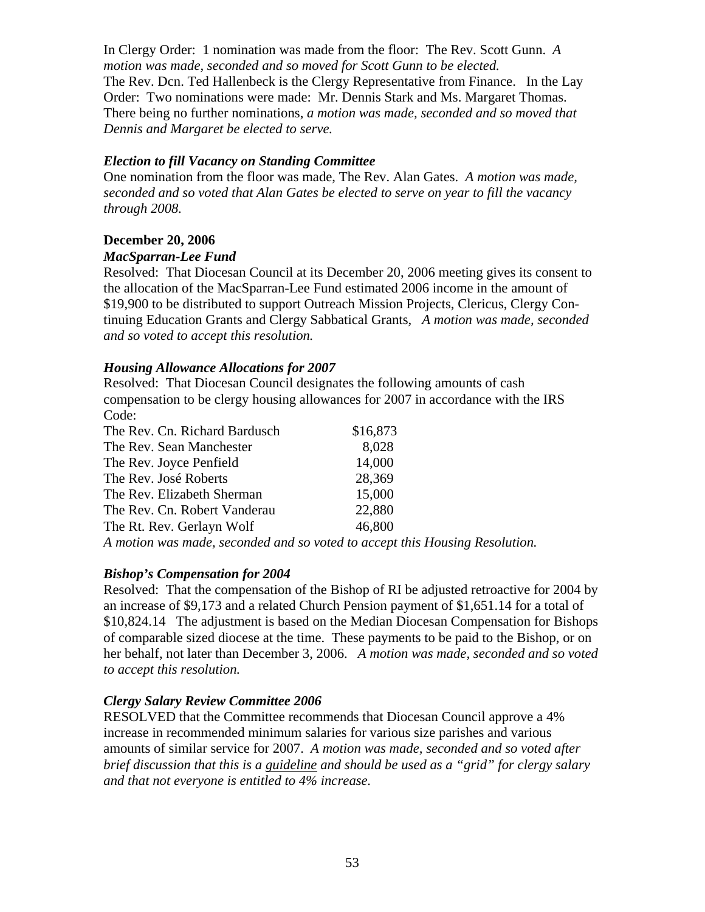In Clergy Order: 1 nomination was made from the floor: The Rev. Scott Gunn. *A motion was made, seconded and so moved for Scott Gunn to be elected.*  The Rev. Dcn. Ted Hallenbeck is the Clergy Representative from Finance. In the Lay Order: Two nominations were made: Mr. Dennis Stark and Ms. Margaret Thomas. There being no further nominations, *a motion was made, seconded and so moved that Dennis and Margaret be elected to serve.* 

#### *Election to fill Vacancy on Standing Committee*

One nomination from the floor was made, The Rev. Alan Gates. *A motion was made, seconded and so voted that Alan Gates be elected to serve on year to fill the vacancy through 2008.* 

# **December 20, 2006**

#### *MacSparran-Lee Fund*

Resolved: That Diocesan Council at its December 20, 2006 meeting gives its consent to the allocation of the MacSparran-Lee Fund estimated 2006 income in the amount of \$19,900 to be distributed to support Outreach Mission Projects, Clericus, Clergy Continuing Education Grants and Clergy Sabbatical Grants*, A motion was made, seconded and so voted to accept this resolution.* 

# *Housing Allowance Allocations for 2007*

Resolved: That Diocesan Council designates the following amounts of cash compensation to be clergy housing allowances for 2007 in accordance with the IRS Code:

| The Rev. Cn. Richard Bardusch                                                                                                                                                                                                                                                                             | \$16,873 |
|-----------------------------------------------------------------------------------------------------------------------------------------------------------------------------------------------------------------------------------------------------------------------------------------------------------|----------|
| The Rev. Sean Manchester                                                                                                                                                                                                                                                                                  | 8,028    |
| The Rev. Joyce Penfield                                                                                                                                                                                                                                                                                   | 14,000   |
| The Rev. José Roberts                                                                                                                                                                                                                                                                                     | 28,369   |
| The Rev. Elizabeth Sherman                                                                                                                                                                                                                                                                                | 15,000   |
| The Rev. Cn. Robert Vanderau                                                                                                                                                                                                                                                                              | 22,880   |
| The Rt. Rev. Gerlayn Wolf                                                                                                                                                                                                                                                                                 | 46,800   |
| $\mathbf{1}$ , and the set of $\mathbf{1}$ , $\mathbf{1}$ , $\mathbf{1}$ , $\mathbf{1}$ , $\mathbf{1}$ , $\mathbf{1}$ , $\mathbf{1}$ , $\mathbf{1}$ , $\mathbf{1}$ , $\mathbf{1}$ , $\mathbf{1}$ , $\mathbf{1}$ , $\mathbf{1}$ , $\mathbf{1}$ , $\mathbf{1}$ , $\mathbf{1}$ , $\mathbf{1}$ , $\mathbf{1}$ |          |

*A motion was made, seconded and so voted to accept this Housing Resolution.* 

# *Bishop's Compensation for 2004*

Resolved: That the compensation of the Bishop of RI be adjusted retroactive for 2004 by an increase of \$9,173 and a related Church Pension payment of \$1,651.14 for a total of \$10,824.14 The adjustment is based on the Median Diocesan Compensation for Bishops of comparable sized diocese at the time. These payments to be paid to the Bishop, or on her behalf, not later than December 3, 2006. *A motion was made, seconded and so voted to accept this resolution.* 

# *Clergy Salary Review Committee 2006*

RESOLVED that the Committee recommends that Diocesan Council approve a 4% increase in recommended minimum salaries for various size parishes and various amounts of similar service for 2007. *A motion was made, seconded and so voted after brief discussion that this is a guideline and should be used as a "grid" for clergy salary and that not everyone is entitled to 4% increase.*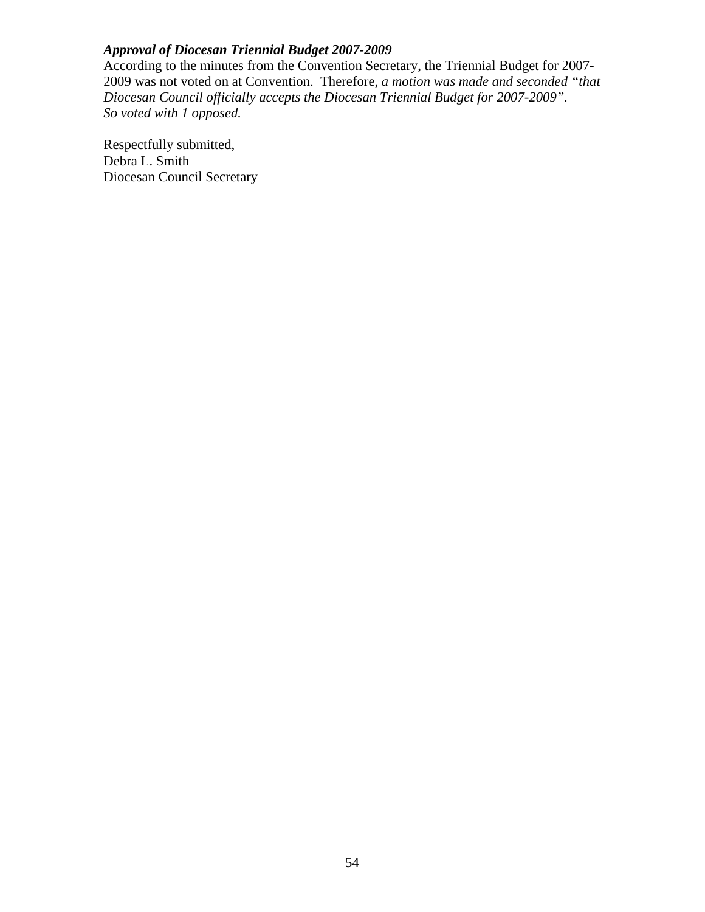# *Approval of Diocesan Triennial Budget 2007-2009*

According to the minutes from the Convention Secretary, the Triennial Budget for 2007- 2009 was not voted on at Convention. Therefore, *a motion was made and seconded "that Diocesan Council officially accepts the Diocesan Triennial Budget for 2007-2009". So voted with 1 opposed.* 

Respectfully submitted, Debra L. Smith Diocesan Council Secretary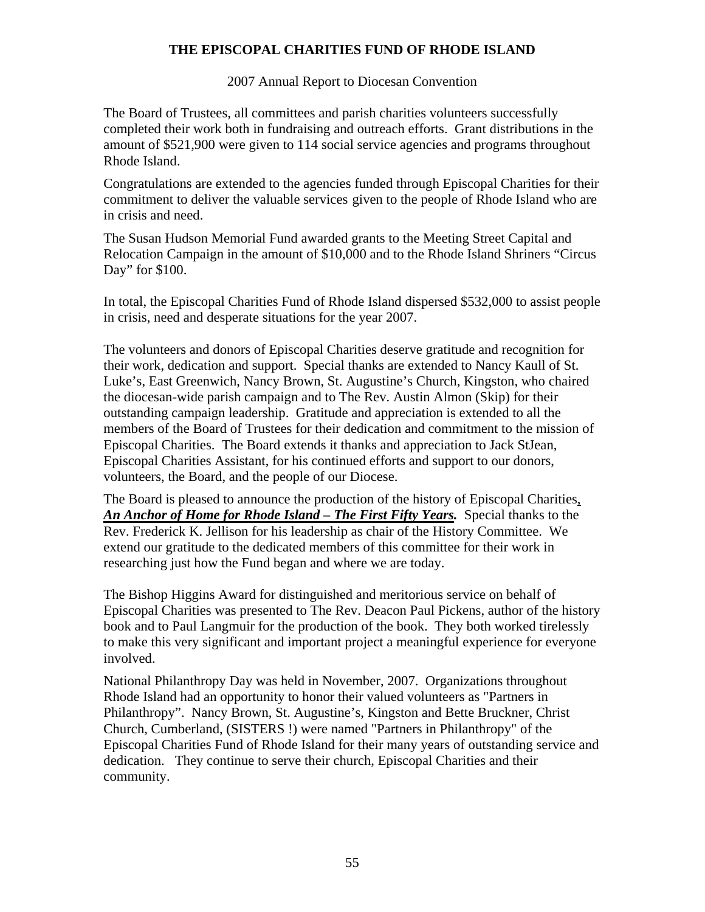# **THE EPISCOPAL CHARITIES FUND OF RHODE ISLAND**

2007 Annual Report to Diocesan Convention

The Board of Trustees, all committees and parish charities volunteers successfully completed their work both in fundraising and outreach efforts. Grant distributions in the amount of \$521,900 were given to 114 social service agencies and programs throughout Rhode Island.

Congratulations are extended to the agencies funded through Episcopal Charities for their commitment to deliver the valuable services given to the people of Rhode Island who are in crisis and need.

The Susan Hudson Memorial Fund awarded grants to the Meeting Street Capital and Relocation Campaign in the amount of \$10,000 and to the Rhode Island Shriners "Circus Day" for \$100.

In total, the Episcopal Charities Fund of Rhode Island dispersed \$532,000 to assist people in crisis, need and desperate situations for the year 2007.

The volunteers and donors of Episcopal Charities deserve gratitude and recognition for their work, dedication and support. Special thanks are extended to Nancy Kaull of St. Luke's, East Greenwich, Nancy Brown, St. Augustine's Church, Kingston, who chaired the diocesan-wide parish campaign and to The Rev. Austin Almon (Skip) for their outstanding campaign leadership. Gratitude and appreciation is extended to all the members of the Board of Trustees for their dedication and commitment to the mission of Episcopal Charities. The Board extends it thanks and appreciation to Jack StJean, Episcopal Charities Assistant, for his continued efforts and support to our donors, volunteers, the Board, and the people of our Diocese.

The Board is pleased to announce the production of the history of Episcopal Charities, An Anchor of Home for Rhode Island – The First Fifty Years. Special thanks to the Rev. Frederick K. Jellison for his leadership as chair of the History Committee. We extend our gratitude to the dedicated members of this committee for their work in researching just how the Fund began and where we are today.

The Bishop Higgins Award for distinguished and meritorious service on behalf of Episcopal Charities was presented to The Rev. Deacon Paul Pickens, author of the history book and to Paul Langmuir for the production of the book. They both worked tirelessly to make this very significant and important project a meaningful experience for everyone involved.

National Philanthropy Day was held in November, 2007. Organizations throughout Rhode Island had an opportunity to honor their valued volunteers as "Partners in Philanthropy". Nancy Brown, St. Augustine's, Kingston and Bette Bruckner, Christ Church, Cumberland, (SISTERS !) were named "Partners in Philanthropy" of the Episcopal Charities Fund of Rhode Island for their many years of outstanding service and dedication. They continue to serve their church, Episcopal Charities and their community.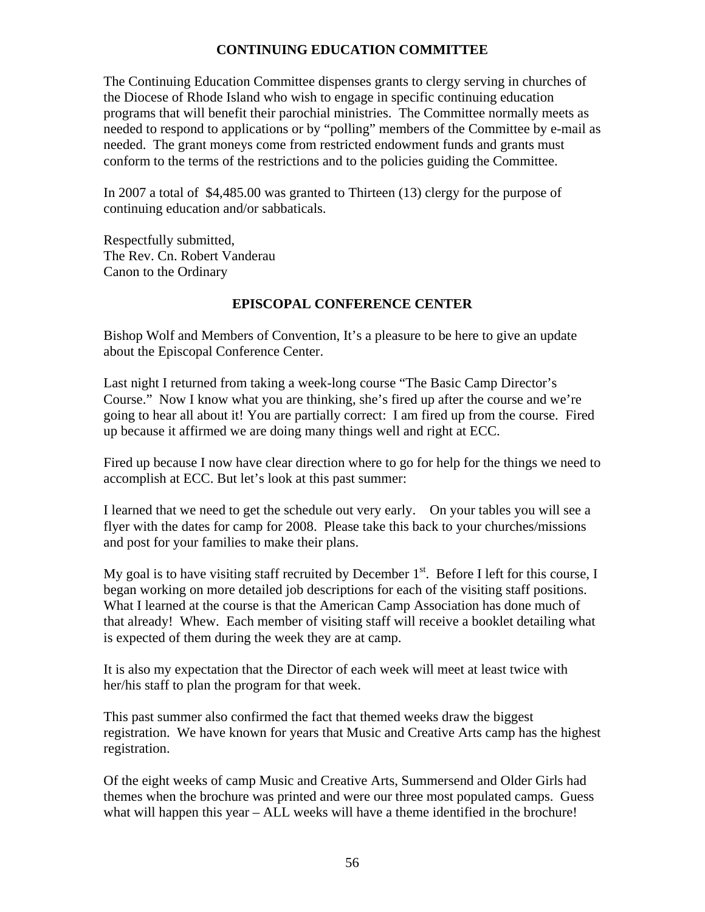# **CONTINUING EDUCATION COMMITTEE**

The Continuing Education Committee dispenses grants to clergy serving in churches of the Diocese of Rhode Island who wish to engage in specific continuing education programs that will benefit their parochial ministries. The Committee normally meets as needed to respond to applications or by "polling" members of the Committee by e-mail as needed. The grant moneys come from restricted endowment funds and grants must conform to the terms of the restrictions and to the policies guiding the Committee.

In 2007 a total of \$4,485.00 was granted to Thirteen (13) clergy for the purpose of continuing education and/or sabbaticals.

Respectfully submitted, The Rev. Cn. Robert Vanderau Canon to the Ordinary

# **EPISCOPAL CONFERENCE CENTER**

Bishop Wolf and Members of Convention, It's a pleasure to be here to give an update about the Episcopal Conference Center.

Last night I returned from taking a week-long course "The Basic Camp Director's Course." Now I know what you are thinking, she's fired up after the course and we're going to hear all about it! You are partially correct: I am fired up from the course. Fired up because it affirmed we are doing many things well and right at ECC.

Fired up because I now have clear direction where to go for help for the things we need to accomplish at ECC. But let's look at this past summer:

I learned that we need to get the schedule out very early. On your tables you will see a flyer with the dates for camp for 2008. Please take this back to your churches/missions and post for your families to make their plans.

My goal is to have visiting staff recruited by December  $1<sup>st</sup>$ . Before I left for this course, I began working on more detailed job descriptions for each of the visiting staff positions. What I learned at the course is that the American Camp Association has done much of that already! Whew. Each member of visiting staff will receive a booklet detailing what is expected of them during the week they are at camp.

It is also my expectation that the Director of each week will meet at least twice with her/his staff to plan the program for that week.

This past summer also confirmed the fact that themed weeks draw the biggest registration. We have known for years that Music and Creative Arts camp has the highest registration.

Of the eight weeks of camp Music and Creative Arts, Summersend and Older Girls had themes when the brochure was printed and were our three most populated camps. Guess what will happen this year – ALL weeks will have a theme identified in the brochure!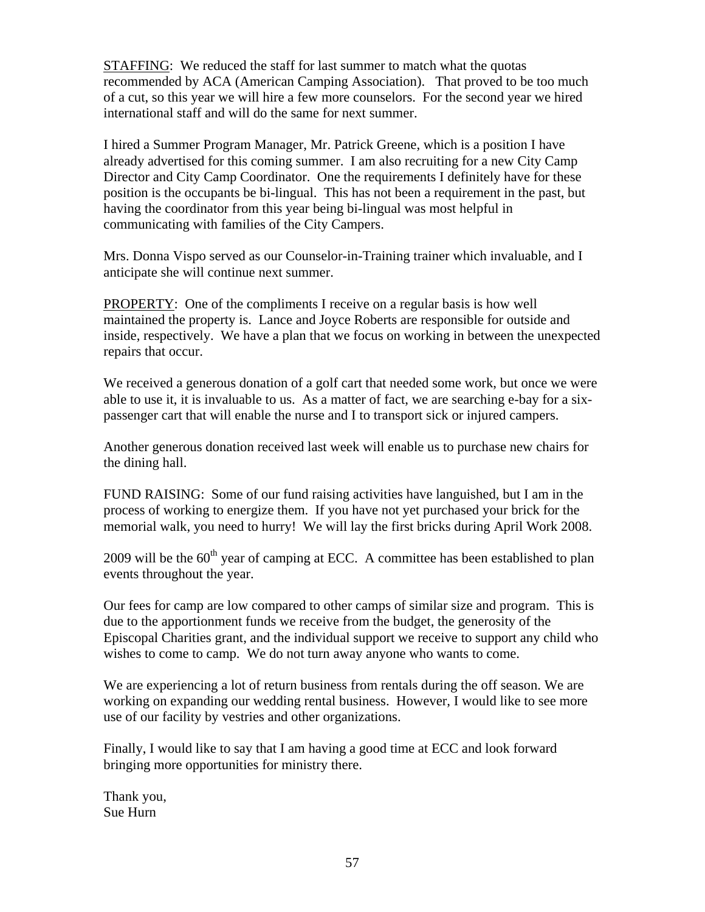STAFFING: We reduced the staff for last summer to match what the quotas recommended by ACA (American Camping Association). That proved to be too much of a cut, so this year we will hire a few more counselors. For the second year we hired international staff and will do the same for next summer.

I hired a Summer Program Manager, Mr. Patrick Greene, which is a position I have already advertised for this coming summer. I am also recruiting for a new City Camp Director and City Camp Coordinator. One the requirements I definitely have for these position is the occupants be bi-lingual. This has not been a requirement in the past, but having the coordinator from this year being bi-lingual was most helpful in communicating with families of the City Campers.

Mrs. Donna Vispo served as our Counselor-in-Training trainer which invaluable, and I anticipate she will continue next summer.

PROPERTY: One of the compliments I receive on a regular basis is how well maintained the property is. Lance and Joyce Roberts are responsible for outside and inside, respectively. We have a plan that we focus on working in between the unexpected repairs that occur.

We received a generous donation of a golf cart that needed some work, but once we were able to use it, it is invaluable to us. As a matter of fact, we are searching e-bay for a sixpassenger cart that will enable the nurse and I to transport sick or injured campers.

Another generous donation received last week will enable us to purchase new chairs for the dining hall.

FUND RAISING: Some of our fund raising activities have languished, but I am in the process of working to energize them. If you have not yet purchased your brick for the memorial walk, you need to hurry! We will lay the first bricks during April Work 2008.

2009 will be the  $60<sup>th</sup>$  year of camping at ECC. A committee has been established to plan events throughout the year.

Our fees for camp are low compared to other camps of similar size and program. This is due to the apportionment funds we receive from the budget, the generosity of the Episcopal Charities grant, and the individual support we receive to support any child who wishes to come to camp. We do not turn away anyone who wants to come.

We are experiencing a lot of return business from rentals during the off season. We are working on expanding our wedding rental business. However, I would like to see more use of our facility by vestries and other organizations.

Finally, I would like to say that I am having a good time at ECC and look forward bringing more opportunities for ministry there.

Thank you, Sue Hurn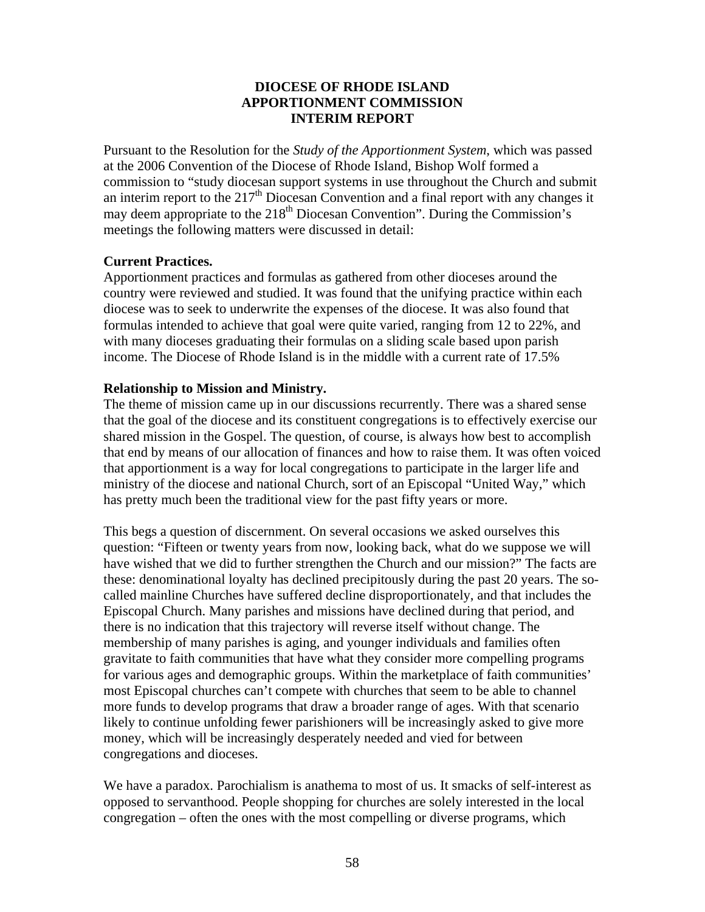# **DIOCESE OF RHODE ISLAND APPORTIONMENT COMMISSION INTERIM REPORT**

Pursuant to the Resolution for the *Study of the Apportionment System*, which was passed at the 2006 Convention of the Diocese of Rhode Island, Bishop Wolf formed a commission to "study diocesan support systems in use throughout the Church and submit an interim report to the  $217<sup>th</sup>$  Diocesan Convention and a final report with any changes it may deem appropriate to the  $218^{th}$  Diocesan Convention". During the Commission's meetings the following matters were discussed in detail:

#### **Current Practices.**

Apportionment practices and formulas as gathered from other dioceses around the country were reviewed and studied. It was found that the unifying practice within each diocese was to seek to underwrite the expenses of the diocese. It was also found that formulas intended to achieve that goal were quite varied, ranging from 12 to 22%, and with many dioceses graduating their formulas on a sliding scale based upon parish income. The Diocese of Rhode Island is in the middle with a current rate of 17.5%

# **Relationship to Mission and Ministry.**

The theme of mission came up in our discussions recurrently. There was a shared sense that the goal of the diocese and its constituent congregations is to effectively exercise our shared mission in the Gospel. The question, of course, is always how best to accomplish that end by means of our allocation of finances and how to raise them. It was often voiced that apportionment is a way for local congregations to participate in the larger life and ministry of the diocese and national Church, sort of an Episcopal "United Way," which has pretty much been the traditional view for the past fifty years or more.

This begs a question of discernment. On several occasions we asked ourselves this question: "Fifteen or twenty years from now, looking back, what do we suppose we will have wished that we did to further strengthen the Church and our mission?" The facts are these: denominational loyalty has declined precipitously during the past 20 years. The socalled mainline Churches have suffered decline disproportionately, and that includes the Episcopal Church. Many parishes and missions have declined during that period, and there is no indication that this trajectory will reverse itself without change. The membership of many parishes is aging, and younger individuals and families often gravitate to faith communities that have what they consider more compelling programs for various ages and demographic groups. Within the marketplace of faith communities' most Episcopal churches can't compete with churches that seem to be able to channel more funds to develop programs that draw a broader range of ages. With that scenario likely to continue unfolding fewer parishioners will be increasingly asked to give more money, which will be increasingly desperately needed and vied for between congregations and dioceses.

We have a paradox. Parochialism is anathema to most of us. It smacks of self-interest as opposed to servanthood. People shopping for churches are solely interested in the local congregation – often the ones with the most compelling or diverse programs, which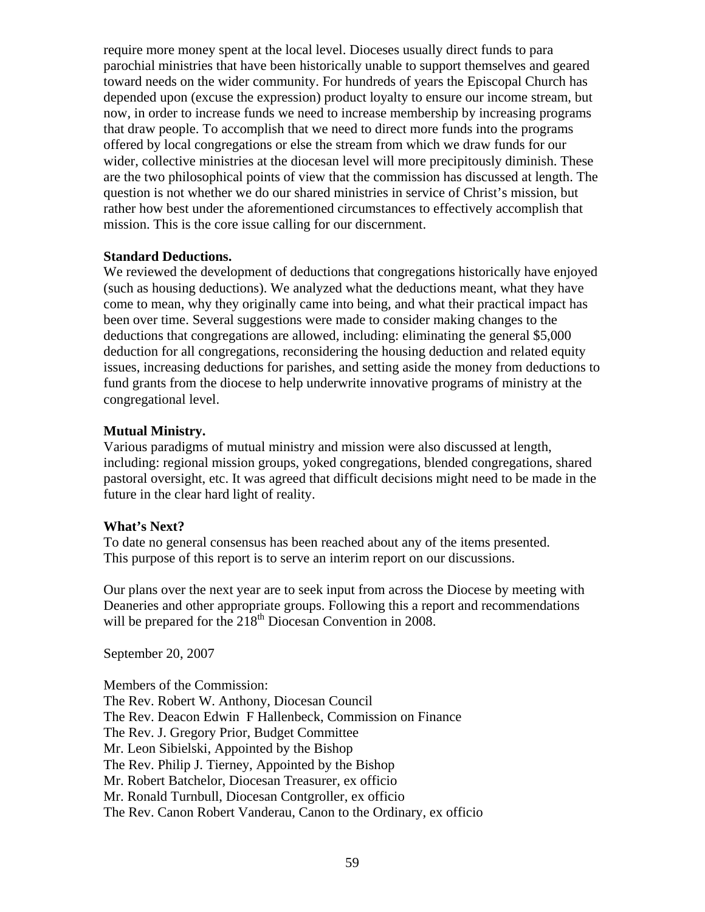require more money spent at the local level. Dioceses usually direct funds to para parochial ministries that have been historically unable to support themselves and geared toward needs on the wider community. For hundreds of years the Episcopal Church has depended upon (excuse the expression) product loyalty to ensure our income stream, but now, in order to increase funds we need to increase membership by increasing programs that draw people. To accomplish that we need to direct more funds into the programs offered by local congregations or else the stream from which we draw funds for our wider, collective ministries at the diocesan level will more precipitously diminish. These are the two philosophical points of view that the commission has discussed at length. The question is not whether we do our shared ministries in service of Christ's mission, but rather how best under the aforementioned circumstances to effectively accomplish that mission. This is the core issue calling for our discernment.

#### **Standard Deductions.**

We reviewed the development of deductions that congregations historically have enjoyed (such as housing deductions). We analyzed what the deductions meant, what they have come to mean, why they originally came into being, and what their practical impact has been over time. Several suggestions were made to consider making changes to the deductions that congregations are allowed, including: eliminating the general \$5,000 deduction for all congregations, reconsidering the housing deduction and related equity issues, increasing deductions for parishes, and setting aside the money from deductions to fund grants from the diocese to help underwrite innovative programs of ministry at the congregational level.

#### **Mutual Ministry.**

Various paradigms of mutual ministry and mission were also discussed at length, including: regional mission groups, yoked congregations, blended congregations, shared pastoral oversight, etc. It was agreed that difficult decisions might need to be made in the future in the clear hard light of reality.

#### **What's Next?**

To date no general consensus has been reached about any of the items presented. This purpose of this report is to serve an interim report on our discussions.

Our plans over the next year are to seek input from across the Diocese by meeting with Deaneries and other appropriate groups. Following this a report and recommendations will be prepared for the  $218<sup>th</sup>$  Diocesan Convention in 2008.

September 20, 2007

Members of the Commission: The Rev. Robert W. Anthony, Diocesan Council The Rev. Deacon Edwin F Hallenbeck, Commission on Finance The Rev. J. Gregory Prior, Budget Committee Mr. Leon Sibielski, Appointed by the Bishop The Rev. Philip J. Tierney, Appointed by the Bishop Mr. Robert Batchelor, Diocesan Treasurer, ex officio Mr. Ronald Turnbull, Diocesan Contgroller, ex officio The Rev. Canon Robert Vanderau, Canon to the Ordinary, ex officio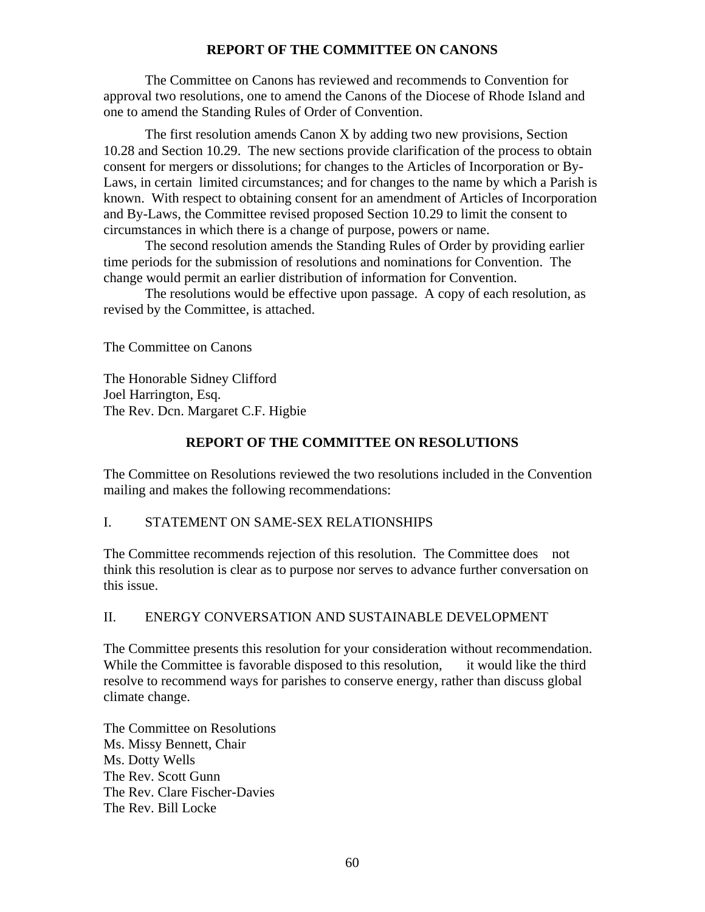# **REPORT OF THE COMMITTEE ON CANONS**

 The Committee on Canons has reviewed and recommends to Convention for approval two resolutions, one to amend the Canons of the Diocese of Rhode Island and one to amend the Standing Rules of Order of Convention.

 The first resolution amends Canon X by adding two new provisions, Section 10.28 and Section 10.29. The new sections provide clarification of the process to obtain consent for mergers or dissolutions; for changes to the Articles of Incorporation or By-Laws, in certain limited circumstances; and for changes to the name by which a Parish is known. With respect to obtaining consent for an amendment of Articles of Incorporation and By-Laws, the Committee revised proposed Section 10.29 to limit the consent to circumstances in which there is a change of purpose, powers or name.

The second resolution amends the Standing Rules of Order by providing earlier time periods for the submission of resolutions and nominations for Convention. The change would permit an earlier distribution of information for Convention.

The resolutions would be effective upon passage. A copy of each resolution, as revised by the Committee, is attached.

The Committee on Canons

The Honorable Sidney Clifford Joel Harrington, Esq. The Rev. Dcn. Margaret C.F. Higbie

# **REPORT OF THE COMMITTEE ON RESOLUTIONS**

The Committee on Resolutions reviewed the two resolutions included in the Convention mailing and makes the following recommendations:

# I. STATEMENT ON SAME-SEX RELATIONSHIPS

The Committee recommends rejection of this resolution. The Committee does not think this resolution is clear as to purpose nor serves to advance further conversation on this issue.

# II. ENERGY CONVERSATION AND SUSTAINABLE DEVELOPMENT

The Committee presents this resolution for your consideration without recommendation. While the Committee is favorable disposed to this resolution, it would like the third resolve to recommend ways for parishes to conserve energy, rather than discuss global climate change.

The Committee on Resolutions Ms. Missy Bennett, Chair Ms. Dotty Wells The Rev. Scott Gunn The Rev. Clare Fischer-Davies The Rev. Bill Locke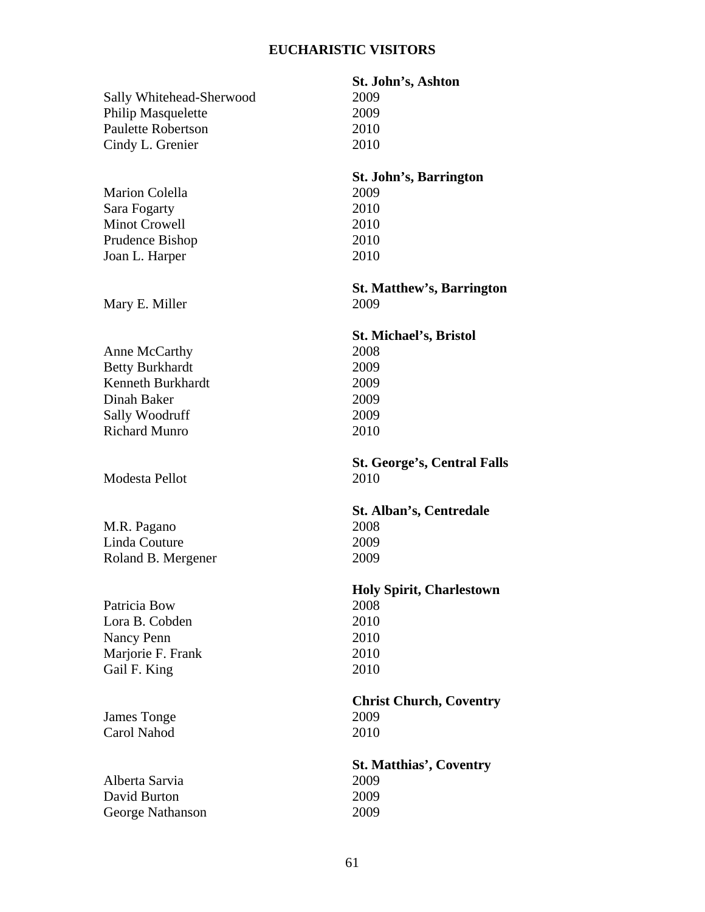# **EUCHARISTIC VISITORS**

|                                  | St. John's, Ashton                 |
|----------------------------------|------------------------------------|
| Sally Whitehead-Sherwood         | 2009                               |
| <b>Philip Masquelette</b>        | 2009                               |
| <b>Paulette Robertson</b>        | 2010                               |
| Cindy L. Grenier                 | 2010                               |
|                                  | St. John's, Barrington             |
| <b>Marion Colella</b>            | 2009                               |
| Sara Fogarty                     | 2010                               |
| <b>Minot Crowell</b>             | 2010                               |
| Prudence Bishop                  | 2010                               |
| Joan L. Harper                   | 2010                               |
|                                  | <b>St. Matthew's, Barrington</b>   |
| Mary E. Miller                   | 2009                               |
|                                  | <b>St. Michael's, Bristol</b>      |
| Anne McCarthy                    | 2008                               |
| <b>Betty Burkhardt</b>           | 2009                               |
| Kenneth Burkhardt                | 2009                               |
| Dinah Baker                      | 2009                               |
| Sally Woodruff                   | 2009                               |
| <b>Richard Munro</b>             | 2010                               |
|                                  |                                    |
|                                  | <b>St. George's, Central Falls</b> |
| Modesta Pellot                   | 2010                               |
|                                  | St. Alban's, Centredale            |
| M.R. Pagano                      | 2008                               |
| Linda Couture                    | 2009                               |
| Roland B. Mergener               | 2009                               |
|                                  | <b>Holy Spirit, Charlestown</b>    |
| Patricia Bow                     | 2008                               |
| Lora B. Cobden                   | 2010                               |
| Nancy Penn                       | 2010                               |
| Marjorie F. Frank                | 2010                               |
| Gail F. King                     | 2010                               |
|                                  | <b>Christ Church, Coventry</b>     |
| James Tonge                      | 2009                               |
| Carol Nahod                      | 2010                               |
|                                  | <b>St. Matthias', Coventry</b>     |
| Alberta Sarvia                   | 2009                               |
| David Burton<br>George Nathanson | 2009<br>2009                       |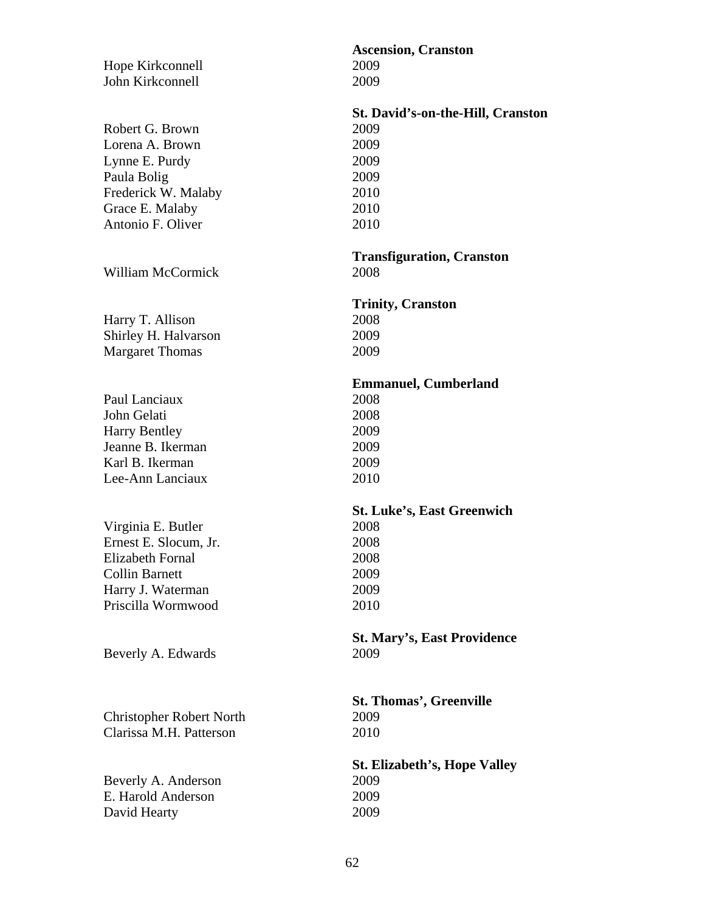| Hope Kirkconnell<br>John Kirkconnell                                                                                                | Ascer<br>2009<br>2009                                          |
|-------------------------------------------------------------------------------------------------------------------------------------|----------------------------------------------------------------|
| Robert G. Brown<br>Lorena A. Brown<br>Lynne E. Purdy<br>Paula Bolig<br>Frederick W. Malaby<br>Grace E. Malaby<br>Antonio F. Oliver  | St. Da<br>2009<br>2009<br>2009<br>2009<br>2010<br>2010<br>2010 |
| <b>William McCormick</b>                                                                                                            | Tran<br>2008                                                   |
| Harry T. Allison<br>Shirley H. Halvarson<br><b>Margaret Thomas</b>                                                                  | <b>Trini</b><br>2008<br>2009<br>2009                           |
| Paul Lanciaux<br>John Gelati<br><b>Harry Bentley</b><br>Jeanne B. Ikerman<br>Karl B. Ikerman<br>Lee-Ann Lanciaux                    | Emm<br>2008<br>2008<br>2009<br>2009<br>2009<br>2010            |
| Virginia E. Butler<br>Ernest E. Slocum, Jr.<br>Elizabeth Fornal<br><b>Collin Barnett</b><br>Harry J. Waterman<br>Priscilla Wormwood | <b>St.</b> Lu<br>2008<br>2008<br>2008<br>2009<br>2009<br>2010  |
| Beverly A. Edwards                                                                                                                  | St. M<br>2009                                                  |
| <b>Christopher Robert North</b><br>Clarissa M.H. Patterson                                                                          | St. TI<br>2009<br>2010                                         |
| Beverly A. Anderson<br>E. Harold Anderson<br>David Hearty                                                                           | St. El<br>2009<br>2009<br>2009                                 |

# **Ascension, Cranston**  2009 **St. David's-on-the-Hill, Cranston**  2009 **Transfiguration, Cranston**  2008 **Trinity, Cranston**  2008 2009 **Emmanuel, Cumberland**  2008 2009 **St. Luke's, East Greenwich**  2008 2009 2010

**St. Mary's, East Providence** 

**St. Thomas', Greenville**  2010

**St. Elizabeth's, Hope Valley**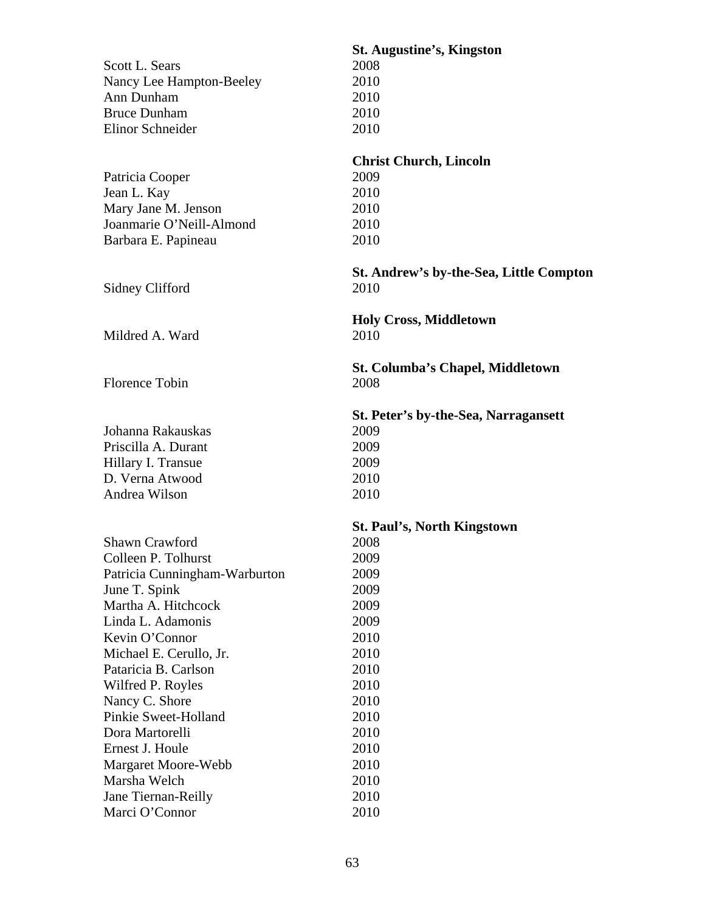| Scott L. Sears<br>Nancy Lee Hampton-Beeley<br>Ann Dunham<br><b>Bruce Dunham</b><br>Elinor Schneider                                                                                                                                                                                                                                                                                                  | <b>St. Augustine's, Kingston</b><br>2008<br>2010<br>2010<br>2010<br>2010                                                                                                           |
|------------------------------------------------------------------------------------------------------------------------------------------------------------------------------------------------------------------------------------------------------------------------------------------------------------------------------------------------------------------------------------------------------|------------------------------------------------------------------------------------------------------------------------------------------------------------------------------------|
| Patricia Cooper<br>Jean L. Kay<br>Mary Jane M. Jenson<br>Joanmarie O'Neill-Almond<br>Barbara E. Papineau                                                                                                                                                                                                                                                                                             | <b>Christ Church, Lincoln</b><br>2009<br>2010<br>2010<br>2010<br>2010                                                                                                              |
| Sidney Clifford                                                                                                                                                                                                                                                                                                                                                                                      | St. Andrew's by-the-Sea, Little Compton<br>2010                                                                                                                                    |
| Mildred A. Ward                                                                                                                                                                                                                                                                                                                                                                                      | <b>Holy Cross, Middletown</b><br>2010                                                                                                                                              |
| <b>Florence Tobin</b>                                                                                                                                                                                                                                                                                                                                                                                | <b>St. Columba's Chapel, Middletown</b><br>2008                                                                                                                                    |
| Johanna Rakauskas<br>Priscilla A. Durant<br>Hillary I. Transue<br>D. Verna Atwood<br>Andrea Wilson                                                                                                                                                                                                                                                                                                   | St. Peter's by-the-Sea, Narragansett<br>2009<br>2009<br>2009<br>2010<br>2010                                                                                                       |
| <b>Shawn Crawford</b><br>Colleen P. Tolhurst<br>Patricia Cunningham-Warburton<br>June T. Spink<br>Martha A. Hitchcock<br>Linda L. Adamonis<br>Kevin O'Connor<br>Michael E. Cerullo, Jr.<br>Pataricia B. Carlson<br>Wilfred P. Royles<br>Nancy C. Shore<br>Pinkie Sweet-Holland<br>Dora Martorelli<br>Ernest J. Houle<br>Margaret Moore-Webb<br>Marsha Welch<br>Jane Tiernan-Reilly<br>Marci O'Connor | <b>St. Paul's, North Kingstown</b><br>2008<br>2009<br>2009<br>2009<br>2009<br>2009<br>2010<br>2010<br>2010<br>2010<br>2010<br>2010<br>2010<br>2010<br>2010<br>2010<br>2010<br>2010 |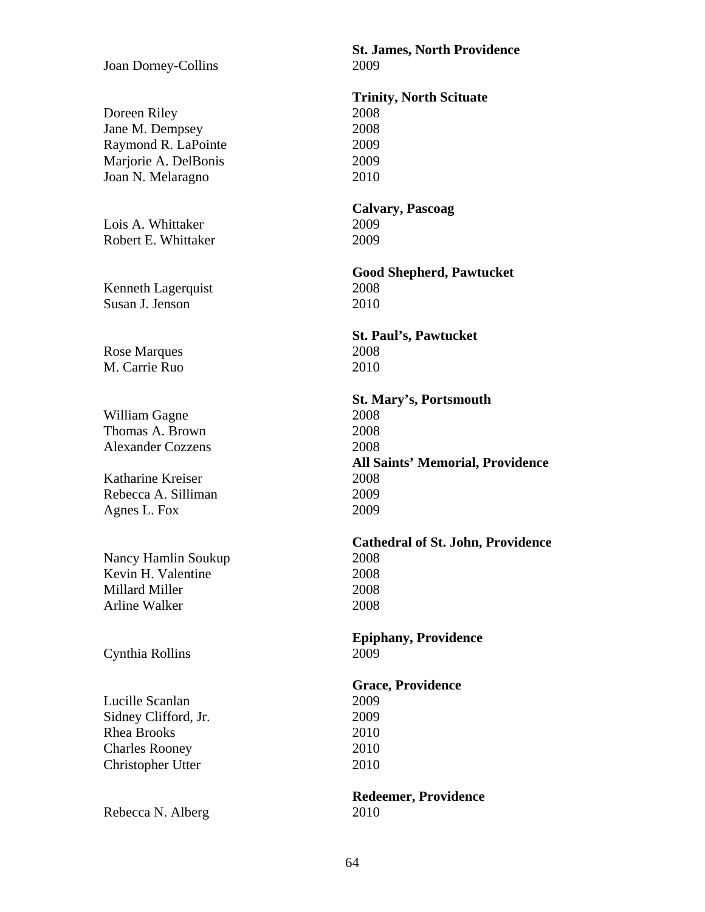Joan Dorney-Collins 2009

Doreen Riley 2008 Jane M. Dempsey 2008 Raymond R. LaPointe 2009 Marjorie A. DelBonis 2009 Joan N. Melaragno 2010

Lois A. Whittaker 2009 Robert E. Whittaker 2009

Kenneth Lagerquist 2008 Susan J. Jenson 2010

Rose Marques 2008 M. Carrie Ruo 2010

William Gagne 2008 Thomas A. Brown 2008 Alexander Cozzens 2008

Katharine Kreiser 2008 Rebecca A. Silliman 2009 Agnes L. Fox 2009

Nancy Hamlin Soukup 2008 Kevin H. Valentine 2008 Millard Miller 2008 Arline Walker 2008

Cynthia Rollins 2009

Lucille Scanlan 2009 Sidney Clifford, Jr. 2009 Rhea Brooks 2010 Charles Rooney 2010 Christopher Utter 2010

Rebecca N. Alberg 2010

**St. James, North Providence** 

**Trinity, North Scituate** 

**Calvary, Pascoag** 

**Good Shepherd, Pawtucket** 

**St. Paul's, Pawtucket** 

 **St. Mary's, Portsmouth All Saints' Memorial, Providence** 

**Cathedral of St. John, Providence** 

**Epiphany, Providence** 

**Grace, Providence** 

**Redeemer, Providence**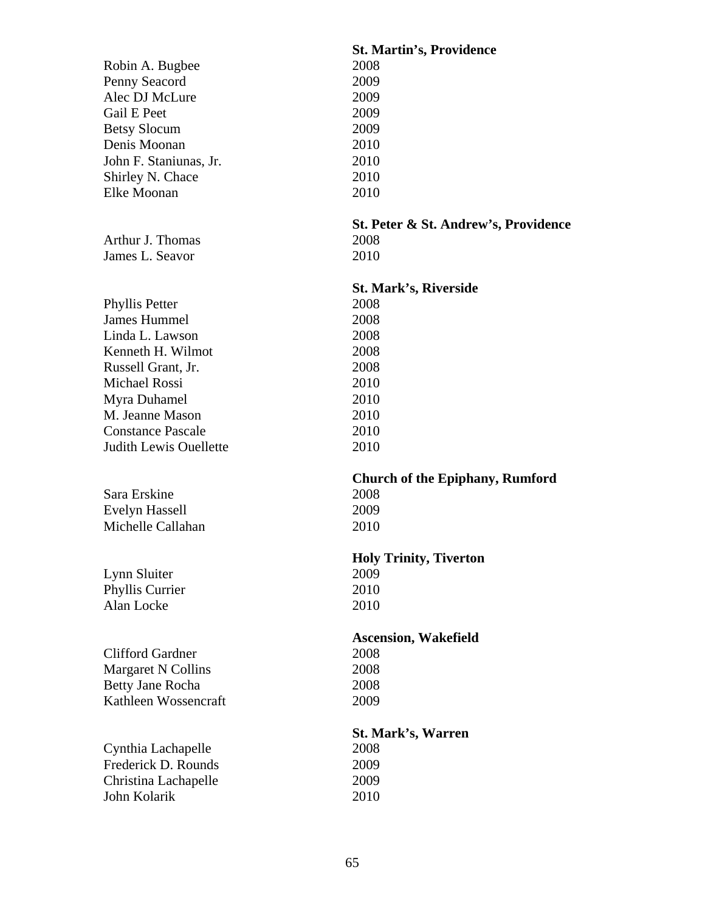|                                      | <b>St. Martin's, Providence</b>        |
|--------------------------------------|----------------------------------------|
| Robin A. Bugbee                      | 2008                                   |
| Penny Seacord                        | 2009                                   |
| Alec DJ McLure                       | 2009                                   |
| <b>Gail E Peet</b>                   | 2009                                   |
| <b>Betsy Slocum</b>                  | 2009                                   |
| Denis Moonan                         | 2010                                   |
| John F. Staniunas, Jr.               | 2010                                   |
| Shirley N. Chace                     | 2010                                   |
| Elke Moonan                          | 2010                                   |
|                                      |                                        |
|                                      | St. Peter & St. Andrew's, Providence   |
| Arthur J. Thomas                     | 2008                                   |
| James L. Seavor                      | 2010                                   |
|                                      |                                        |
|                                      | <b>St. Mark's, Riverside</b>           |
| Phyllis Petter                       | 2008                                   |
| James Hummel                         |                                        |
|                                      | 2008                                   |
| Linda L. Lawson                      | 2008                                   |
| Kenneth H. Wilmot                    | 2008                                   |
| Russell Grant, Jr.                   | 2008                                   |
| <b>Michael Rossi</b>                 | 2010                                   |
| Myra Duhamel                         | 2010                                   |
| M. Jeanne Mason                      | 2010                                   |
|                                      |                                        |
| <b>Constance Pascale</b>             | 2010                                   |
| <b>Judith Lewis Ouellette</b>        | 2010                                   |
|                                      |                                        |
|                                      | <b>Church of the Epiphany, Rumford</b> |
| Sara Erskine                         | 2008                                   |
| <b>Evelyn Hassell</b>                | 2009                                   |
| Michelle Callahan                    | 2010                                   |
|                                      |                                        |
|                                      | <b>Holy Trinity, Tiverton</b>          |
| Lynn Sluiter                         | 2009                                   |
|                                      | 2010                                   |
| Phyllis Currier<br>Alan Locke        | 2010                                   |
|                                      |                                        |
|                                      | <b>Ascension, Wakefield</b>            |
| <b>Clifford Gardner</b>              | 2008                                   |
|                                      |                                        |
| Margaret N Collins                   | 2008                                   |
| Betty Jane Rocha                     | 2008                                   |
| Kathleen Wossencraft                 | 2009                                   |
|                                      |                                        |
|                                      | <b>St. Mark's, Warren</b>              |
| Cynthia Lachapelle                   | 2008                                   |
| Frederick D. Rounds                  | 2009                                   |
| Christina Lachapelle<br>John Kolarik | 2009<br>2010                           |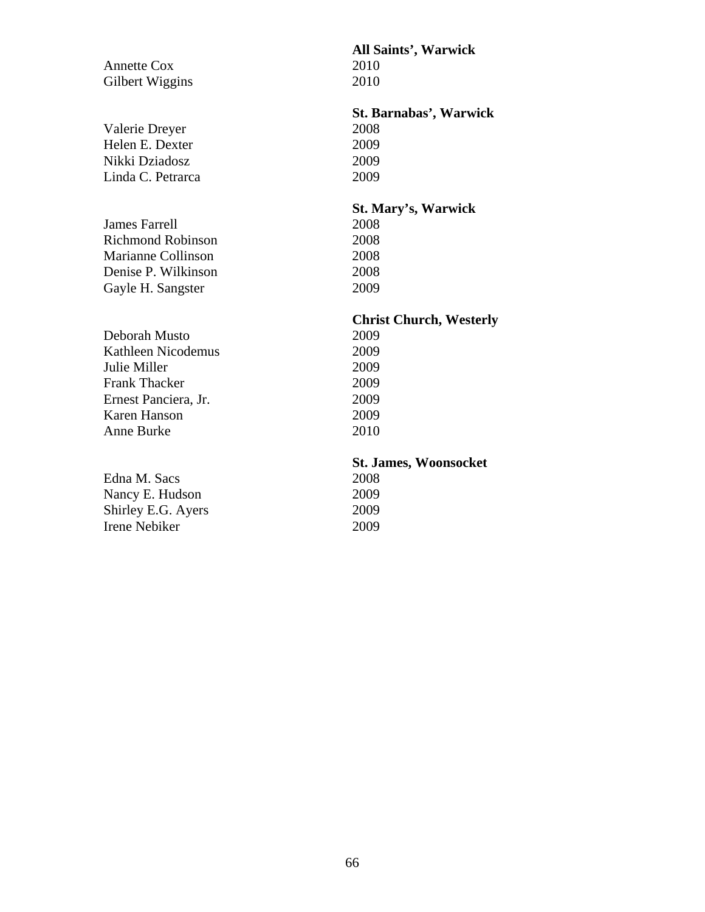**All Saints', Warwick**  Annette Cox 2010 Gilbert Wiggins 2010 **St. Barnabas', Warwick**  Valerie Dreyer 2008 Helen E. Dexter 2009 Nikki Dziadosz 2009 Linda C. Petrarca 2009 **St. Mary's, Warwick**  James Farrell 2008 Richmond Robinson 2008 Marianne Collinson 2008 Denise P. Wilkinson 2008 Gayle H. Sangster 2009 **Christ Church, Westerly**  Deborah Musto 2009 Kathleen Nicodemus 2009 Julie Miller 2009 Frank Thacker 2009 Ernest Panciera, Jr. 2009 Karen Hanson 2009 Anne Burke 2010 **St. James, Woonsocket**  Edna M. Sacs 2008 Nancy E. Hudson 2009 Shirley E.G. Ayers 2009 Irene Nebiker 2009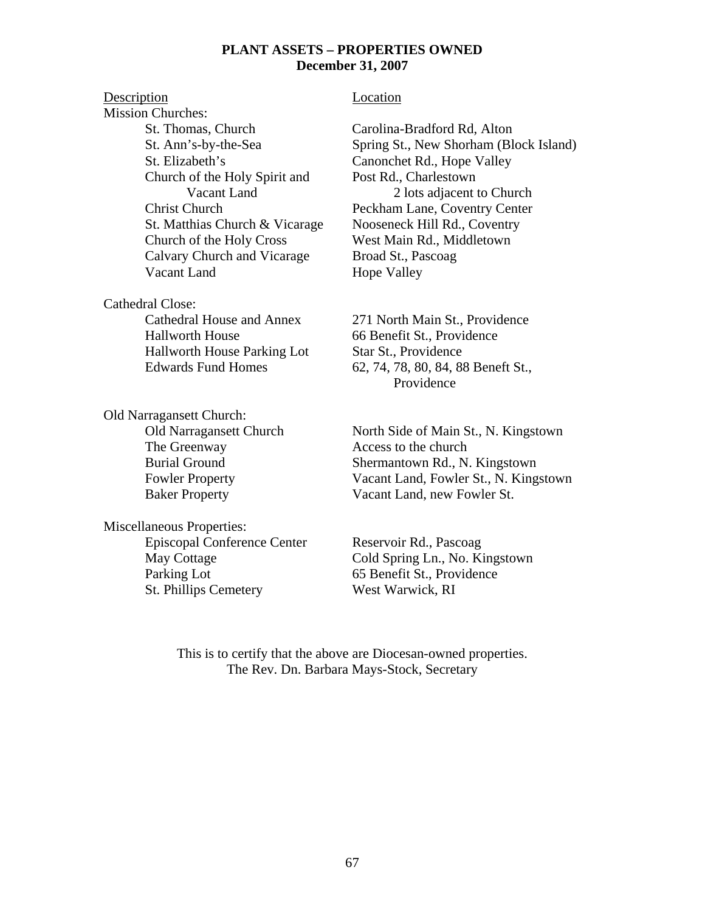#### **PLANT ASSETS – PROPERTIES OWNED December 31, 2007**

# Description Location Mission Churches: St. Thomas, Church Carolina-Bradford Rd, Alton St. Elizabeth's Canonchet Rd., Hope Valley Church of the Holy Spirit and Post Rd., Charlestown<br>Vacant Land 2 lots adjacent t St. Matthias Church & Vicarage Nooseneck Hill Rd., Coventry Church of the Holy Cross West Main Rd., Middletown Calvary Church and Vicarage Broad St., Pascoag Vacant Land Hope Valley

Cathedral Close:

 Hallworth House 66 Benefit St., Providence Hallworth House Parking Lot Star St., Providence

Old Narragansett Church: The Greenway **Access** to the church

Miscellaneous Properties: Episcopal Conference Center Reservoir Rd., Pascoag Parking Lot 65 Benefit St., Providence St. Phillips Cemetery West Warwick, RI

 St. Ann's-by-the-Sea Spring St., New Shorham (Block Island) 2 lots adjacent to Church Christ Church Peckham Lane, Coventry Center

 Cathedral House and Annex 271 North Main St., Providence Edwards Fund Homes 62, 74, 78, 80, 84, 88 Beneft St., Providence

Old Narragansett Church North Side of Main St., N. Kingstown Burial Ground Shermantown Rd., N. Kingstown Fowler Property Vacant Land, Fowler St., N. Kingstown Baker Property Vacant Land, new Fowler St.

May Cottage Cold Spring Ln., No. Kingstown

This is to certify that the above are Diocesan-owned properties. The Rev. Dn. Barbara Mays-Stock, Secretary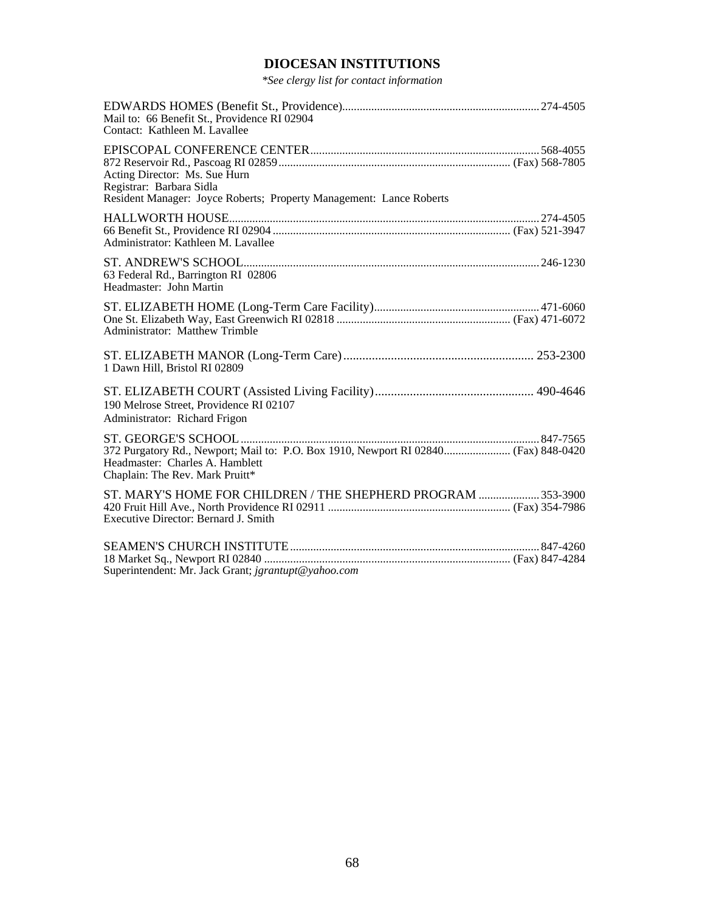# **DIOCESAN INSTITUTIONS**

*\*See clergy list for contact information* 

| Mail to: 66 Benefit St., Providence RI 02904<br>Contact: Kathleen M. Lavallee                                                                             |  |
|-----------------------------------------------------------------------------------------------------------------------------------------------------------|--|
| Acting Director: Ms. Sue Hurn<br>Registrar: Barbara Sidla<br>Resident Manager: Joyce Roberts; Property Management: Lance Roberts                          |  |
| Administrator: Kathleen M. Lavallee                                                                                                                       |  |
| 63 Federal Rd., Barrington RI 02806<br>Headmaster: John Martin                                                                                            |  |
| <b>Administrator: Matthew Trimble</b>                                                                                                                     |  |
| 1 Dawn Hill, Bristol RI 02809                                                                                                                             |  |
| 190 Melrose Street, Providence RI 02107<br>Administrator: Richard Frigon                                                                                  |  |
| 372 Purgatory Rd., Newport; Mail to: P.O. Box 1910, Newport RI 02840 (Fax) 848-0420<br>Headmaster: Charles A. Hamblett<br>Chaplain: The Rev. Mark Pruitt* |  |
| ST. MARY'S HOME FOR CHILDREN / THE SHEPHERD PROGRAM  353-3900<br>Executive Director: Bernard J. Smith                                                     |  |
| Superintendent: Mr. Jack Grant; jgrantupt@yahoo.com                                                                                                       |  |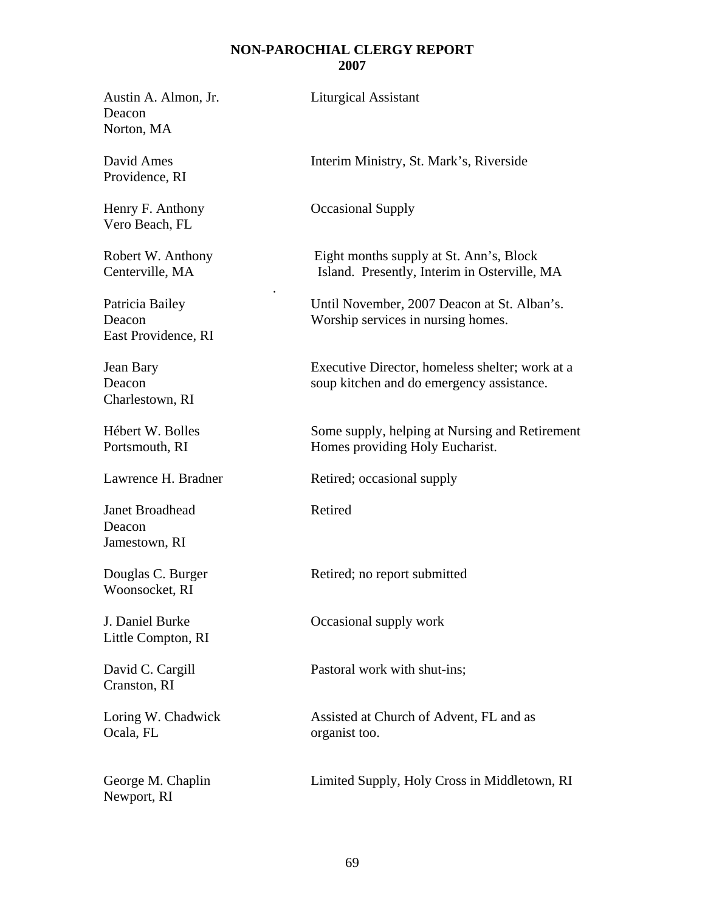#### **NON-PAROCHIAL CLERGY REPORT 2007**

Austin A. Almon, Jr. Liturgical Assistant Deacon Norton, MA

Providence, RI

Vero Beach, FL

East Providence, RI

.

Charlestown, RI

Janet Broadhead Retired Deacon Jamestown, RI

Woonsocket, RI

Little Compton, RI

Cranston, RI

Ocala, FL organist too.

Newport, RI

David Ames Interim Ministry, St. Mark's, Riverside

Henry F. Anthony **Occasional Supply** 

Robert W. Anthony Eight months supply at St. Ann's, Block Centerville, MA Island. Presently, Interim in Osterville, MA

Patricia Bailey Until November, 2007 Deacon at St. Alban's. Deacon Worship services in nursing homes.

Jean Bary Executive Director, homeless shelter; work at a Deacon soup kitchen and do emergency assistance.

Hébert W. Bolles Some supply, helping at Nursing and Retirement Portsmouth, RI Homes providing Holy Eucharist.

Lawrence H. Bradner Retired; occasional supply

Douglas C. Burger Retired; no report submitted

J. Daniel Burke Occasional supply work

David C. Cargill Pastoral work with shut-ins;

Loring W. Chadwick Assisted at Church of Advent, FL and as

George M. Chaplin Limited Supply, Holy Cross in Middletown, RI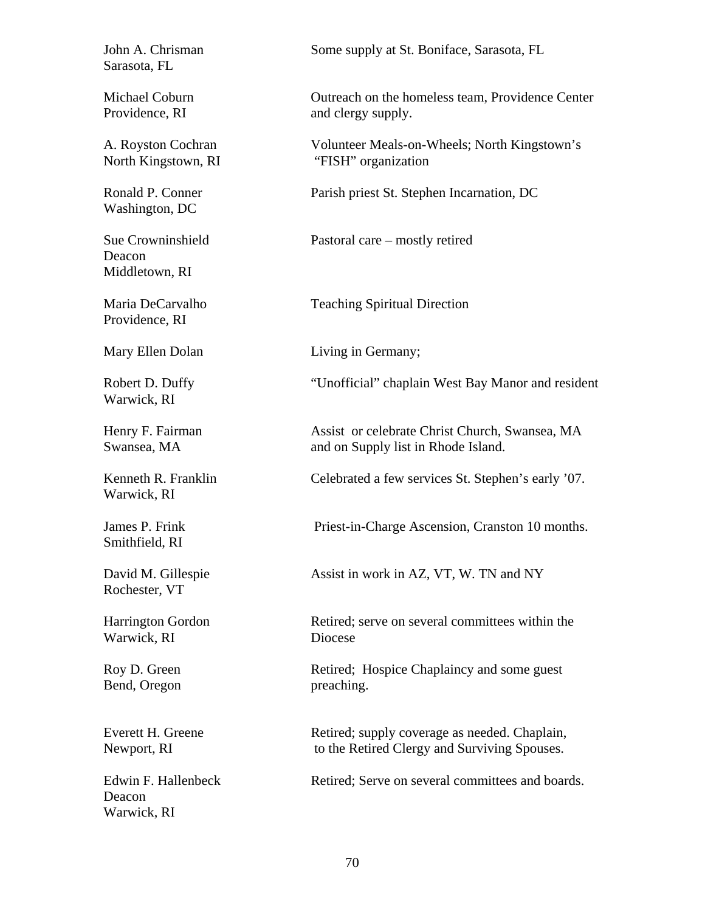Sarasota, FL

Washington, DC

Deacon Middletown, RI

Providence, RI

Warwick, RI

Warwick, RI

Smithfield, RI

Rochester, VT

Warwick, RI Diocese

Bend, Oregon preaching.

Deacon Warwick, RI

John A. Chrisman Some supply at St. Boniface, Sarasota, FL

Michael Coburn Outreach on the homeless team, Providence Center Providence, RI and clergy supply.

A. Royston Cochran Volunteer Meals-on-Wheels; North Kingstown's North Kingstown, RI "FISH" organization

Ronald P. Conner Parish priest St. Stephen Incarnation, DC

Sue Crowninshield Pastoral care – mostly retired

Maria DeCarvalho Teaching Spiritual Direction

Mary Ellen Dolan Living in Germany;

Robert D. Duffy "Unofficial" chaplain West Bay Manor and resident

Henry F. Fairman Assist or celebrate Christ Church, Swansea, MA Swansea, MA and on Supply list in Rhode Island.

Kenneth R. Franklin Celebrated a few services St. Stephen's early '07.

James P. Frink Priest-in-Charge Ascension, Cranston 10 months.

David M. Gillespie Assist in work in AZ, VT, W. TN and NY

Harrington Gordon Retired; serve on several committees within the

Roy D. Green Retired; Hospice Chaplaincy and some guest

Everett H. Greene Retired; supply coverage as needed. Chaplain, Newport, RI to the Retired Clergy and Surviving Spouses.

Edwin F. Hallenbeck Retired: Serve on several committees and boards.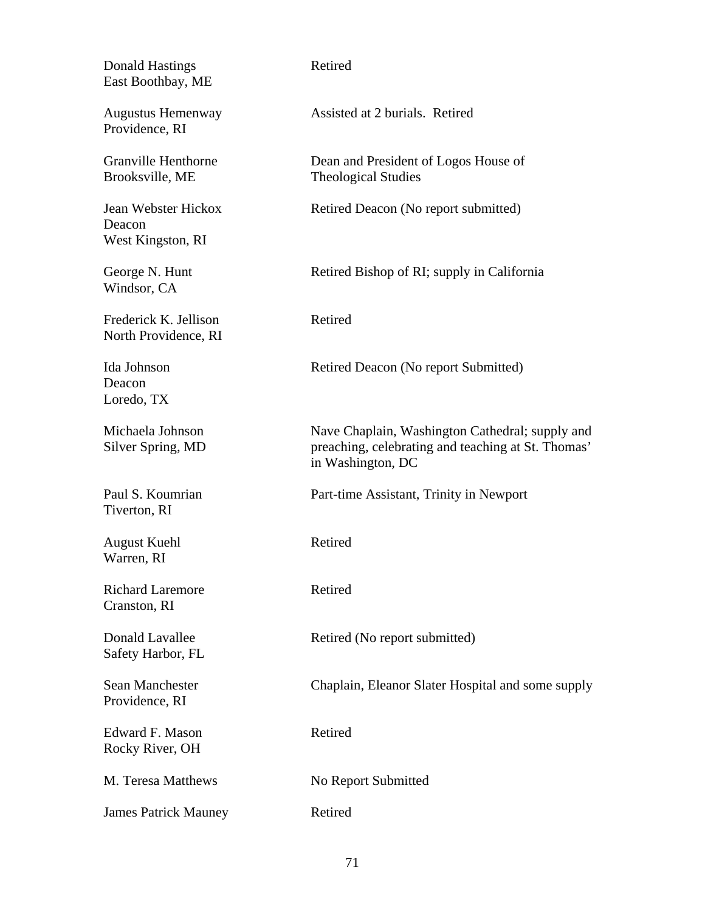| <b>Donald Hastings</b><br>East Boothbay, ME        | Retired                                                                                                                    |
|----------------------------------------------------|----------------------------------------------------------------------------------------------------------------------------|
| <b>Augustus Hemenway</b><br>Providence, RI         | Assisted at 2 burials. Retired                                                                                             |
| <b>Granville Henthorne</b><br>Brooksville, ME      | Dean and President of Logos House of<br><b>Theological Studies</b>                                                         |
| Jean Webster Hickox<br>Deacon<br>West Kingston, RI | Retired Deacon (No report submitted)                                                                                       |
| George N. Hunt<br>Windsor, CA                      | Retired Bishop of RI; supply in California                                                                                 |
| Frederick K. Jellison<br>North Providence, RI      | Retired                                                                                                                    |
| Ida Johnson<br>Deacon<br>Loredo, TX                | Retired Deacon (No report Submitted)                                                                                       |
| Michaela Johnson<br>Silver Spring, MD              | Nave Chaplain, Washington Cathedral; supply and<br>preaching, celebrating and teaching at St. Thomas'<br>in Washington, DC |
| Paul S. Koumrian<br>Tiverton, RI                   | Part-time Assistant, Trinity in Newport                                                                                    |
| <b>August Kuehl</b><br>Warren, RI                  | Retired                                                                                                                    |
| <b>Richard Laremore</b><br>Cranston, RI            | Retired                                                                                                                    |
| Donald Lavallee<br>Safety Harbor, FL               | Retired (No report submitted)                                                                                              |
| Sean Manchester<br>Providence, RI                  | Chaplain, Eleanor Slater Hospital and some supply                                                                          |
| Edward F. Mason<br>Rocky River, OH                 | Retired                                                                                                                    |
| M. Teresa Matthews                                 | No Report Submitted                                                                                                        |
| <b>James Patrick Mauney</b>                        | Retired                                                                                                                    |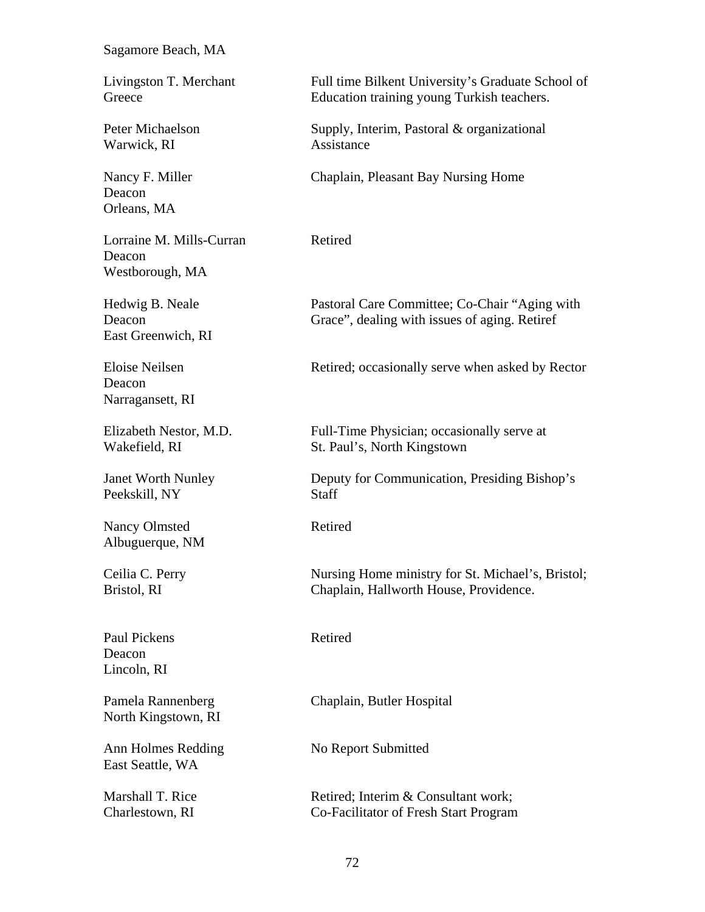#### Sagamore Beach, MA

Warwick, RI Assistance

Deacon Orleans, MA

Lorraine M. Mills-Curran Retired Deacon Westborough, MA

East Greenwich, RI

Deacon Narragansett, RI

Peekskill, NY Staff

Nancy Olmsted Retired Albuguerque, NM

Paul Pickens Retired Deacon Lincoln, RI

North Kingstown, RI

Ann Holmes Redding No Report Submitted East Seattle, WA

Livingston T. Merchant Full time Bilkent University's Graduate School of Greece Education training young Turkish teachers.

Peter Michaelson Supply, Interim, Pastoral & organizational

Nancy F. Miller Chaplain, Pleasant Bay Nursing Home

Hedwig B. Neale Pastoral Care Committee; Co-Chair "Aging with Deacon Grace", dealing with issues of aging. Retiref

Eloise Neilsen Retired; occasionally serve when asked by Rector

Elizabeth Nestor, M.D. Full-Time Physician; occasionally serve at Wakefield, RI St. Paul's, North Kingstown

Janet Worth Nunley Deputy for Communication, Presiding Bishop's

Ceilia C. Perry Nursing Home ministry for St. Michael's, Bristol; Bristol, RI Chaplain, Hallworth House, Providence.

Pamela Rannenberg Chaplain, Butler Hospital

Marshall T. Rice Retired; Interim & Consultant work; Charlestown, RI Co-Facilitator of Fresh Start Program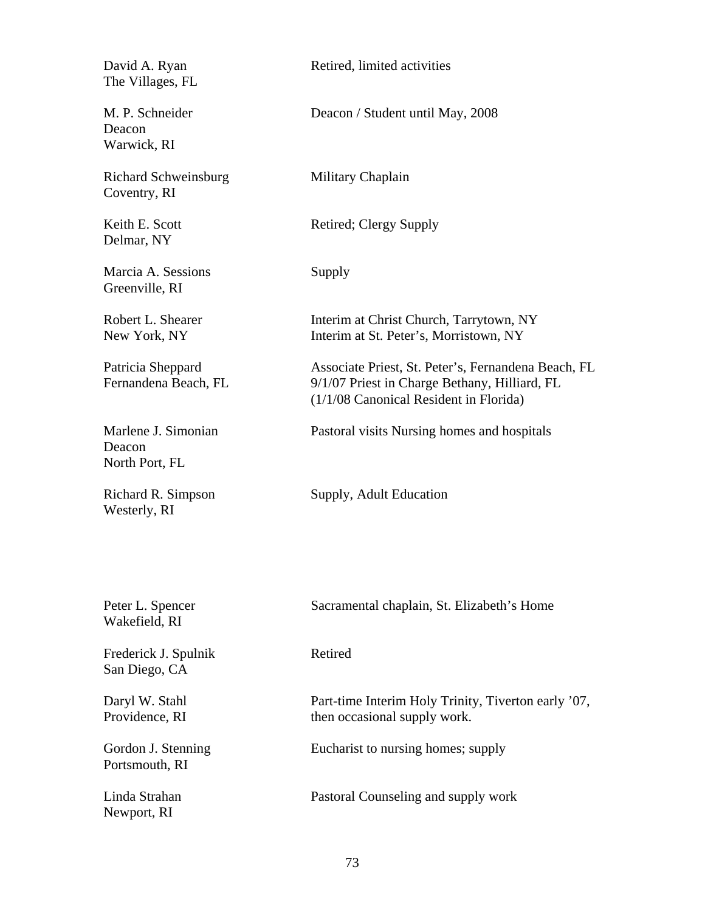The Villages, FL

Deacon Warwick, RI

Richard Schweinsburg Military Chaplain Coventry, RI

Delmar, NY

Marcia A. Sessions Supply Greenville, RI

Deacon North Port, FL

Westerly, RI

Newport, RI

David A. Ryan Retired, limited activities

M. P. Schneider Deacon / Student until May, 2008

Keith E. Scott Retired; Clergy Supply

Robert L. Shearer Interim at Christ Church, Tarrytown, NY New York, NY Interim at St. Peter's, Morristown, NY

Patricia Sheppard Associate Priest, St. Peter's, Fernandena Beach, FL<br>Fernandena Beach, FL 9/1/07 Priest in Charge Bethany, Hilliard, FL 9/1/07 Priest in Charge Bethany, Hilliard, FL (1/1/08 Canonical Resident in Florida)

Marlene J. Simonian Pastoral visits Nursing homes and hospitals

Richard R. Simpson Supply, Adult Education

| Peter L. Spencer<br>Wakefield, RI     | Sacramental chaplain, St. Elizabeth's Home                                          |
|---------------------------------------|-------------------------------------------------------------------------------------|
| Frederick J. Spulnik<br>San Diego, CA | Retired                                                                             |
| Daryl W. Stahl<br>Providence, RI      | Part-time Interim Holy Trinity, Tiverton early '07,<br>then occasional supply work. |
| Gordon J. Stenning<br>Portsmouth, RI  | Eucharist to nursing homes; supply                                                  |
| Linda Strahan                         | Pastoral Counseling and supply work                                                 |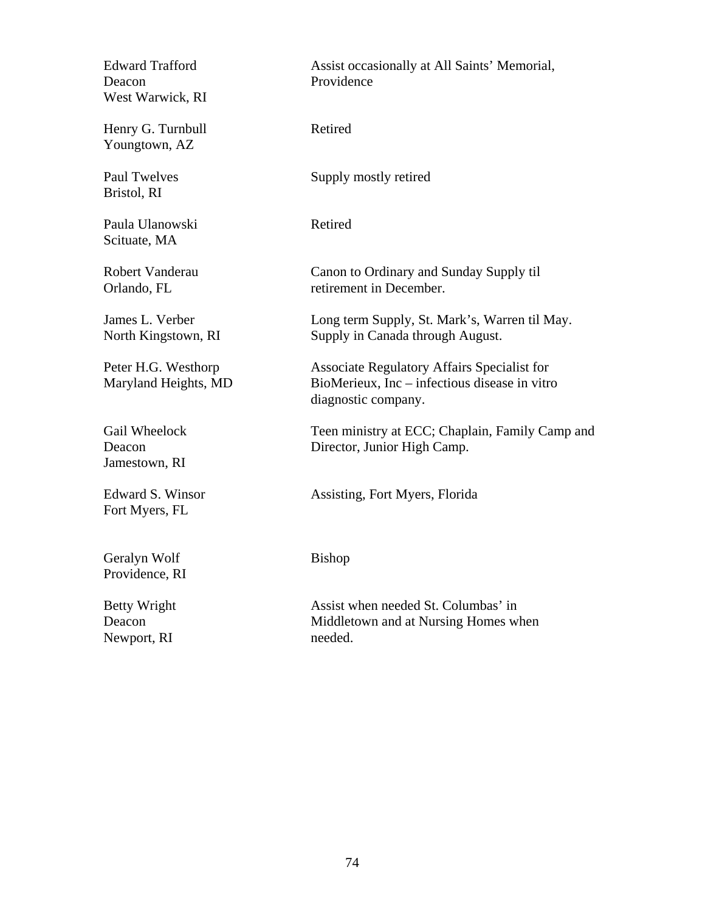Deacon Providence West Warwick, RI

Henry G. Turnbull Retired Youngtown, AZ

Bristol, RI

Paula Ulanowski Retired Scituate, MA

Jamestown, RI

Fort Myers, FL

Geralyn Wolf Bishop Providence, RI

Newport, RI needed.

Edward Trafford Assist occasionally at All Saints' Memorial,

Paul Twelves Supply mostly retired

Robert Vanderau Canon to Ordinary and Sunday Supply til Orlando, FL retirement in December.

James L. Verber Long term Supply, St. Mark's, Warren til May. North Kingstown, RI Supply in Canada through August.

Peter H.G. Westhorp Associate Regulatory Affairs Specialist for Maryland Heights, MD BioMerieux, Inc – infectious disease in vitro diagnostic company.

Gail Wheelock Teen ministry at ECC; Chaplain, Family Camp and Deacon Director, Junior High Camp.

Edward S. Winsor **Assisting, Fort Myers, Florida** 

Betty Wright Assist when needed St. Columbas' in Deacon Middletown and at Nursing Homes when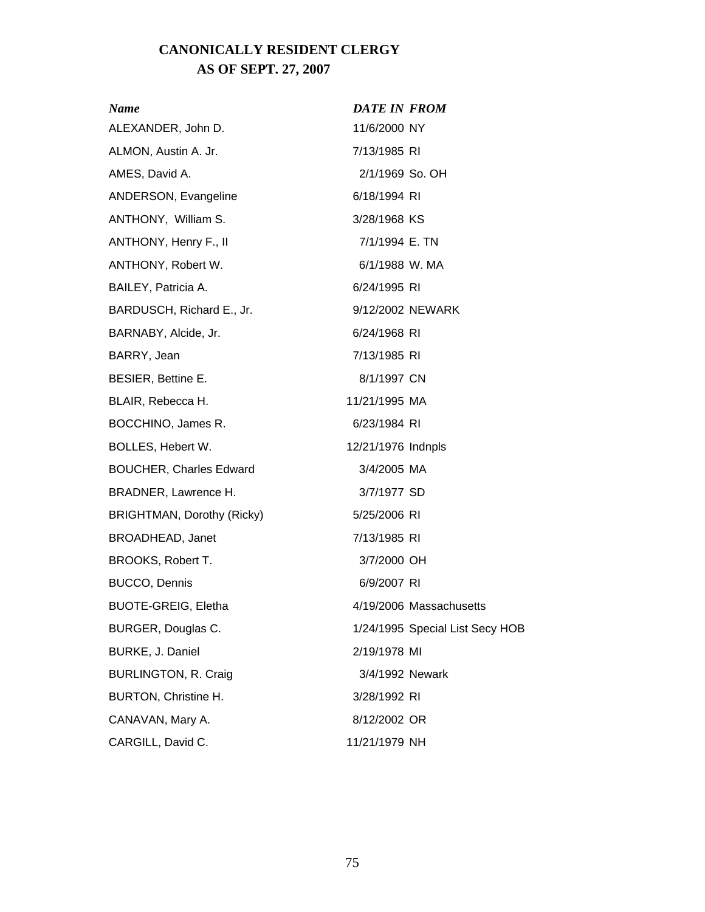# **CANONICALLY RESIDENT CLERGY AS OF SEPT. 27, 2007**

| Name                           | <b>DATE IN FROM</b> |                                 |
|--------------------------------|---------------------|---------------------------------|
| ALEXANDER, John D.             | 11/6/2000 NY        |                                 |
| ALMON, Austin A. Jr.           | 7/13/1985 RI        |                                 |
| AMES, David A.                 | 2/1/1969 So. OH     |                                 |
| ANDERSON, Evangeline           | 6/18/1994 RI        |                                 |
| ANTHONY, William S.            | 3/28/1968 KS        |                                 |
| ANTHONY, Henry F., II          | 7/1/1994 E. TN      |                                 |
| ANTHONY, Robert W.             | 6/1/1988 W. MA      |                                 |
| BAILEY, Patricia A.            | 6/24/1995 RI        |                                 |
| BARDUSCH, Richard E., Jr.      | 9/12/2002 NEWARK    |                                 |
| BARNABY, Alcide, Jr.           | 6/24/1968 RI        |                                 |
| BARRY, Jean                    | 7/13/1985 RI        |                                 |
| BESIER, Bettine E.             | 8/1/1997 CN         |                                 |
| BLAIR, Rebecca H.              | 11/21/1995 MA       |                                 |
| BOCCHINO, James R.             | 6/23/1984 RI        |                                 |
| BOLLES, Hebert W.              | 12/21/1976 Indnpls  |                                 |
| <b>BOUCHER, Charles Edward</b> | 3/4/2005 MA         |                                 |
| BRADNER, Lawrence H.           | 3/7/1977 SD         |                                 |
| BRIGHTMAN, Dorothy (Ricky)     | 5/25/2006 RI        |                                 |
| <b>BROADHEAD, Janet</b>        | 7/13/1985 RI        |                                 |
| BROOKS, Robert T.              | 3/7/2000 OH         |                                 |
| <b>BUCCO, Dennis</b>           | 6/9/2007 RI         |                                 |
| <b>BUOTE-GREIG, Eletha</b>     |                     | 4/19/2006 Massachusetts         |
| BURGER, Douglas C.             |                     | 1/24/1995 Special List Secy HOB |
| BURKE, J. Daniel               | 2/19/1978 MI        |                                 |
| <b>BURLINGTON, R. Craig</b>    | 3/4/1992 Newark     |                                 |
| <b>BURTON, Christine H.</b>    | 3/28/1992 RI        |                                 |
| CANAVAN, Mary A.               | 8/12/2002 OR        |                                 |
| CARGILL, David C.              | 11/21/1979 NH       |                                 |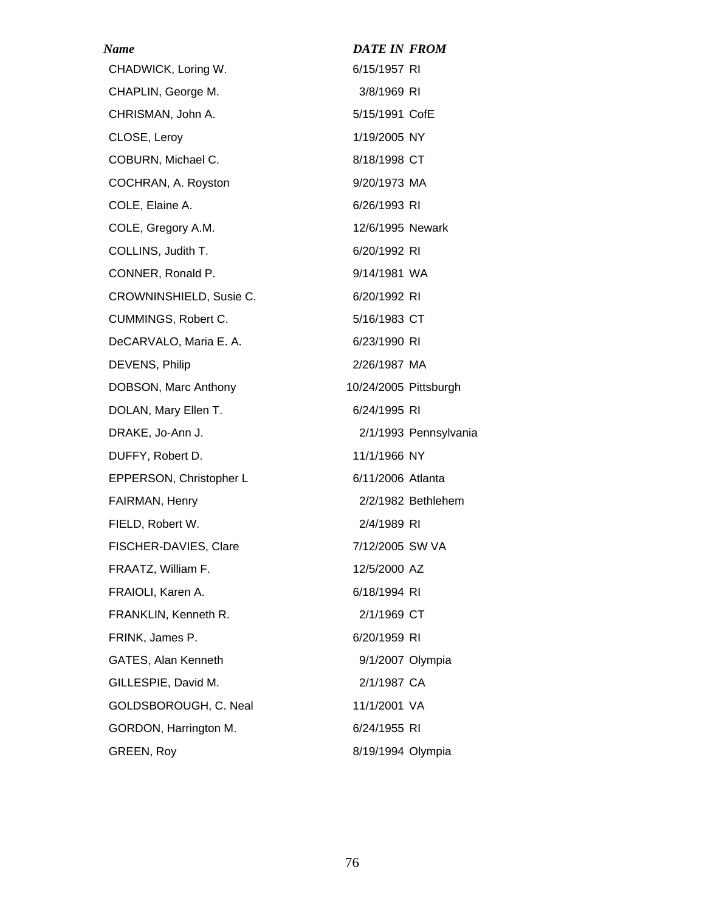| Name                       | <b>DATE IN FROM</b>   |
|----------------------------|-----------------------|
| CHADWICK, Loring W.        | 6/15/1957 RI          |
| CHAPLIN, George M.         | 3/8/1969 RI           |
| CHRISMAN, John A.          | 5/15/1991 CofE        |
| CLOSE, Leroy               | 1/19/2005 NY          |
| COBURN, Michael C.         | 8/18/1998 CT          |
| COCHRAN, A. Royston        | 9/20/1973 MA          |
| COLE, Elaine A.            | 6/26/1993 RI          |
| COLE, Gregory A.M.         | 12/6/1995 Newark      |
| COLLINS, Judith T.         | 6/20/1992 RI          |
| CONNER, Ronald P.          | 9/14/1981 WA          |
| CROWNINSHIELD, Susie C.    | 6/20/1992 RI          |
| CUMMINGS, Robert C.        | 5/16/1983 CT          |
| DeCARVALO, Maria E. A.     | 6/23/1990 RI          |
| DEVENS, Philip             | 2/26/1987 MA          |
| DOBSON, Marc Anthony       | 10/24/2005 Pittsburgh |
| DOLAN, Mary Ellen T.       | 6/24/1995 RI          |
| DRAKE, Jo-Ann J.           | 2/1/1993 Pennsylvania |
| DUFFY, Robert D.           | 11/1/1966 NY          |
| EPPERSON, Christopher L    | 6/11/2006 Atlanta     |
| FAIRMAN, Henry             | 2/2/1982 Bethlehem    |
| FIELD, Robert W.           | 2/4/1989 RI           |
| FISCHER-DAVIES, Clare      | 7/12/2005 SW VA       |
| FRAATZ, William F.         | 12/5/2000 AZ          |
| FRAIOLI, Karen A.          | 6/18/1994 RI          |
| FRANKLIN, Kenneth R.       | 2/1/1969 CT           |
| FRINK, James P.            | 6/20/1959 RI          |
| <b>GATES, Alan Kenneth</b> | 9/1/2007 Olympia      |
| GILLESPIE, David M.        | 2/1/1987 CA           |
| GOLDSBOROUGH, C. Neal      | 11/1/2001 VA          |
| GORDON, Harrington M.      | 6/24/1955 RI          |
| GREEN, Roy                 | 8/19/1994 Olympia     |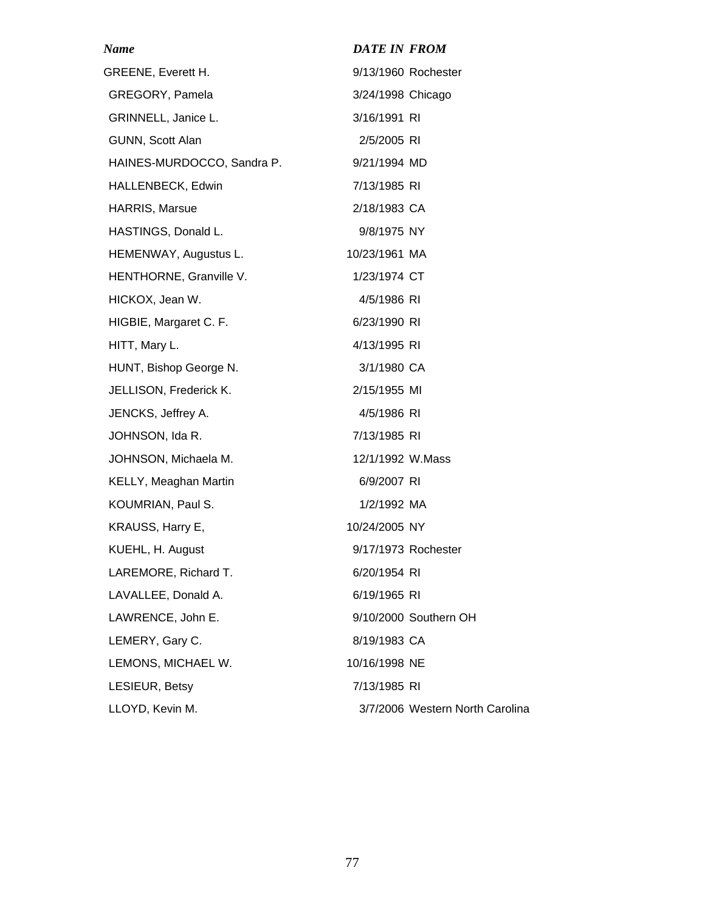| Name                       | <b>DATE IN FROM</b> |                                 |
|----------------------------|---------------------|---------------------------------|
| <b>GREENE, Everett H.</b>  |                     | 9/13/1960 Rochester             |
| GREGORY, Pamela            | 3/24/1998 Chicago   |                                 |
| GRINNELL, Janice L.        | 3/16/1991 RI        |                                 |
| GUNN, Scott Alan           | 2/5/2005 RI         |                                 |
| HAINES-MURDOCCO, Sandra P. | 9/21/1994 MD        |                                 |
| HALLENBECK, Edwin          | 7/13/1985 RI        |                                 |
| HARRIS, Marsue             | 2/18/1983 CA        |                                 |
| HASTINGS, Donald L.        | 9/8/1975 NY         |                                 |
| HEMENWAY, Augustus L.      | 10/23/1961 MA       |                                 |
| HENTHORNE, Granville V.    | 1/23/1974 CT        |                                 |
| HICKOX, Jean W.            | 4/5/1986 RI         |                                 |
| HIGBIE, Margaret C. F.     | 6/23/1990 RI        |                                 |
| HITT, Mary L.              | 4/13/1995 RI        |                                 |
| HUNT, Bishop George N.     | 3/1/1980 CA         |                                 |
| JELLISON, Frederick K.     | 2/15/1955 MI        |                                 |
| JENCKS, Jeffrey A.         | 4/5/1986 RI         |                                 |
| JOHNSON, Ida R.            | 7/13/1985 RI        |                                 |
| JOHNSON, Michaela M.       | 12/1/1992 W.Mass    |                                 |
| KELLY, Meaghan Martin      | 6/9/2007 RI         |                                 |
| KOUMRIAN, Paul S.          | 1/2/1992 MA         |                                 |
| KRAUSS, Harry E,           | 10/24/2005 NY       |                                 |
| KUEHL, H. August           |                     | 9/17/1973 Rochester             |
| LAREMORE, Richard T.       | 6/20/1954 RI        |                                 |
| LAVALLEE, Donald A.        | 6/19/1965 RI        |                                 |
| LAWRENCE, John E.          |                     | 9/10/2000 Southern OH           |
| LEMERY, Gary C.            | 8/19/1983 CA        |                                 |
| LEMONS, MICHAEL W.         | 10/16/1998 NE       |                                 |
| LESIEUR, Betsy             | 7/13/1985 RI        |                                 |
| LLOYD, Kevin M.            |                     | 3/7/2006 Western North Carolina |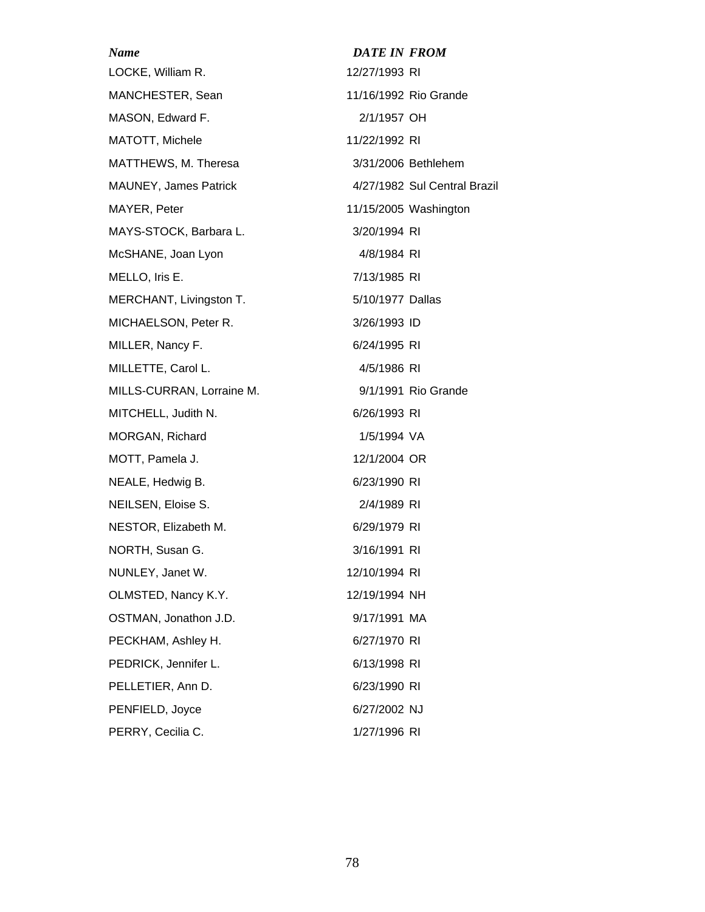| <b>Name</b>                  | <b>DATE IN FROM</b>          |
|------------------------------|------------------------------|
| LOCKE, William R.            | 12/27/1993 RI                |
| MANCHESTER, Sean             | 11/16/1992 Rio Grande        |
| MASON, Edward F.             | 2/1/1957 OH                  |
| MATOTT, Michele              | 11/22/1992 RI                |
| MATTHEWS, M. Theresa         | 3/31/2006 Bethlehem          |
| <b>MAUNEY, James Patrick</b> | 4/27/1982 Sul Central Brazil |
| MAYER, Peter                 | 11/15/2005 Washington        |
| MAYS-STOCK, Barbara L.       | 3/20/1994 RI                 |
| McSHANE, Joan Lyon           | 4/8/1984 RI                  |
| MELLO, Iris E.               | 7/13/1985 RI                 |
| MERCHANT, Livingston T.      | 5/10/1977 Dallas             |
| MICHAELSON, Peter R.         | 3/26/1993 ID                 |
| MILLER, Nancy F.             | 6/24/1995 RI                 |
| MILLETTE, Carol L.           | 4/5/1986 RI                  |
| MILLS-CURRAN, Lorraine M.    | 9/1/1991 Rio Grande          |
| MITCHELL, Judith N.          | 6/26/1993 RI                 |
| MORGAN, Richard              | 1/5/1994 VA                  |
| MOTT, Pamela J.              | 12/1/2004 OR                 |
| NEALE, Hedwig B.             | 6/23/1990 RI                 |
| NEILSEN, Eloise S.           | 2/4/1989 RI                  |
| NESTOR, Elizabeth M.         | 6/29/1979 RI                 |
| NORTH, Susan G.              | 3/16/1991 RI                 |
| NUNLEY, Janet W.             | 12/10/1994 RI                |
| OLMSTED, Nancy K.Y.          | 12/19/1994 NH                |
| OSTMAN, Jonathon J.D.        | 9/17/1991 MA                 |
| PECKHAM, Ashley H.           | 6/27/1970 RI                 |
| PEDRICK, Jennifer L.         | 6/13/1998 RI                 |
| PELLETIER, Ann D.            | 6/23/1990 RI                 |
| PENFIELD, Joyce              | 6/27/2002 NJ                 |
| PERRY, Cecilia C.            | 1/27/1996 RI                 |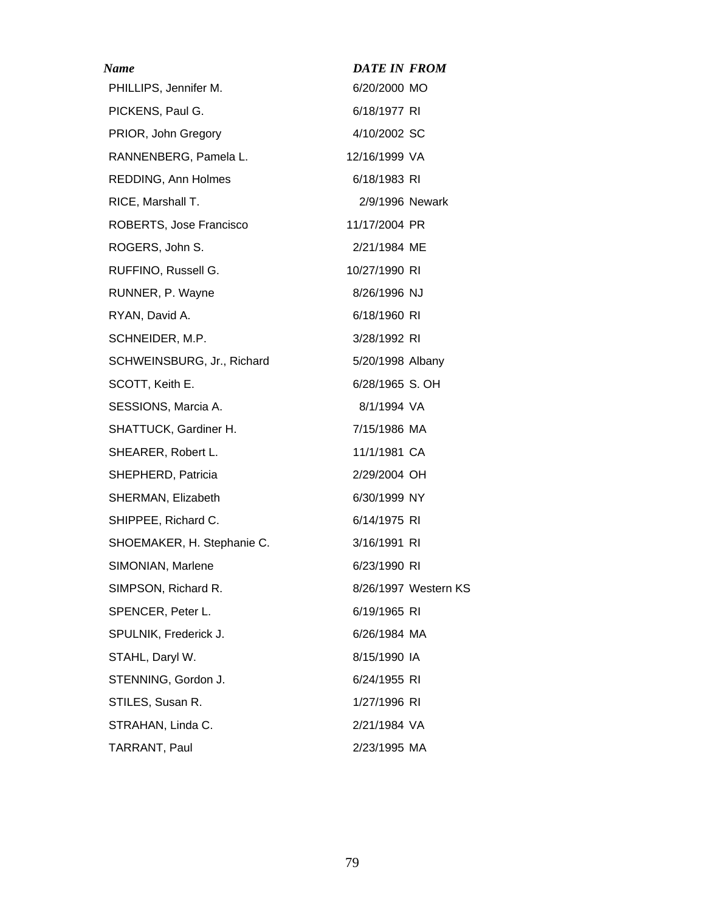| Name                       | <b>DATE IN FROM</b> |                      |
|----------------------------|---------------------|----------------------|
| PHILLIPS, Jennifer M.      | 6/20/2000 MO        |                      |
| PICKENS, Paul G.           | 6/18/1977 RI        |                      |
| PRIOR, John Gregory        | 4/10/2002 SC        |                      |
| RANNENBERG, Pamela L.      | 12/16/1999 VA       |                      |
| REDDING, Ann Holmes        | 6/18/1983 RI        |                      |
| RICE, Marshall T.          | 2/9/1996 Newark     |                      |
| ROBERTS, Jose Francisco    | 11/17/2004 PR       |                      |
| ROGERS, John S.            | 2/21/1984 ME        |                      |
| RUFFINO, Russell G.        | 10/27/1990 RI       |                      |
| RUNNER, P. Wayne           | 8/26/1996 NJ        |                      |
| RYAN, David A.             | 6/18/1960 RI        |                      |
| SCHNEIDER, M.P.            | 3/28/1992 RI        |                      |
| SCHWEINSBURG, Jr., Richard | 5/20/1998 Albany    |                      |
| SCOTT, Keith E.            | 6/28/1965 S. OH     |                      |
| SESSIONS, Marcia A.        | 8/1/1994 VA         |                      |
| SHATTUCK, Gardiner H.      | 7/15/1986 MA        |                      |
| SHEARER, Robert L.         | 11/1/1981 CA        |                      |
| SHEPHERD, Patricia         | 2/29/2004 OH        |                      |
| SHERMAN, Elizabeth         | 6/30/1999 NY        |                      |
| SHIPPEE, Richard C.        | 6/14/1975 RI        |                      |
| SHOEMAKER, H. Stephanie C. | 3/16/1991 RI        |                      |
| SIMONIAN, Marlene          | 6/23/1990 RI        |                      |
| SIMPSON, Richard R.        |                     | 8/26/1997 Western KS |
| SPENCER, Peter L.          | 6/19/1965 RI        |                      |
| SPULNIK, Frederick J.      | 6/26/1984 MA        |                      |
| STAHL, Daryl W.            | 8/15/1990 IA        |                      |
| STENNING, Gordon J.        | 6/24/1955 RI        |                      |
| STILES, Susan R.           | 1/27/1996 RI        |                      |
| STRAHAN, Linda C.          | 2/21/1984 VA        |                      |
| TARRANT, Paul              | 2/23/1995 MA        |                      |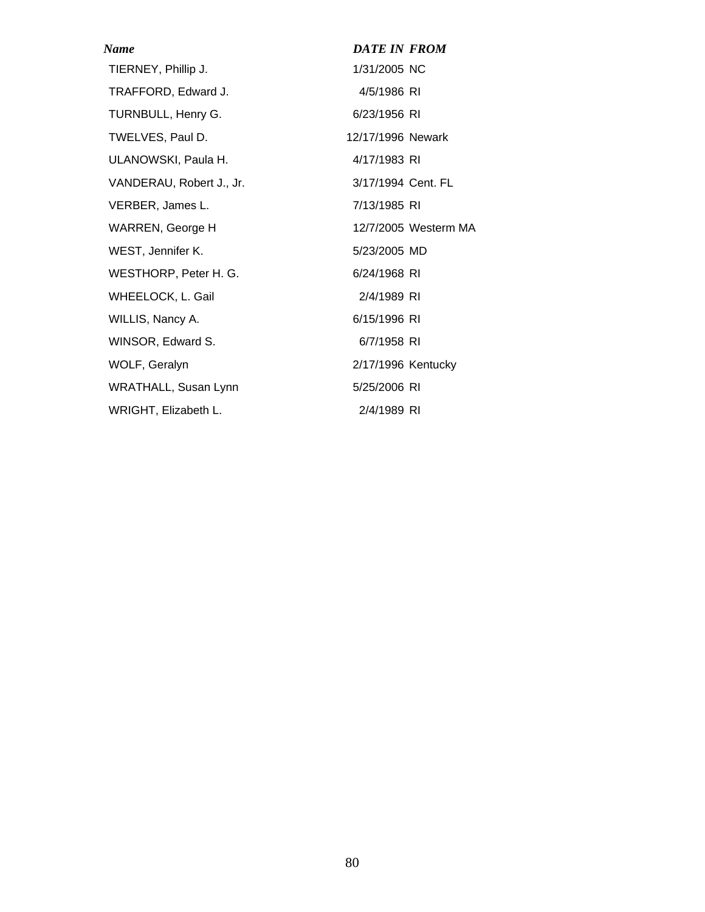| Name                     | <b>DATE IN FROM</b> |                      |
|--------------------------|---------------------|----------------------|
| TIERNEY, Phillip J.      | 1/31/2005 NC        |                      |
| TRAFFORD, Edward J.      | 4/5/1986 RI         |                      |
| TURNBULL, Henry G.       | 6/23/1956 RI        |                      |
| TWELVES, Paul D.         | 12/17/1996 Newark   |                      |
| ULANOWSKI, Paula H.      | 4/17/1983 RI        |                      |
| VANDERAU, Robert J., Jr. | 3/17/1994 Cent. FL  |                      |
| VERBER, James L.         | 7/13/1985 RI        |                      |
| WARREN, George H         |                     | 12/7/2005 Westerm MA |
| WEST, Jennifer K.        | 5/23/2005 MD        |                      |
| WESTHORP, Peter H. G.    | 6/24/1968 RI        |                      |
| WHEELOCK, L. Gail        | 2/4/1989 RI         |                      |
| WILLIS, Nancy A.         | 6/15/1996 RI        |                      |
| WINSOR, Edward S.        | 6/7/1958 RI         |                      |
| WOLF, Geralyn            | 2/17/1996 Kentucky  |                      |
| WRATHALL, Susan Lynn     | 5/25/2006 RI        |                      |
| WRIGHT, Elizabeth L.     | 2/4/1989 RI         |                      |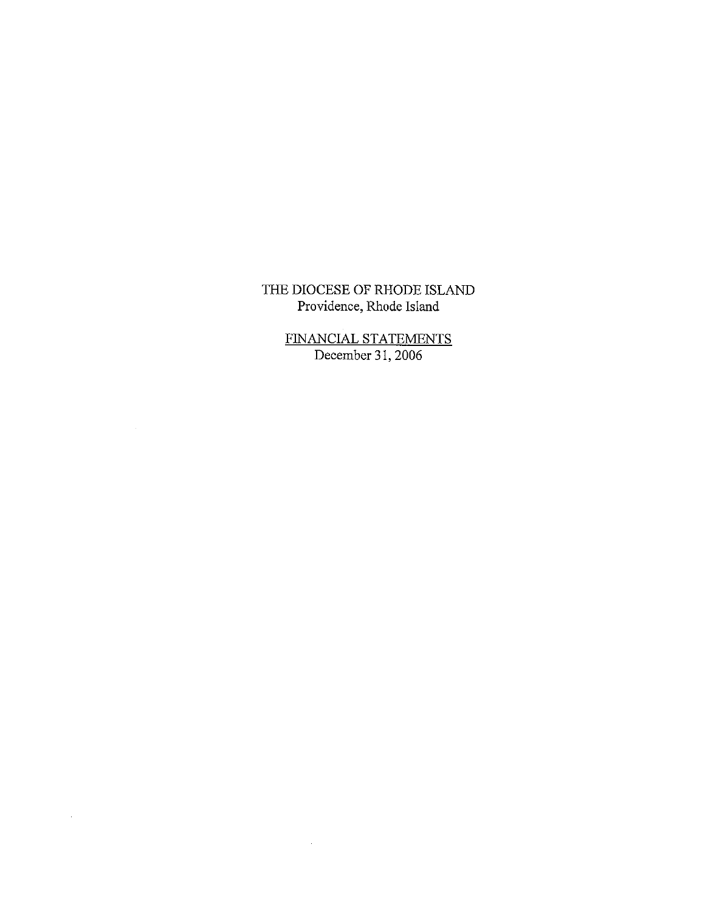FINANCIAL STATEMENTS<br>December 31, 2006

 $\sim 40\,$  km  $^{-1}$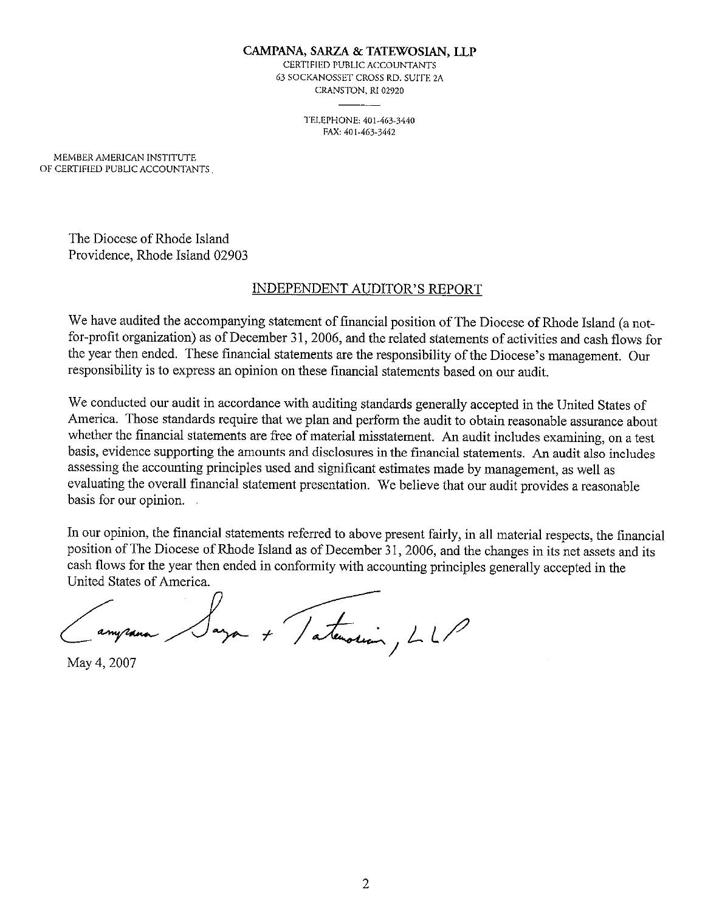#### CAMPANA, SARZA & TATEWOSIAN, LLP

CERTIFIED PUBLIC ACCOUNTANTS 63 SOCKANOSSET CROSS RD. SUITE 2A CRANSTON, RI 02920

> TELEPHONE: 401-463-3440 FAX: 401-463-3442

MEMBER AMERICAN INSTITUTE OF CERTIFIED PUBLIC ACCOUNTANTS

> The Diocese of Rhode Island Providence, Rhode Island 02903

## **INDEPENDENT AUDITOR'S REPORT**

We have audited the accompanying statement of financial position of The Diocese of Rhode Island (a notfor-profit organization) as of December 31, 2006, and the related statements of activities and cash flows for the year then ended. These financial statements are the responsibility of the Diocese's management. Our responsibility is to express an opinion on these financial statements based on our audit.

We conducted our audit in accordance with auditing standards generally accepted in the United States of America. Those standards require that we plan and perform the audit to obtain reasonable assurance about whether the financial statements are free of material misstatement. An audit includes examining, on a test basis, evidence supporting the amounts and disclosures in the financial statements. An audit also includes assessing the accounting principles used and significant estimates made by management, as well as evaluating the overall financial statement presentation. We believe that our audit provides a reasonable basis for our opinion.

In our opinion, the financial statements referred to above present fairly, in all material respects, the financial position of The Diocese of Rhode Island as of December 31, 2006, and the changes in its net assets and its cash flows for the year then ended in conformity with accounting principles generally accepted in the United States of America.

Saya + Tatenarian, LLP

May 4, 2007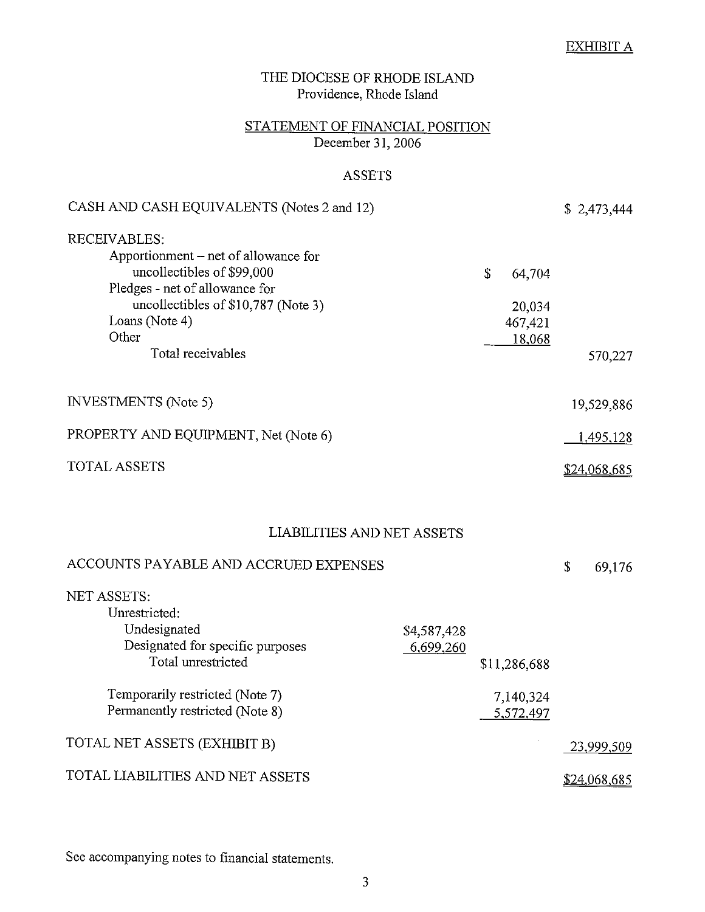# $\underline{\text{EXHIBIT A}}$

| THE DIOCESE OF RHODE ISLAND<br>Providence, Rhode Island                                                                                                                                                     |                          |                                                        |                  |  |
|-------------------------------------------------------------------------------------------------------------------------------------------------------------------------------------------------------------|--------------------------|--------------------------------------------------------|------------------|--|
| STATEMENT OF FINANCIAL POSITION<br>December 31, 2006                                                                                                                                                        |                          |                                                        |                  |  |
| <b>ASSETS</b>                                                                                                                                                                                               |                          |                                                        |                  |  |
| CASH AND CASH EQUIVALENTS (Notes 2 and 12)                                                                                                                                                                  |                          |                                                        | \$2,473,444      |  |
| RECEIVABLES:<br>Apportionment – net of allowance for<br>uncollectibles of \$99,000<br>Pledges - net of allowance for<br>uncollectibles of \$10,787 (Note 3)<br>Loans (Note 4)<br>Other<br>Total receivables |                          | $\mathcal{S}$<br>64,704<br>20,034<br>467,421<br>18,068 | 570,227          |  |
| <b>INVESTMENTS</b> (Note 5)                                                                                                                                                                                 |                          |                                                        | 19,529,886       |  |
| PROPERTY AND EQUIPMENT, Net (Note 6)                                                                                                                                                                        |                          |                                                        | <u>1,495,128</u> |  |
| <b>TOTAL ASSETS</b>                                                                                                                                                                                         |                          |                                                        | \$24,068,685     |  |
| LIABILITIES AND NET ASSETS                                                                                                                                                                                  |                          |                                                        |                  |  |
| ACCOUNTS PAYABLE AND ACCRUED EXPENSES                                                                                                                                                                       |                          |                                                        | \$<br>69,176     |  |
| <b>NET ASSETS:</b><br>Unrestricted:<br>Undesignated<br>Designated for specific purposes<br>Total unrestricted                                                                                               | \$4,587,428<br>6,699,260 | \$11,286,688                                           |                  |  |
| Temporarily restricted (Note 7)<br>Permanently restricted (Note 8)                                                                                                                                          |                          | 7,140,324<br>5,572,497                                 |                  |  |
| TOTAL NET ASSETS (EXHIBIT B)                                                                                                                                                                                |                          |                                                        | 23,999,509       |  |
| TOTAL LIABILITIES AND NET ASSETS                                                                                                                                                                            |                          |                                                        | \$24,068,685     |  |

See accompanying notes to financial statements.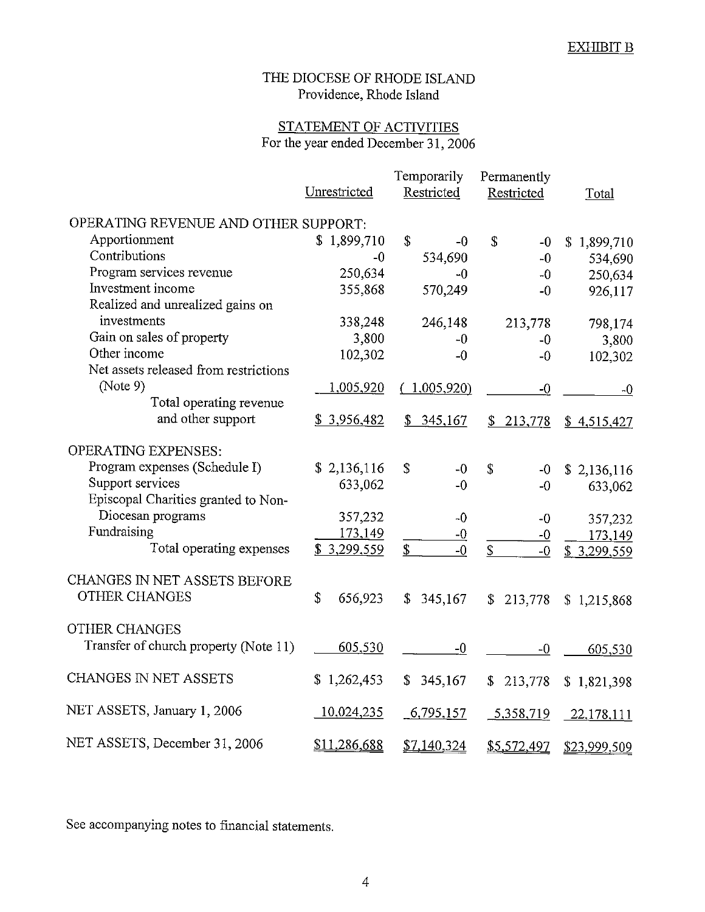# STATEMENT OF ACTIVITIES For the year ended December 31, 2006

|                                       | Unrestricted  | Temporarily<br>Restricted | Permanently<br>Restricted | Total         |
|---------------------------------------|---------------|---------------------------|---------------------------|---------------|
| OPERATING REVENUE AND OTHER SUPPORT:  |               |                           |                           |               |
| Apportionment                         | \$1,899,710   |                           |                           |               |
| Contributions                         | $-0$          | \$<br>-0                  | \$<br>$-0$                | \$1,899,710   |
| Program services revenue              |               | 534,690                   | $-0$                      | 534,690       |
| Investment income                     | 250,634       | $-0$                      | $-0$                      | 250,634       |
| Realized and unrealized gains on      | 355,868       | 570,249                   | $-0$                      | 926,117       |
| investments                           |               |                           |                           |               |
|                                       | 338,248       | 246,148                   | 213,778                   | 798,174       |
| Gain on sales of property             | 3,800         | $-0$                      | $-0$                      | 3,800         |
| Other income                          | 102,302       | $-0$                      | $-0$                      | 102,302       |
| Net assets released from restrictions |               |                           |                           |               |
| (Note 9)                              | 1,005,920     | (1,005,920)               | $-0$                      | $-0$          |
| Total operating revenue               |               |                           |                           |               |
| and other support                     | \$3,956,482   | 345,167<br>\$             | \$<br>213,778             | \$4,515,427   |
| <b>OPERATING EXPENSES:</b>            |               |                           |                           |               |
| Program expenses (Schedule I)         | \$2,136,116   | \$<br>$-0$                | \$<br>$-0$                | \$2,136,116   |
| Support services                      | 633,062       | $-0$                      | $-0$                      | 633,062       |
| Episcopal Charities granted to Non-   |               |                           |                           |               |
| Diocesan programs                     | 357,232       | $-0$                      | $-0$                      | 357,232       |
| Fundraising                           | 173,149       | $-0$                      | $-0$                      | 173,149       |
| Total operating expenses              | \$3,299,559   | \$<br>$-0$                | $\mathbb S$<br>$-0$       | \$3,299,559   |
|                                       |               |                           |                           |               |
| CHANGES IN NET ASSETS BEFORE          |               |                           |                           |               |
| <b>OTHER CHANGES</b>                  | \$<br>656,923 | 345,167<br>\$             | 213,778<br>\$             | \$1,215,868   |
|                                       |               |                           |                           |               |
| <b>OTHER CHANGES</b>                  |               |                           |                           |               |
| Transfer of church property (Note 11) | 605,530       | $-0$                      | $-0$                      | 605,530       |
| CHANGES IN NET ASSETS                 | \$1,262,453   | 345,167<br>\$             | \$<br>213,778             | \$1,821,398   |
|                                       |               |                           |                           |               |
| NET ASSETS, January 1, 2006           | 10,024,235    | 6,795,157                 | 5,358,719                 | $-22,178,111$ |
|                                       |               |                           |                           |               |
| NET ASSETS, December 31, 2006         | \$11,286,688  | \$7,140,324               | \$5,572,497               | \$23,999.509  |

See accompanying notes to financial statements.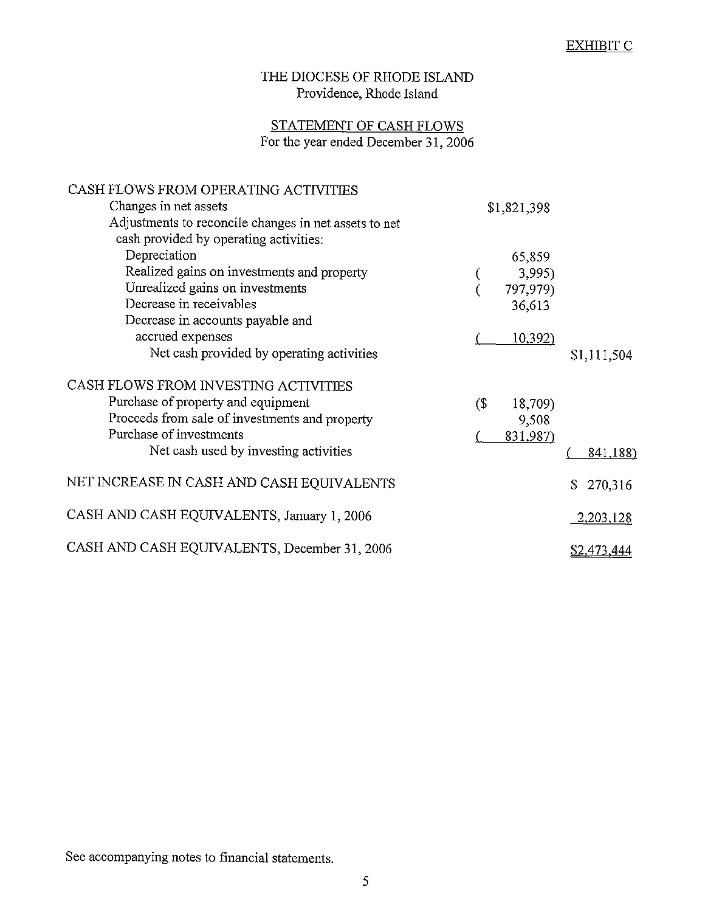# STATEMENT OF CASH FLOWS For the year ended December 31, 2006

| CASH FLOWS FROM OPERATING ACTIVITIES<br>Changes in net assets<br>Adjustments to reconcile changes in net assets to net | \$1,821,398                                                 |                 |
|------------------------------------------------------------------------------------------------------------------------|-------------------------------------------------------------|-----------------|
| cash provided by operating activities:<br>Depreciation<br>Realized gains on investments and property                   | 65,859                                                      |                 |
| Unrealized gains on investments<br>Decrease in receivables                                                             | 3,995)<br>797,979)<br>36,613                                |                 |
| Decrease in accounts payable and<br>accrued expenses                                                                   | 10,392)                                                     |                 |
| Net cash provided by operating activities<br>CASH FLOWS FROM INVESTING ACTIVITIES                                      |                                                             | \$1,111,504     |
| Purchase of property and equipment<br>Proceeds from sale of investments and property<br>Purchase of investments        | $\left( \mathcal{S}\right)$<br>18,709)<br>9,508<br>831,987) |                 |
| Net cash used by investing activities                                                                                  |                                                             | <u>841,188)</u> |
| NET INCREASE IN CASH AND CASH EQUIVALENTS                                                                              |                                                             | 270,316<br>\$   |
| CASH AND CASH EQUIVALENTS, January 1, 2006                                                                             |                                                             | 2,203,128       |
| CASH AND CASH EQUIVALENTS, December 31, 2006                                                                           |                                                             | \$2,473,444     |

See accompanying notes to financial statements.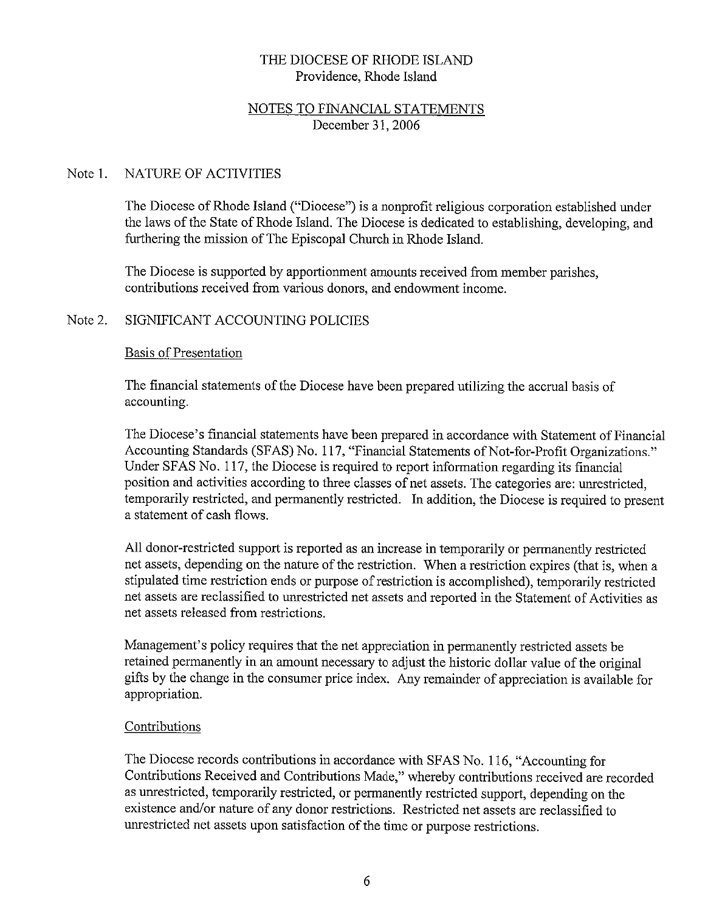#### NOTES TO FINANCIAL STATEMENTS December 31, 2006

#### Note 1 NATURE OF ACTIVITIES

The Diocese of Rhode Island ("Diocese") is a nonprofit religious corporation established under the laws of the State of Rhode Island. The Diocese is dedicated to establishing, developing, and furthering the mission of The Episcopal Church in Rhode Island.

The Diocese is supported by apportionment amounts received from member parishes, contributions received from various donors, and endowment income.

#### Note 2 SIGNIFICANT ACCOUNTING POLICIES

#### **Basis of Presentation**

The financial statements of the Diocese have been prepared utilizing the accrual basis of accounting.

The Diocese's financial statements have been prepared in accordance with Statement of Financial Accounting Standards (SFAS) No. 117, "Financial Statements of Not-for-Profit Organizations." Under SFAS No. 117, the Diocese is required to report information regarding its financial position and activities according to three classes of net assets. The categories are: unrestricted. temporarily restricted, and permanently restricted. In addition, the Diocese is required to present a statement of cash flows.

All donor-restricted support is reported as an increase in temporarily or permanently restricted net assets, depending on the nature of the restriction. When a restriction expires (that is, when a stipulated time restriction ends or purpose of restriction is accomplished), temporarily restricted net assets are reclassified to unrestricted net assets and reported in the Statement of Activities as net assets released from restrictions.

Management's policy requires that the net appreciation in permanently restricted assets be retained permanently in an amount necessary to adjust the historic dollar value of the original gifts by the change in the consumer price index. Any remainder of appreciation is available for appropriation.

#### Contributions

The Diocese records contributions in accordance with SFAS No. 116, "Accounting for Contributions Received and Contributions Made," whereby contributions received are recorded as unrestricted, temporarily restricted, or permanently restricted support, depending on the existence and/or nature of any donor restrictions. Restricted net assets are reclassified to unrestricted net assets upon satisfaction of the time or purpose restrictions.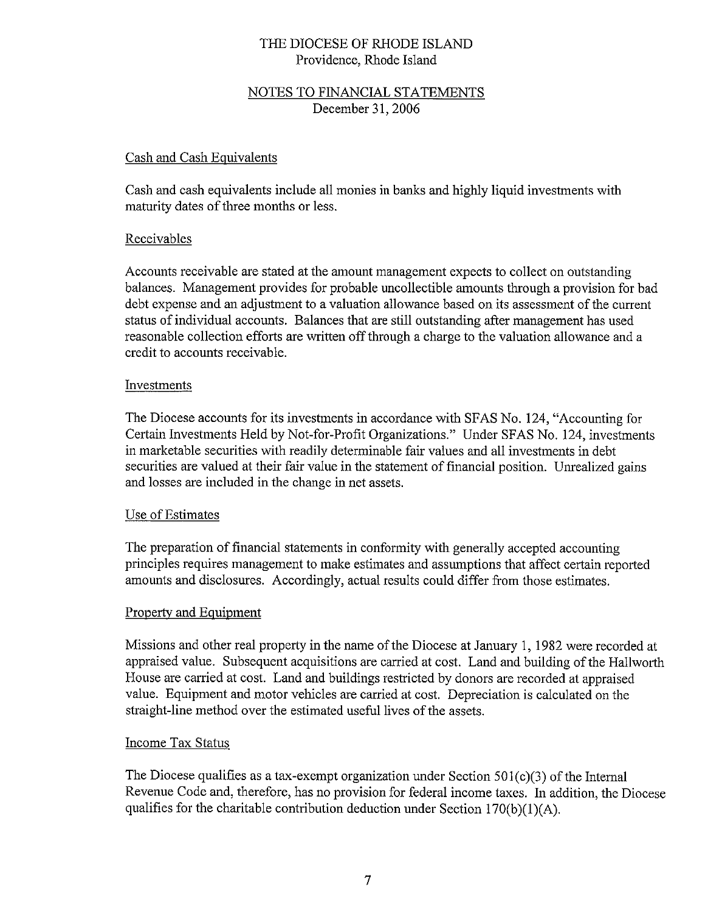## NOTES TO FINANCIAL STATEMENTS December 31, 2006

#### Cash and Cash Equivalents

Cash and cash equivalents include all monies in banks and highly liquid investments with maturity dates of three months or less.

#### Receivables

Accounts receivable are stated at the amount management expects to collect on outstanding balances. Management provides for probable uncollectible amounts through a provision for bad debt expense and an adjustment to a valuation allowance based on its assessment of the current status of individual accounts. Balances that are still outstanding after management has used reasonable collection efforts are written off through a charge to the valuation allowance and a credit to accounts receivable.

#### Investments

The Diocese accounts for its investments in accordance with SFAS No. 124, "Accounting for Certain Investments Held by Not-for-Profit Organizations." Under SFAS No. 124, investments in marketable securities with readily determinable fair values and all investments in debt securities are valued at their fair value in the statement of financial position. Unrealized gains and losses are included in the change in net assets.

#### Use of Estimates

The preparation of financial statements in conformity with generally accepted accounting principles requires management to make estimates and assumptions that affect certain reported amounts and disclosures. Accordingly, actual results could differ from those estimates.

#### Property and Equipment

Missions and other real property in the name of the Diocese at January 1, 1982 were recorded at appraised value. Subsequent acquisitions are carried at cost. Land and building of the Hallworth House are carried at cost. Land and buildings restricted by donors are recorded at appraised value. Equipment and motor vehicles are carried at cost. Depreciation is calculated on the straight-line method over the estimated useful lives of the assets.

#### **Income Tax Status**

The Diocese qualifies as a tax-exempt organization under Section  $501(c)(3)$  of the Internal Revenue Code and, therefore, has no provision for federal income taxes. In addition, the Diocese qualifies for the charitable contribution deduction under Section  $170(b)(1)(A)$ .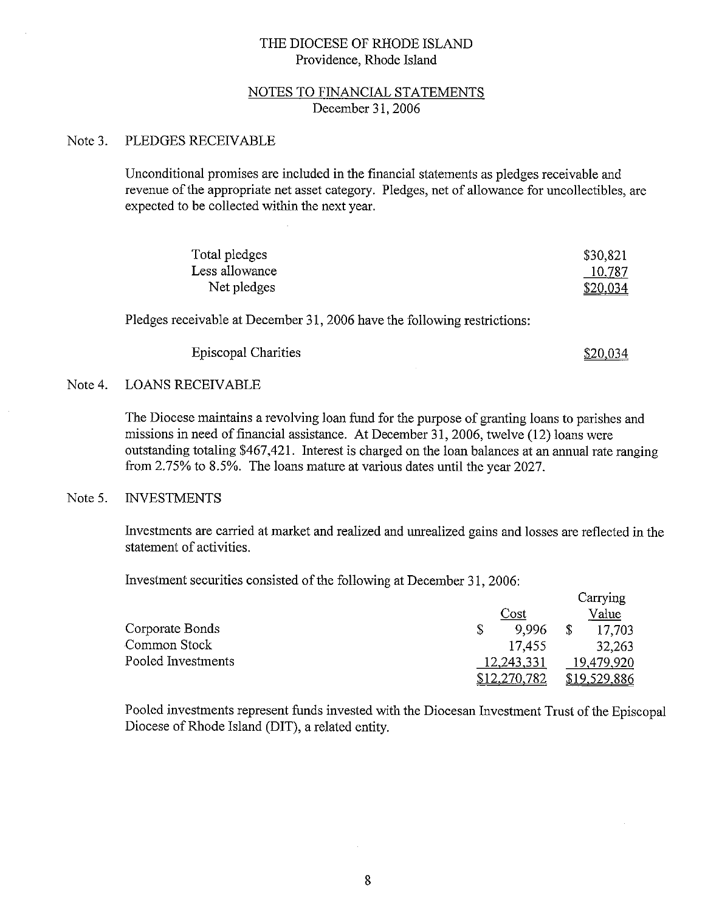#### NOTES TO FINANCIAL STATEMENTS December 31, 2006

#### Note 3. PLEDGES RECEIVABLE

Unconditional promises are included in the financial statements as pledges receivable and revenue of the appropriate net asset category. Pledges, net of allowance for uncollectibles, are expected to be collected within the next year.

| Total pledges  | \$30,821 |
|----------------|----------|
| Less allowance | 10,787   |
| Net pledges    | \$20,034 |

Pledges receivable at December 31, 2006 have the following restrictions:

**Episcopal Charities** 

<u>\$20,034</u>

#### Note 4. **LOANS RECEIVABLE**

The Diocese maintains a revolving loan fund for the purpose of granting loans to parishes and missions in need of financial assistance. At December 31, 2006, twelve (12) loans were outstanding totaling \$467,421. Interest is charged on the loan balances at an annual rate ranging from 2.75% to 8.5%. The loans mature at various dates until the year 2027.

#### Note 5. **INVESTMENTS**

Investments are carried at market and realized and unrealized gains and losses are reflected in the statement of activities.

Investment securities consisted of the following at December 31, 2006:

|                    |              | Carrying     |
|--------------------|--------------|--------------|
|                    | Cost         | Value        |
| Corporate Bonds    | \$<br>9.996  | 17,703       |
| Common Stock       | 17,455       | 32,263       |
| Pooled Investments | 12,243,331   | 19,479,920   |
|                    | \$12,270,782 | \$19,529,886 |

Pooled investments represent funds invested with the Diocesan Investment Trust of the Episcopal Diocese of Rhode Island (DIT), a related entity.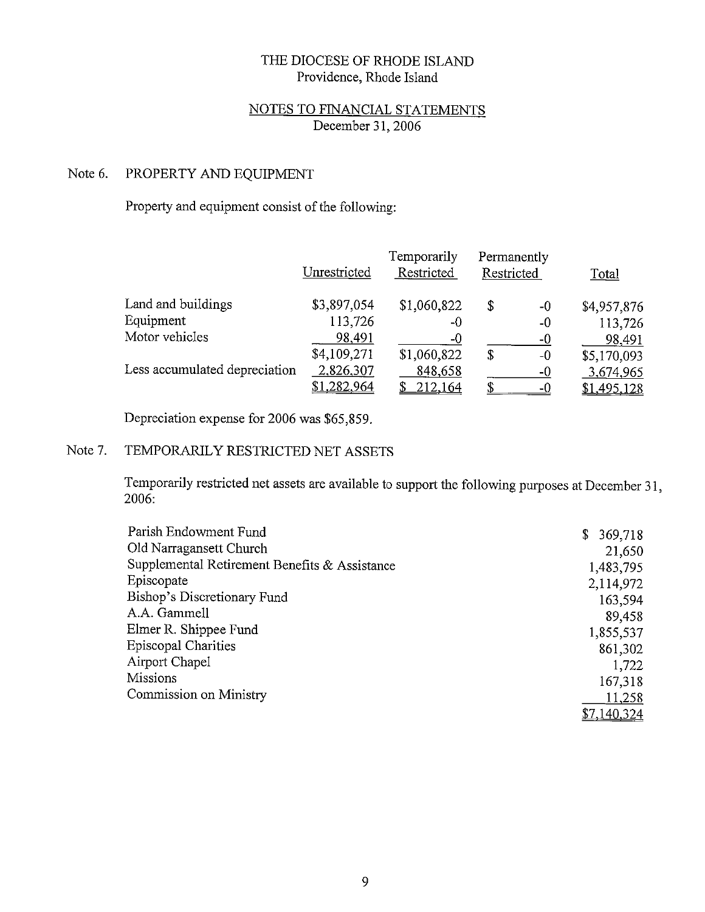## NOTES TO FINANCIAL STATEMENTS December 31, 2006

#### Note 6. PROPERTY AND EQUIPMENT

Property and equipment consist of the following:

|                               | Unrestricted | Temporarily<br>Restricted | Permanently<br>Restricted | <b>Total</b> |
|-------------------------------|--------------|---------------------------|---------------------------|--------------|
| Land and buildings            | \$3,897,054  | \$1,060,822               | \$<br>-0                  | \$4,957,876  |
| Equipment                     | 113,726      | -0                        | -0                        | 113,726      |
| Motor vehicles                | 98.491       | $-0$                      | $-0$                      | 98,491       |
|                               | \$4,109,271  | \$1,060,822               | \$<br>$-0$                | \$5,170,093  |
| Less accumulated depreciation | 2,826,307    | 848,658                   | -0                        | 3,674,965    |
|                               | \$1,282,964  | <u>212,164</u>            | $-0$                      | \$1,495,128  |

Depreciation expense for 2006 was \$65,859.

#### Note 7. TEMPORARILY RESTRICTED NET ASSETS

Temporarily restricted net assets are available to support the following purposes at December 31, 2006.

| Parish Endowment Fund                         | \$369,718   |
|-----------------------------------------------|-------------|
| Old Narragansett Church                       | 21,650      |
| Supplemental Retirement Benefits & Assistance | 1,483,795   |
| Episcopate                                    | 2,114,972   |
| Bishop's Discretionary Fund                   | 163,594     |
| A.A. Gammell                                  | 89.458      |
| Elmer R. Shippee Fund                         | 1,855,537   |
| <b>Episcopal Charities</b>                    | 861,302     |
| Airport Chapel                                | 1.722       |
| Missions                                      | 167,318     |
| Commission on Ministry                        | 11.258      |
|                                               | \$7,140,324 |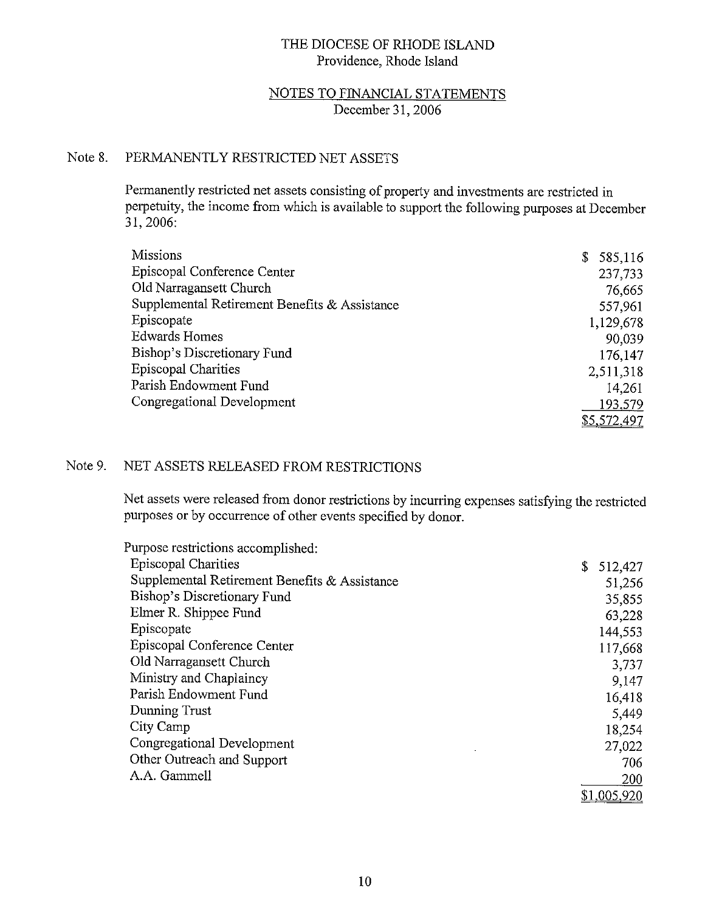### NOTES TO FINANCIAL STATEMENTS December 31, 2006

#### Note 8. PERMANENTLY RESTRICTED NET ASSETS

Permanently restricted net assets consisting of property and investments are restricted in perpetuity, the income from which is available to support the following purposes at December 31, 2006:

| <b>Missions</b>                               | 585,116<br>\$ |
|-----------------------------------------------|---------------|
| Episcopal Conference Center                   | 237.733       |
| Old Narragansett Church                       | 76,665        |
| Supplemental Retirement Benefits & Assistance | 557.961       |
| Episcopate                                    | 1,129,678     |
| <b>Edwards Homes</b>                          | 90.039        |
| Bishop's Discretionary Fund                   | 176,147       |
| <b>Episcopal Charities</b>                    | 2,511,318     |
| Parish Endowment Fund                         | 14,261        |
| Congregational Development                    | 193,579       |
|                                               | \$5,572,497   |

#### Note 9. NET ASSETS RELEASED FROM RESTRICTIONS

Net assets were released from donor restrictions by incurring expenses satisfying the restricted purposes or by occurrence of other events specified by donor.

| Purpose restrictions accomplished:            |               |
|-----------------------------------------------|---------------|
| <b>Episcopal Charities</b>                    | \$<br>512,427 |
| Supplemental Retirement Benefits & Assistance | 51,256        |
| Bishop's Discretionary Fund                   | 35,855        |
| Elmer R. Shippee Fund                         | 63.228        |
| Episcopate                                    | 144,553       |
| Episcopal Conference Center                   | 117,668       |
| Old Narragansett Church                       | 3.737         |
| Ministry and Chaplaincy                       | 9,147         |
| Parish Endowment Fund                         | 16,418        |
| Dunning Trust                                 | 5,449         |
| City Camp                                     | 18,254        |
| Congregational Development                    | 27,022        |
| Other Outreach and Support                    | 706           |
| A.A. Gammell                                  | 200           |
|                                               | \$1,005,920   |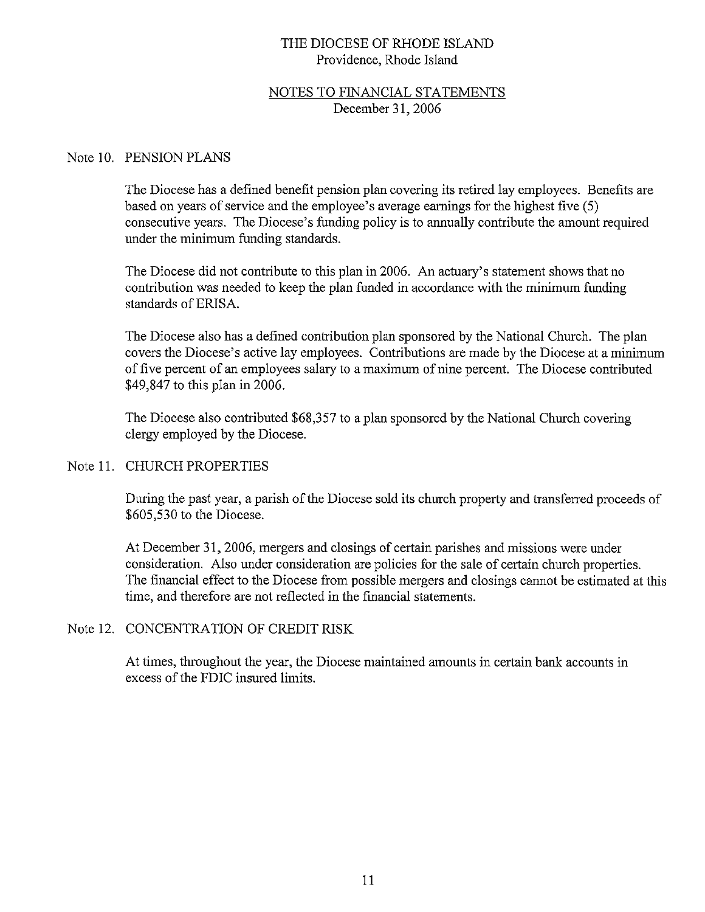## NOTES TO FINANCIAL STATEMENTS December 31, 2006

#### Note 10. PENSION PLANS

The Diocese has a defined benefit pension plan covering its retired lay employees. Benefits are based on years of service and the employee's average earnings for the highest five (5) consecutive years. The Diocese's funding policy is to annually contribute the amount required under the minimum funding standards.

The Diocese did not contribute to this plan in 2006. An actuary's statement shows that no contribution was needed to keep the plan funded in accordance with the minimum funding standards of ERISA.

The Diocese also has a defined contribution plan sponsored by the National Church. The plan covers the Diocese's active lay employees. Contributions are made by the Diocese at a minimum of five percent of an employees salary to a maximum of nine percent. The Diocese contributed \$49,847 to this plan in 2006.

The Diocese also contributed \$68,357 to a plan sponsored by the National Church covering clergy employed by the Diocese.

#### Note 11. CHURCH PROPERTIES

During the past year, a parish of the Diocese sold its church property and transferred proceeds of \$605,530 to the Diocese.

At December 31, 2006, mergers and closings of certain parishes and missions were under consideration. Also under consideration are policies for the sale of certain church properties. The financial effect to the Diocese from possible mergers and closings cannot be estimated at this time, and therefore are not reflected in the financial statements.

#### Note 12. CONCENTRATION OF CREDIT RISK

At times, throughout the year, the Diocese maintained amounts in certain bank accounts in excess of the FDIC insured limits.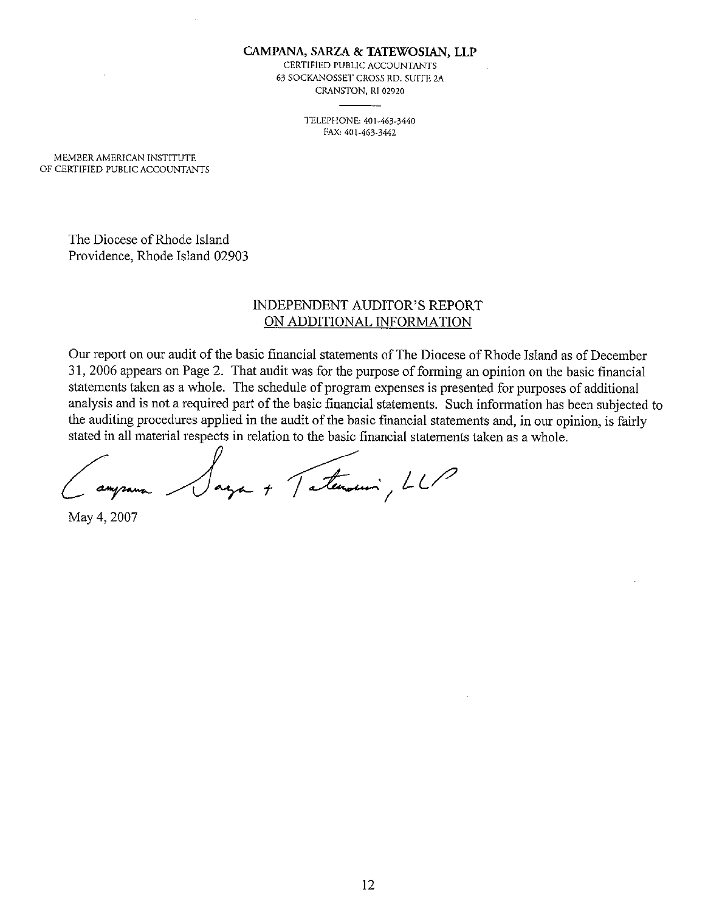CAMPANA, SARZA & TATEWOSIAN, LLP

CERTIFIED PUBLIC ACCOUNTANTS 63 SOCKANOSSET CROSS RD. SUITE 2A CRANSTON, RI 02920

> TELEPHONE: 401-463-3440 FAX: 401-463-3442

MEMBER AMERICAN INSTITUTE OF CERTIFIED PUBLIC ACCOUNTANTS

> The Diocese of Rhode Island Providence, Rhode Island 02903

### **INDEPENDENT AUDITOR'S REPORT** ON ADDITIONAL INFORMATION

Our report on our audit of the basic financial statements of The Diocese of Rhode Island as of December 31, 2006 appears on Page 2. That audit was for the purpose of forming an opinion on the basic financial statements taken as a whole. The schedule of program expenses is presented for purposes of additional analysis and is not a required part of the basic financial statements. Such information has been subjected to the auditing procedures applied in the audit of the basic financial statements and, in our opinion, is fairly stated in all material respects in relation to the basic financial statements taken as a whole.

aga + Tatemani, LLP

May 4, 2007